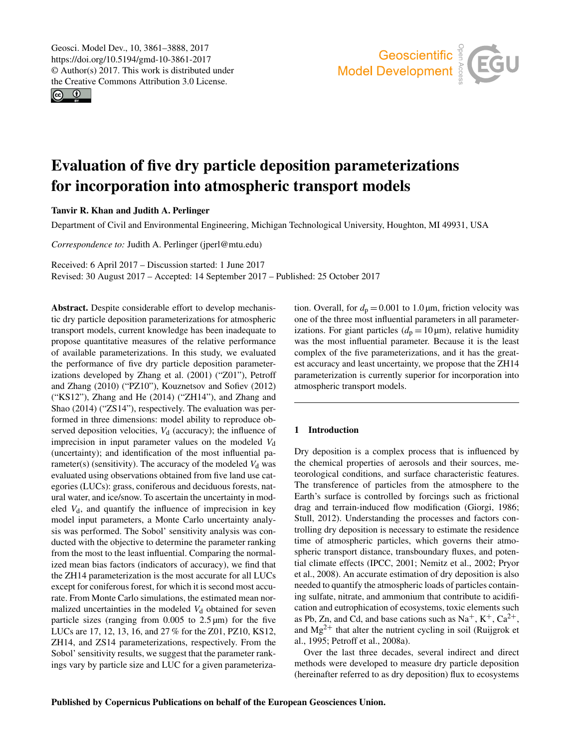<span id="page-0-0"></span>Geosci. Model Dev., 10, 3861–3888, 2017 https://doi.org/10.5194/gmd-10-3861-2017 © Author(s) 2017. This work is distributed under the Creative Commons Attribution 3.0 License.

 $\circledcirc$ 



# Evaluation of five dry particle deposition parameterizations for incorporation into atmospheric transport models

Tanvir R. Khan and Judith A. Perlinger

Department of Civil and Environmental Engineering, Michigan Technological University, Houghton, MI 49931, USA

*Correspondence to:* Judith A. Perlinger (jperl@mtu.edu)

Received: 6 April 2017 – Discussion started: 1 June 2017

Revised: 30 August 2017 – Accepted: 14 September 2017 – Published: 25 October 2017

Abstract. Despite considerable effort to develop mechanistic dry particle deposition parameterizations for atmospheric transport models, current knowledge has been inadequate to propose quantitative measures of the relative performance of available parameterizations. In this study, we evaluated the performance of five dry particle deposition parameterizations developed by Zhang et al. (2001) ("Z01"), Petroff and Zhang (2010) ("PZ10"), Kouznetsov and Sofiev (2012) ("KS12"), Zhang and He (2014) ("ZH14"), and Zhang and Shao (2014) ("ZS14"), respectively. The evaluation was performed in three dimensions: model ability to reproduce observed deposition velocities,  $V_d$  (accuracy); the influence of imprecision in input parameter values on the modeled  $V_d$ (uncertainty); and identification of the most influential parameter(s) (sensitivity). The accuracy of the modeled  $V<sub>d</sub>$  was evaluated using observations obtained from five land use categories (LUCs): grass, coniferous and deciduous forests, natural water, and ice/snow. To ascertain the uncertainty in modeled  $V_d$ , and quantify the influence of imprecision in key model input parameters, a Monte Carlo uncertainty analysis was performed. The Sobol' sensitivity analysis was conducted with the objective to determine the parameter ranking from the most to the least influential. Comparing the normalized mean bias factors (indicators of accuracy), we find that the ZH14 parameterization is the most accurate for all LUCs except for coniferous forest, for which it is second most accurate. From Monte Carlo simulations, the estimated mean normalized uncertainties in the modeled  $V<sub>d</sub>$  obtained for seven particle sizes (ranging from  $0.005$  to  $2.5 \mu m$ ) for the five LUCs are 17, 12, 13, 16, and 27 % for the Z01, PZ10, KS12, ZH14, and ZS14 parameterizations, respectively. From the Sobol' sensitivity results, we suggest that the parameter rankings vary by particle size and LUC for a given parameterization. Overall, for  $d_p = 0.001$  to 1.0  $\mu$ m, friction velocity was one of the three most influential parameters in all parameterizations. For giant particles  $(d_p = 10 \,\mu\text{m})$ , relative humidity was the most influential parameter. Because it is the least complex of the five parameterizations, and it has the greatest accuracy and least uncertainty, we propose that the ZH14 parameterization is currently superior for incorporation into atmospheric transport models.

# 1 Introduction

Dry deposition is a complex process that is influenced by the chemical properties of aerosols and their sources, meteorological conditions, and surface characteristic features. The transference of particles from the atmosphere to the Earth's surface is controlled by forcings such as frictional drag and terrain-induced flow modification (Giorgi, 1986; Stull, 2012). Understanding the processes and factors controlling dry deposition is necessary to estimate the residence time of atmospheric particles, which governs their atmospheric transport distance, transboundary fluxes, and potential climate effects (IPCC, 2001; Nemitz et al., 2002; Pryor et al., 2008). An accurate estimation of dry deposition is also needed to quantify the atmospheric loads of particles containing sulfate, nitrate, and ammonium that contribute to acidification and eutrophication of ecosystems, toxic elements such as Pb, Zn, and Cd, and base cations such as  $Na^+$ ,  $K^+$ ,  $Ca^{2+}$ , and  $Mg^{2+}$  that alter the nutrient cycling in soil (Ruijgrok et al., 1995; Petroff et al., 2008a).

Over the last three decades, several indirect and direct methods were developed to measure dry particle deposition (hereinafter referred to as dry deposition) flux to ecosystems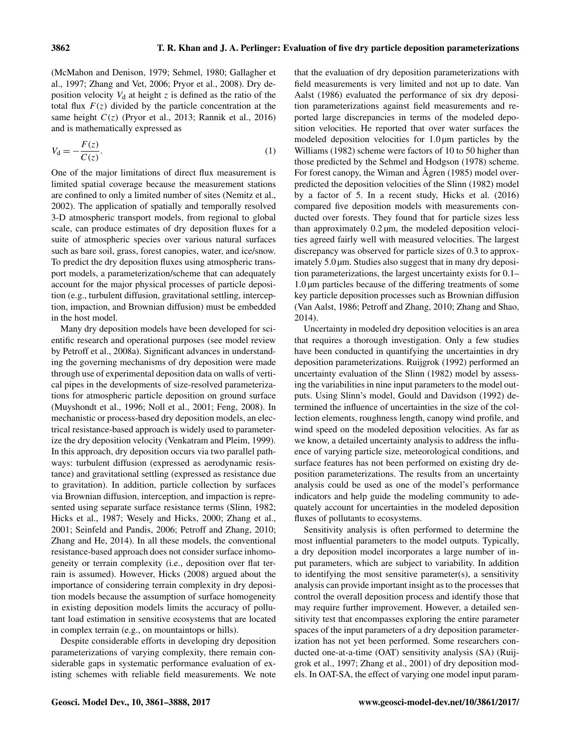(McMahon and Denison, 1979; Sehmel, 1980; Gallagher et al., 1997; Zhang and Vet, 2006; Pryor et al., 2008). Dry deposition velocity  $V_d$  at height z is defined as the ratio of the total flux  $F(z)$  divided by the particle concentration at the same height  $C(z)$  (Pryor et al., 2013; Rannik et al., 2016) and is mathematically expressed as

$$
V_{\mathbf{d}} = -\frac{F(z)}{C(z)}.\tag{1}
$$

One of the major limitations of direct flux measurement is limited spatial coverage because the measurement stations are confined to only a limited number of sites (Nemitz et al., 2002). The application of spatially and temporally resolved 3-D atmospheric transport models, from regional to global scale, can produce estimates of dry deposition fluxes for a suite of atmospheric species over various natural surfaces such as bare soil, grass, forest canopies, water, and ice/snow. To predict the dry deposition fluxes using atmospheric transport models, a parameterization/scheme that can adequately account for the major physical processes of particle deposition (e.g., turbulent diffusion, gravitational settling, interception, impaction, and Brownian diffusion) must be embedded in the host model.

Many dry deposition models have been developed for scientific research and operational purposes (see model review by Petroff et al., 2008a). Significant advances in understanding the governing mechanisms of dry deposition were made through use of experimental deposition data on walls of vertical pipes in the developments of size-resolved parameterizations for atmospheric particle deposition on ground surface (Muyshondt et al., 1996; Noll et al., 2001; Feng, 2008). In mechanistic or process-based dry deposition models, an electrical resistance-based approach is widely used to parameterize the dry deposition velocity (Venkatram and Pleim, 1999). In this approach, dry deposition occurs via two parallel pathways: turbulent diffusion (expressed as aerodynamic resistance) and gravitational settling (expressed as resistance due to gravitation). In addition, particle collection by surfaces via Brownian diffusion, interception, and impaction is represented using separate surface resistance terms (Slinn, 1982; Hicks et al., 1987; Wesely and Hicks, 2000; Zhang et al., 2001; Seinfeld and Pandis, 2006; Petroff and Zhang, 2010; Zhang and He, 2014). In all these models, the conventional resistance-based approach does not consider surface inhomogeneity or terrain complexity (i.e., deposition over flat terrain is assumed). However, Hicks (2008) argued about the importance of considering terrain complexity in dry deposition models because the assumption of surface homogeneity in existing deposition models limits the accuracy of pollutant load estimation in sensitive ecosystems that are located in complex terrain (e.g., on mountaintops or hills).

Despite considerable efforts in developing dry deposition parameterizations of varying complexity, there remain considerable gaps in systematic performance evaluation of existing schemes with reliable field measurements. We note that the evaluation of dry deposition parameterizations with field measurements is very limited and not up to date. Van Aalst (1986) evaluated the performance of six dry deposition parameterizations against field measurements and reported large discrepancies in terms of the modeled deposition velocities. He reported that over water surfaces the modeled deposition velocities for  $1.0 \mu m$  particles by the Williams (1982) scheme were factors of 10 to 50 higher than those predicted by the Sehmel and Hodgson (1978) scheme. For forest canopy, the Wiman and Ågren (1985) model overpredicted the deposition velocities of the Slinn (1982) model by a factor of 5. In a recent study, Hicks et al. (2016) compared five deposition models with measurements conducted over forests. They found that for particle sizes less than approximately 0.2 µm, the modeled deposition velocities agreed fairly well with measured velocities. The largest discrepancy was observed for particle sizes of 0.3 to approximately 5.0  $\mu$ m. Studies also suggest that in many dry deposition parameterizations, the largest uncertainty exists for 0.1– 1.0 µm particles because of the differing treatments of some key particle deposition processes such as Brownian diffusion (Van Aalst, 1986; Petroff and Zhang, 2010; Zhang and Shao, 2014).

Uncertainty in modeled dry deposition velocities is an area that requires a thorough investigation. Only a few studies have been conducted in quantifying the uncertainties in dry deposition parameterizations. Ruijgrok (1992) performed an uncertainty evaluation of the Slinn (1982) model by assessing the variabilities in nine input parameters to the model outputs. Using Slinn's model, Gould and Davidson (1992) determined the influence of uncertainties in the size of the collection elements, roughness length, canopy wind profile, and wind speed on the modeled deposition velocities. As far as we know, a detailed uncertainty analysis to address the influence of varying particle size, meteorological conditions, and surface features has not been performed on existing dry deposition parameterizations. The results from an uncertainty analysis could be used as one of the model's performance indicators and help guide the modeling community to adequately account for uncertainties in the modeled deposition fluxes of pollutants to ecosystems.

Sensitivity analysis is often performed to determine the most influential parameters to the model outputs. Typically, a dry deposition model incorporates a large number of input parameters, which are subject to variability. In addition to identifying the most sensitive parameter(s), a sensitivity analysis can provide important insight as to the processes that control the overall deposition process and identify those that may require further improvement. However, a detailed sensitivity test that encompasses exploring the entire parameter spaces of the input parameters of a dry deposition parameterization has not yet been performed. Some researchers conducted one-at-a-time (OAT) sensitivity analysis (SA) (Ruijgrok et al., 1997; Zhang et al., 2001) of dry deposition models. In OAT-SA, the effect of varying one model input param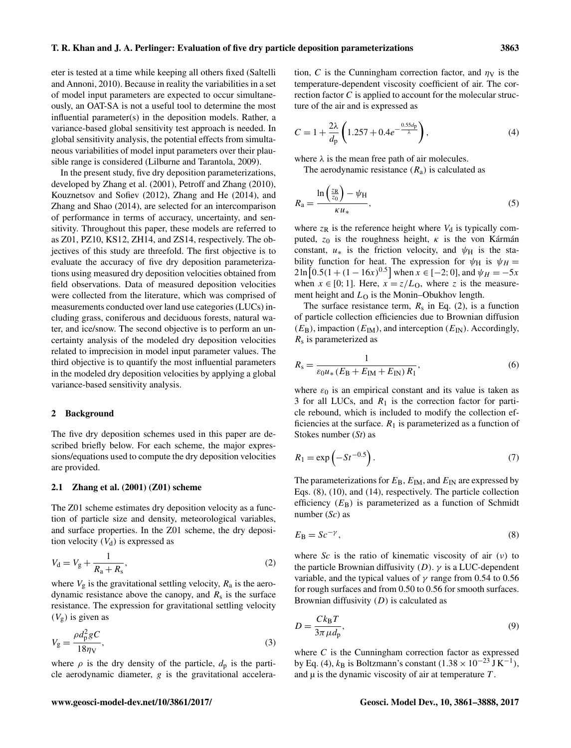eter is tested at a time while keeping all others fixed (Saltelli and Annoni, 2010). Because in reality the variabilities in a set of model input parameters are expected to occur simultaneously, an OAT-SA is not a useful tool to determine the most influential parameter(s) in the deposition models. Rather, a variance-based global sensitivity test approach is needed. In global sensitivity analysis, the potential effects from simultaneous variabilities of model input parameters over their plausible range is considered (Lilburne and Tarantola, 2009).

In the present study, five dry deposition parameterizations, developed by Zhang et al. (2001), Petroff and Zhang (2010), Kouznetsov and Sofiev (2012), Zhang and He (2014), and Zhang and Shao (2014), are selected for an intercomparison of performance in terms of accuracy, uncertainty, and sensitivity. Throughout this paper, these models are referred to as Z01, PZ10, KS12, ZH14, and ZS14, respectively. The objectives of this study are threefold. The first objective is to evaluate the accuracy of five dry deposition parameterizations using measured dry deposition velocities obtained from field observations. Data of measured deposition velocities were collected from the literature, which was comprised of measurements conducted over land use categories (LUCs) including grass, coniferous and deciduous forests, natural water, and ice/snow. The second objective is to perform an uncertainty analysis of the modeled dry deposition velocities related to imprecision in model input parameter values. The third objective is to quantify the most influential parameters in the modeled dry deposition velocities by applying a global variance-based sensitivity analysis.

# 2 Background

The five dry deposition schemes used in this paper are described briefly below. For each scheme, the major expressions/equations used to compute the dry deposition velocities are provided.

#### 2.1 Zhang et al. (2001) (Z01) scheme

The Z01 scheme estimates dry deposition velocity as a function of particle size and density, meteorological variables, and surface properties. In the Z01 scheme, the dry deposition velocity  $(V_d)$  is expressed as

$$
V_{\rm d} = V_{\rm g} + \frac{1}{R_{\rm a} + R_{\rm s}},\tag{2}
$$

where  $V_g$  is the gravitational settling velocity,  $R_a$  is the aerodynamic resistance above the canopy, and  $R_s$  is the surface resistance. The expression for gravitational settling velocity  $(V_g)$  is given as

$$
V_{\rm g} = \frac{\rho d_{\rm p}^2 g C}{18 \eta \text{v}},\tag{3}
$$

where  $\rho$  is the dry density of the particle,  $d_p$  is the particle aerodynamic diameter, g is the gravitational acceleration, C is the Cunningham correction factor, and  $\eta_V$  is the temperature-dependent viscosity coefficient of air. The correction factor C is applied to account for the molecular structure of the air and is expressed as

$$
C = 1 + \frac{2\lambda}{d_p} \left( 1.257 + 0.4e^{-\frac{0.55d_p}{\lambda}} \right),
$$
 (4)

where  $\lambda$  is the mean free path of air molecules.

The aerodynamic resistance  $(R_a)$  is calculated as

$$
R_{\rm a} = \frac{\ln\left(\frac{z_{\rm R}}{z_{\rm 0}}\right) - \psi_{\rm H}}{\kappa u_*},\tag{5}
$$

where  $z_R$  is the reference height where  $V_d$  is typically computed,  $z_0$  is the roughness height,  $\kappa$  is the von Kármán constant,  $u_*$  is the friction velocity, and  $\psi_H$  is the stability function for heat. The expression for  $\psi_H$  is  $\psi_H$  =  $2\ln\left[0.5(1+(1-16x)^{0.5}\right]$  when  $x \in [-2,0]$ , and  $\psi_H = -5x$ when  $x \in [0; 1]$ . Here,  $x = z/L_0$ , where z is the measurement height and  $L<sub>O</sub>$  is the Monin–Obukhov length.

The surface resistance term,  $R_s$  in Eq. (2), is a function of particle collection efficiencies due to Brownian diffusion  $(E_B)$ , impaction  $(E_{IM})$ , and interception  $(E_{IN})$ . Accordingly,  $R<sub>s</sub>$  is parameterized as

$$
R_{\rm s} = \frac{1}{\varepsilon_0 u_* \left( E_{\rm B} + E_{\rm IM} + E_{\rm IN} \right) R_1},\tag{6}
$$

where  $\varepsilon_0$  is an empirical constant and its value is taken as 3 for all LUCs, and  $R_1$  is the correction factor for particle rebound, which is included to modify the collection efficiencies at the surface.  $R_1$  is parameterized as a function of Stokes number (*St*) as

$$
R_1 = \exp\left(-St^{-0.5}\right). \tag{7}
$$

The parameterizations for  $E_B$ ,  $E_{IM}$ , and  $E_{IN}$  are expressed by Eqs. (8), (10), and (14), respectively. The particle collection efficiency  $(E_B)$  is parameterized as a function of Schmidt number (*Sc*) as

$$
E_{\rm B} = Sc^{-\gamma},\tag{8}
$$

where *Sc* is the ratio of kinematic viscosity of air  $(v)$  to the particle Brownian diffusivity  $(D)$ .  $\gamma$  is a LUC-dependent variable, and the typical values of  $\gamma$  range from 0.54 to 0.56 for rough surfaces and from 0.50 to 0.56 for smooth surfaces. Brownian diffusivity  $(D)$  is calculated as

$$
D = \frac{Ck_{\rm B}T}{3\pi\mu d_{\rm p}},\tag{9}
$$

where  $C$  is the Cunningham correction factor as expressed by Eq. (4),  $k_B$  is Boltzmann's constant (1.38 × 10<sup>-23</sup> J K<sup>-1</sup>), and  $\mu$  is the dynamic viscosity of air at temperature  $T$ .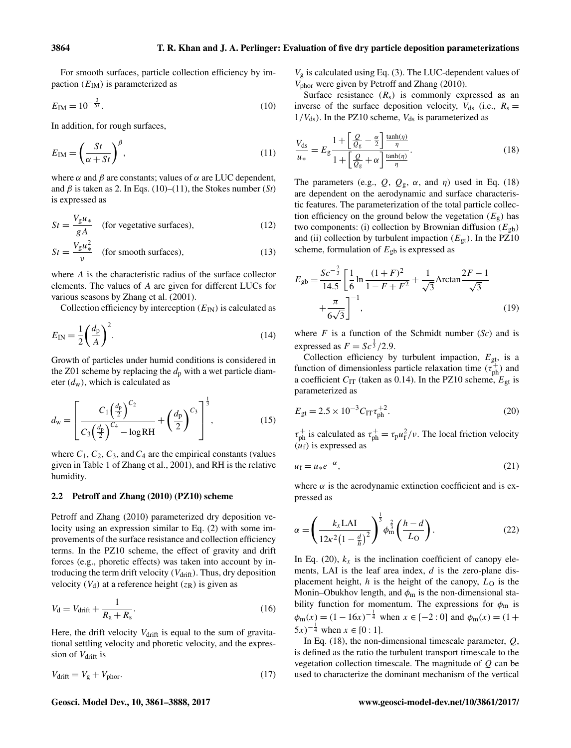For smooth surfaces, particle collection efficiency by impaction  $(E_{IM})$  is parameterized as

$$
E_{\rm IM} = 10^{-\frac{3}{St}}.\tag{10}
$$

In addition, for rough surfaces,

$$
E_{\rm IM} = \left(\frac{St}{\alpha + St}\right)^{\beta},\tag{11}
$$

where  $\alpha$  and  $\beta$  are constants; values of  $\alpha$  are LUC dependent, and  $\beta$  is taken as 2. In Eqs. (10)–(11), the Stokes number (*St*) is expressed as

$$
St = \frac{V_g u_*}{gA}
$$
 (for vegetative surfaces), (12)

$$
St = \frac{V_g u_*^2}{v} \quad \text{(for smooth surfaces)}, \tag{13}
$$

where A is the characteristic radius of the surface collector elements. The values of A are given for different LUCs for various seasons by Zhang et al. (2001).

Collection efficiency by interception  $(E_{\text{IN}})$  is calculated as

$$
E_{\rm IN} = \frac{1}{2} \left( \frac{d_{\rm p}}{A} \right)^2.
$$
 (14)

Growth of particles under humid conditions is considered in the Z01 scheme by replacing the  $d_p$  with a wet particle diameter  $(d_w)$ , which is calculated as

$$
d_{\rm w} = \left[ \frac{C_1 \left(\frac{d_{\rm p}}{2}\right)^{C_2}}{C_3 \left(\frac{d_{\rm p}}{2}\right)^{C_4} - \log \rm RH} + \left(\frac{d_{\rm p}}{2}\right)^{C_3} \right]^{\frac{1}{3}},\tag{15}
$$

where  $C_1$ ,  $C_2$ ,  $C_3$ , and  $C_4$  are the empirical constants (values given in Table 1 of Zhang et al., 2001), and RH is the relative humidity.

## 2.2 Petroff and Zhang (2010) (PZ10) scheme

Petroff and Zhang (2010) parameterized dry deposition velocity using an expression similar to Eq. (2) with some improvements of the surface resistance and collection efficiency terms. In the PZ10 scheme, the effect of gravity and drift forces (e.g., phoretic effects) was taken into account by introducing the term drift velocity  $(V<sub>drift</sub>)$ . Thus, dry deposition velocity  $(V_d)$  at a reference height  $(z_R)$  is given as

$$
V_{\rm d} = V_{\rm drift} + \frac{1}{R_{\rm a} + R_{\rm s}}.\tag{16}
$$

Here, the drift velocity  $V_{\text{drift}}$  is equal to the sum of gravitational settling velocity and phoretic velocity, and the expression of V<sub>drift</sub> is

$$
V_{\text{drift}} = V_{\text{g}} + V_{\text{phor}}.\tag{17}
$$

 $V<sub>g</sub>$  is calculated using Eq. (3). The LUC-dependent values of Vphor were given by Petroff and Zhang (2010).

Surface resistance  $(R_s)$  is commonly expressed as an inverse of the surface deposition velocity,  $V_{ds}$  (i.e.,  $R_s =$  $1/V_{ds}$ ). In the PZ10 scheme,  $V_{ds}$  is parameterized as

$$
\frac{V_{\rm ds}}{u_*} = E_g \frac{1 + \left[\frac{Q}{Q_g} - \frac{\alpha}{2}\right] \frac{\tanh(\eta)}{\eta}}{1 + \left[\frac{Q}{Q_g} + \alpha\right] \frac{\tanh(\eta)}{\eta}}.
$$
\n(18)

The parameters (e.g.,  $Q$ ,  $Q_g$ ,  $\alpha$ , and  $\eta$ ) used in Eq. (18) are dependent on the aerodynamic and surface characteristic features. The parameterization of the total particle collection efficiency on the ground below the vegetation  $(E_{g})$  has two components: (i) collection by Brownian diffusion  $(E_{gb})$ and (ii) collection by turbulent impaction ( $E_{gt}$ ). In the PZ10 scheme, formulation of  $E_{gb}$  is expressed as

$$
E_{\text{gb}} = \frac{Sc^{-\frac{2}{3}}}{14.5} \left[ \frac{1}{6} \ln \frac{(1+F)^2}{1-F+F^2} + \frac{1}{\sqrt{3}} \text{Arctan} \frac{2F-1}{\sqrt{3}} + \frac{\pi}{6\sqrt{3}} \right]^{-1},\tag{19}
$$

where  $F$  is a function of the Schmidt number  $(Sc)$  and is expressed as  $F = Sc^{\frac{1}{3}}/2.9$ .

Collection efficiency by turbulent impaction,  $E_{gt}$ , is a function of dimensionless particle relaxation time  $(\tau_{ph}^+)$  and a coefficient  $C_{IT}$  (taken as 0.14). In the PZ10 scheme,  $E_{gt}$  is parameterized as

$$
E_{\rm gt} = 2.5 \times 10^{-3} C_{\rm IT} \tau_{\rm ph}^{+2}.
$$
 (20)

 $\tau_{ph}^+$  is calculated as  $\tau_{ph}^+ = \tau_p u_f^2/v$ . The local friction velocity  $(\hat{u}_f)$  is expressed as

$$
u_{\rm f} = u_* e^{-\alpha},\tag{21}
$$

where  $\alpha$  is the aerodynamic extinction coefficient and is expressed as

$$
\alpha = \left(\frac{k_{x} \text{LAI}}{12\kappa^{2}\left(1 - \frac{d}{h}\right)^{2}}\right)^{\frac{1}{3}} \phi_{m}^{\frac{2}{3}}\left(\frac{h - d}{L_{\text{O}}}\right). \tag{22}
$$

In Eq. (20),  $k_x$  is the inclination coefficient of canopy elements, LAI is the leaf area index,  $d$  is the zero-plane displacement height,  $h$  is the height of the canopy,  $L<sub>O</sub>$  is the Monin–Obukhov length, and  $\phi_m$  is the non-dimensional stability function for momentum. The expressions for  $\phi_m$  is  $\phi_m(x) = (1 - 16x)^{-\frac{1}{4}}$  when  $x \in [-2:0]$  and  $\phi_m(x) = (1 +$  $(5x)^{-\frac{1}{4}}$  when  $x \in [0:1]$ .

In Eq. (18), the non-dimensional timescale parameter,  $Q$ , is defined as the ratio the turbulent transport timescale to the vegetation collection timescale. The magnitude of  $Q$  can be used to characterize the dominant mechanism of the vertical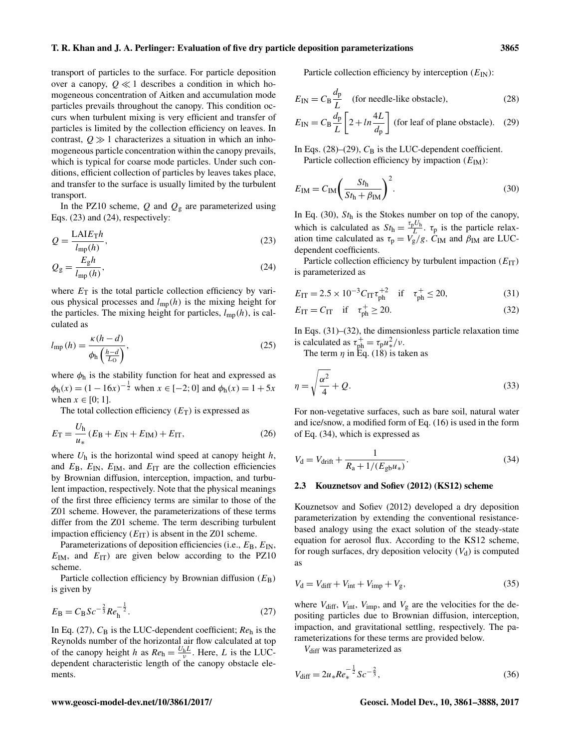transport of particles to the surface. For particle deposition over a canopy,  $Q \ll 1$  describes a condition in which homogeneous concentration of Aitken and accumulation mode particles prevails throughout the canopy. This condition occurs when turbulent mixing is very efficient and transfer of particles is limited by the collection efficiency on leaves. In contrast,  $0 \gg 1$  characterizes a situation in which an inhomogeneous particle concentration within the canopy prevails, which is typical for coarse mode particles. Under such conditions, efficient collection of particles by leaves takes place, and transfer to the surface is usually limited by the turbulent transport.

In the PZ10 scheme,  $Q$  and  $Q<sub>g</sub>$  are parameterized using Eqs. (23) and (24), respectively:

$$
Q = \frac{\text{LAIE}_{\text{T}}h}{l_{\text{mp}}(h)},\tag{23}
$$

$$
Q_{g} = \frac{E_{g}h}{l_{\rm mp}(h)},\tag{24}
$$

where  $E_T$  is the total particle collection efficiency by various physical processes and  $l_{mp}(h)$  is the mixing height for the particles. The mixing height for particles,  $l_{mp}(h)$ , is calculated as

$$
l_{\rm mp} (h) = \frac{\kappa (h - d)}{\phi_{\rm h} \left(\frac{h - d}{L_{\rm O}}\right)},\tag{25}
$$

where  $\phi_h$  is the stability function for heat and expressed as  $\phi_h(x) = (1 - 16x)^{-\frac{1}{2}}$  when  $x \in [-2, 0]$  and  $\phi_h(x) = 1 + 5x$ when  $x \in [0; 1]$ .

The total collection efficiency  $(E_T)$  is expressed as

$$
E_{\rm T} = \frac{U_{\rm h}}{u_{*}} (E_{\rm B} + E_{\rm IN} + E_{\rm IM}) + E_{\rm IT}, \qquad (26)
$$

where  $U_h$  is the horizontal wind speed at canopy height  $h$ , and  $E_B$ ,  $E_{\text{IN}}$ ,  $E_{\text{IM}}$ , and  $E_{\text{IT}}$  are the collection efficiencies by Brownian diffusion, interception, impaction, and turbulent impaction, respectively. Note that the physical meanings of the first three efficiency terms are similar to those of the Z01 scheme. However, the parameterizations of these terms differ from the Z01 scheme. The term describing turbulent impaction efficiency  $(E_{IT})$  is absent in the Z01 scheme.

Parameterizations of deposition efficiencies (i.e.,  $E_B$ ,  $E_{IN}$ ,  $E_{IM}$ , and  $E_{IT}$ ) are given below according to the PZ10 scheme.

Particle collection efficiency by Brownian diffusion  $(E_B)$ is given by

$$
E_{\rm B} = C_{\rm B} S c^{-\frac{2}{3}} R e_{\rm h}^{-\frac{1}{2}}.
$$
\n(27)

In Eq.  $(27)$ ,  $C_B$  is the LUC-dependent coefficient;  $Re_h$  is the Reynolds number of the horizontal air flow calculated at top of the canopy height h as  $Re_h = \frac{U_h L}{v}$ . Here, L is the LUCdependent characteristic length of the canopy obstacle elements.

Particle collection efficiency by interception  $(E_{\text{IN}})$ :

$$
E_{\rm IN} = C_{\rm B} \frac{d_{\rm p}}{L}
$$
 (for needle-like obstacle), (28)

$$
E_{\rm IN} = C_{\rm B} \frac{d_{\rm p}}{L} \left[ 2 + \ln \frac{4L}{d_{\rm p}} \right]
$$
 (for leaf of plane obstacle). (29)

In Eqs. (28)–(29),  $C_B$  is the LUC-dependent coefficient.

Particle collection efficiency by impaction  $(E_{IM})$ :

$$
E_{\rm IM} = C_{\rm IM} \left( \frac{St_{\rm h}}{St_{\rm h} + \beta_{\rm IM}} \right)^2.
$$
 (30)

In Eq. (30),  $St<sub>h</sub>$  is the Stokes number on top of the canopy, which is calculated as  $St_h = \frac{\tau_p U_h}{L}$  $\frac{\partial u}{\partial L}$ .  $\tau_p$  is the particle relaxation time calculated as  $\tau_p = V_g/g$ .  $C_{IM}$  and  $\beta_{IM}$  are LUCdependent coefficients.

Particle collection efficiency by turbulent impaction  $(E_{IT})$ is parameterized as

$$
E_{\rm IT} = 2.5 \times 10^{-3} C_{\rm IT} \tau_{\rm ph}^{+2} \quad \text{if} \quad \tau_{\rm ph}^{+} \le 20,\tag{31}
$$

$$
E_{\rm IT} = C_{\rm IT} \quad \text{if} \quad \tau_{\rm ph}^+ \ge 20. \tag{32}
$$

In Eqs. (31)–(32), the dimensionless particle relaxation time is calculated as  $\tau_{ph}^+ = \tau_p u_*^2/v$ .

The term  $\eta$  in Eq. (18) is taken as

$$
\eta = \sqrt{\frac{\alpha^2}{4}} + Q. \tag{33}
$$

For non-vegetative surfaces, such as bare soil, natural water and ice/snow, a modified form of Eq. (16) is used in the form of Eq. (34), which is expressed as

$$
V_{\rm d} = V_{\rm drift} + \frac{1}{R_{\rm a} + 1/(E_{\rm gb} u_*)}.
$$
\n(34)

## 2.3 Kouznetsov and Sofiev (2012) (KS12) scheme

Kouznetsov and Sofiev (2012) developed a dry deposition parameterization by extending the conventional resistancebased analogy using the exact solution of the steady-state equation for aerosol flux. According to the KS12 scheme, for rough surfaces, dry deposition velocity  $(V_d)$  is computed as

$$
V_{\rm d} = V_{\rm diff} + V_{\rm int} + V_{\rm imp} + V_{\rm g},\tag{35}
$$

where  $V_{\text{diff}}$ ,  $V_{\text{int}}$ ,  $V_{\text{imp}}$ , and  $V_{\text{g}}$  are the velocities for the depositing particles due to Brownian diffusion, interception, impaction, and gravitational settling, respectively. The parameterizations for these terms are provided below.

V<sub>diff</sub> was parameterized as

$$
V_{\text{diff}} = 2u_* Re_*^{-\frac{1}{2}} Sc^{-\frac{2}{3}},\tag{36}
$$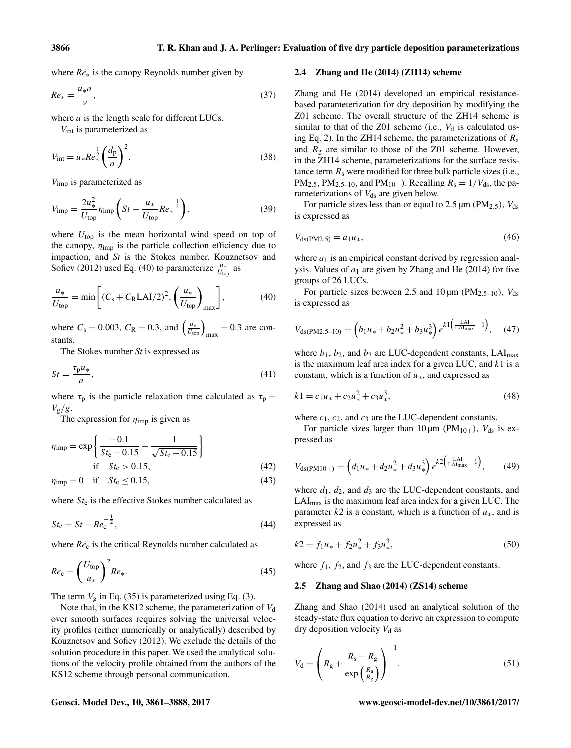where *Re*∗ is the canopy Reynolds number given by

$$
Re_* = \frac{u_* a}{v},\tag{37}
$$

where  $a$  is the length scale for different LUCs.

Vint is parameterized as

$$
V_{\rm int} = u_* R e_*^{\frac{1}{2}} \left(\frac{d_{\rm p}}{a}\right)^2.
$$
 (38)

Vimp is parameterized as

$$
V_{\rm imp} = \frac{2u_*^2}{U_{\rm top}} \eta_{\rm imp} \left( St - \frac{u_*}{U_{\rm top}} Re_*^{-\frac{1}{2}} \right),\tag{39}
$$

where  $U_{top}$  is the mean horizontal wind speed on top of the canopy,  $\eta_{\text{imp}}$  is the particle collection efficiency due to impaction, and *St* is the Stokes number. Kouznetsov and Sofiev (2012) used Eq. (40) to parameterize  $\frac{u_*}{U_{\text{top}}}$  as

$$
\frac{u_*}{U_{\text{top}}} = \min\left[ (C_s + C_R \text{LAI}/2)^2, \left( \frac{u_*}{U_{\text{top}}} \right)_{\text{max}} \right],\tag{40}
$$

where  $C_s = 0.003$ ,  $C_R = 0.3$ , and  $\left(\frac{u_*}{U_{\text{top}}}\right)_{\text{max}} = 0.3$  are constants.

The Stokes number *St* is expressed as

$$
St = \frac{\tau_{\mathbf{p}} u_*}{a},\tag{41}
$$

where  $\tau_p$  is the particle relaxation time calculated as  $\tau_p =$  $V_g/g$ .

The expression for  $\eta_{\text{imp}}$  is given as

$$
\eta_{\rm imp} = \exp\left\{\frac{-0.1}{St_{\rm e} - 0.15} - \frac{1}{\sqrt{St_{\rm e} - 0.15}}\right\}
$$
\nif  $St_{\rm e} > 0.15$ , (42)

$$
\eta_{\rm imp} = 0 \quad \text{if} \quad St_{\rm e} \le 0.15,\tag{43}
$$

where  $St_e$  is the effective Stokes number calculated as

$$
St_{e} = St - Re_{c}^{-\frac{1}{2}},
$$
\n(44)

where  $Re<sub>c</sub>$  is the critical Reynolds number calculated as

$$
Re_{\rm c} = \left(\frac{U_{\rm top}}{u_*}\right)^2 Re_*.
$$
 (45)

The term  $V<sub>g</sub>$  in Eq. (35) is parameterized using Eq. (3).

Note that, in the KS12 scheme, the parameterization of  $V_d$ over smooth surfaces requires solving the universal velocity profiles (either numerically or analytically) described by Kouznetsov and Sofiev (2012). We exclude the details of the solution procedure in this paper. We used the analytical solutions of the velocity profile obtained from the authors of the KS12 scheme through personal communication.

#### 2.4 Zhang and He (2014) (ZH14) scheme

Zhang and He (2014) developed an empirical resistancebased parameterization for dry deposition by modifying the Z01 scheme. The overall structure of the ZH14 scheme is similar to that of the Z01 scheme (i.e.,  $V_d$  is calculated using Eq. 2). In the ZH14 scheme, the parameterizations of  $R_a$ and  $R<sub>g</sub>$  are similar to those of the Z01 scheme. However, in the ZH14 scheme, parameterizations for the surface resistance term  $R<sub>s</sub>$  were modified for three bulk particle sizes (i.e.,  $PM_{2.5}$ ,  $PM_{2.5-10}$ , and  $PM_{10+}$ ). Recalling  $R_s = 1/V_{ds}$ , the parameterizations of  $V_{ds}$  are given below.

For particle sizes less than or equal to 2.5  $\mu$ m (PM<sub>2.5</sub>),  $V_{ds}$ is expressed as

$$
V_{\text{ds}(\text{PM2.5})} = a_1 u_*,\tag{46}
$$

where  $a_1$  is an empirical constant derived by regression analysis. Values of  $a_1$  are given by Zhang and He (2014) for five groups of 26 LUCs.

For particle sizes between 2.5 and  $10 \mu m$  (PM<sub>2.5–10</sub>),  $V_{ds}$ is expressed as

$$
V_{\text{ds}(\text{PM2.5-10})} = \left(b_1 u_* + b_2 u_*^2 + b_3 u_*^3\right) e^{k1 \left(\frac{\text{LAI}}{\text{LAI}_{\text{max}}} - 1\right)},\tag{47}
$$

where  $b_1$ ,  $b_2$ , and  $b_3$  are LUC-dependent constants, LAI<sub>max</sub> is the maximum leaf area index for a given LUC, and  $k1$  is a constant, which is a function of  $u<sub>*</sub>$ , and expressed as

$$
k1 = c_1 u_* + c_2 u_*^2 + c_3 u_*^3,
$$
\n(48)

where  $c_1$ ,  $c_2$ , and  $c_3$  are the LUC-dependent constants.

For particle sizes larger than 10  $\mu$ m (PM<sub>10+</sub>),  $V_{ds}$  is expressed as

$$
V_{\text{ds}(PM10+)} = \left(d_1 u_* + d_2 u_*^2 + d_3 u_*^3\right) e^{k2 \left(\frac{\text{LAI}}{\text{LAI}_{\text{max}}} - 1\right)},\tag{49}
$$

where  $d_1$ ,  $d_2$ , and  $d_3$  are the LUC-dependent constants, and  $LAI<sub>max</sub>$  is the maximum leaf area index for a given LUC. The parameter k2 is a constant, which is a function of  $u<sub>*</sub>$ , and is expressed as

$$
k2 = f_1 u_* + f_2 u_*^2 + f_3 u_*^3,\tag{50}
$$

where  $f_1$ ,  $f_2$ , and  $f_3$  are the LUC-dependent constants.

# 2.5 Zhang and Shao (2014) (ZS14) scheme

Zhang and Shao (2014) used an analytical solution of the steady-state flux equation to derive an expression to compute dry deposition velocity  $V_d$  as

$$
V_{\rm d} = \left(R_{\rm g} + \frac{R_{\rm s} - R_{\rm g}}{\exp\left(\frac{R_{\rm a}}{R_{\rm g}}\right)}\right)^{-1}.\tag{51}
$$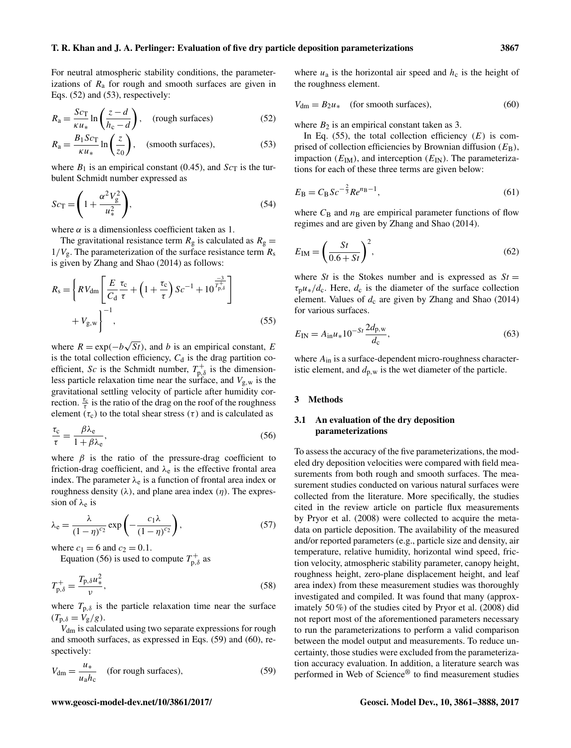For neutral atmospheric stability conditions, the parameterizations of  $R_a$  for rough and smooth surfaces are given in Eqs. (52) and (53), respectively:

$$
R_{\rm a} = \frac{Sc_{\rm T}}{\kappa u_*} \ln \left( \frac{z - d}{h_{\rm c} - d} \right), \quad \text{(rough surfaces)} \tag{52}
$$

$$
R_{\rm a} = \frac{B_1 S c_{\rm T}}{\kappa u_*} \ln \left( \frac{z}{z_0} \right), \quad \text{(smooth surfaces)}, \tag{53}
$$

where  $B_1$  is an empirical constant (0.45), and  $Sc<sub>T</sub>$  is the turbulent Schmidt number expressed as

$$
Sc_{\rm T} = \left(1 + \frac{\alpha^2 V_{\rm g}^2}{u_*^2}\right),\tag{54}
$$

where  $\alpha$  is a dimensionless coefficient taken as 1.

The gravitational resistance term  $R_g$  is calculated as  $R_g =$  $1/V<sub>g</sub>$ . The parameterization of the surface resistance term  $R<sub>s</sub>$ is given by Zhang and Shao (2014) as follows:

$$
R_{\rm s} = \left\{ R V_{\rm dm} \left[ \frac{E}{C_{\rm d}} \frac{\tau_{\rm c}}{\tau} + \left( 1 + \frac{\tau_{\rm c}}{\tau} \right) S c^{-1} + 10 \frac{-3}{T_{\rm p,\delta}^2} \right] + V_{\rm g,w} \right\}^{-1},\tag{55}
$$

where  $R = \exp(-b)$ √  $St$ ), and b is an empirical constant, E is the total collection efficiency,  $C_d$  is the drag partition coefficient, Sc is the Schmidt number,  $T_{p,\delta}^+$  is the dimensionless particle relaxation time near the surface, and  $V_{g,w}$  is the gravitational settling velocity of particle after humidity correction.  $\frac{\tau_c}{\tau}$  is the ratio of the drag on the roof of the roughness element ( $\tau_c$ ) to the total shear stress ( $\tau$ ) and is calculated as

$$
\frac{\tau_{\rm c}}{\tau} = \frac{\beta \lambda_{\rm e}}{1 + \beta \lambda_{\rm e}},\tag{56}
$$

where  $\beta$  is the ratio of the pressure-drag coefficient to friction-drag coefficient, and  $\lambda_e$  is the effective frontal area index. The parameter  $\lambda_e$  is a function of frontal area index or roughness density  $(\lambda)$ , and plane area index  $(\eta)$ . The expression of  $\lambda_e$  is

$$
\lambda_{\rm e} = \frac{\lambda}{(1-\eta)^{c_2}} \exp\left(-\frac{c_1\lambda}{(1-\eta)^{c_2}}\right),\tag{57}
$$

where  $c_1 = 6$  and  $c_2 = 0.1$ .

Equation (56) is used to compute  $T_{p,\delta}^+$  as

$$
T_{\mathbf{p},\delta}^{+} = \frac{T_{\mathbf{p},\delta}u_*^2}{\nu},\tag{58}
$$

where  $T_{p,\delta}$  is the particle relaxation time near the surface  $(T_{\text{p},\delta}=V_{\text{g}}/g).$ 

Vdm is calculated using two separate expressions for rough and smooth surfaces, as expressed in Eqs. (59) and (60), respectively:

$$
V_{\rm dm} = \frac{u_*}{u_a h_c} \quad \text{(for rough surfaces)}, \tag{59}
$$

where  $u_a$  is the horizontal air speed and  $h_c$  is the height of the roughness element.

$$
V_{\rm dm} = B_2 u_* \quad \text{(for smooth surfaces)}, \tag{60}
$$

where  $B_2$  is an empirical constant taken as 3.

In Eq. (55), the total collection efficiency  $(E)$  is comprised of collection efficiencies by Brownian diffusion  $(E_B)$ , impaction  $(E_{\text{IM}})$ , and interception  $(E_{\text{IN}})$ . The parameterizations for each of these three terms are given below:

$$
E_{\rm B} = C_{\rm B} S c^{-\frac{2}{3}} R e^{n_{\rm B} - 1},\tag{61}
$$

where  $C_B$  and  $n_B$  are empirical parameter functions of flow regimes and are given by Zhang and Shao (2014).

$$
E_{\rm IM} = \left(\frac{St}{0.6 + St}\right)^2,\tag{62}
$$

where *St* is the Stokes number and is expressed as  $St =$  $\tau_p u_*/d_c$ . Here,  $d_c$  is the diameter of the surface collection element. Values of  $d_c$  are given by Zhang and Shao (2014) for various surfaces.

$$
E_{\rm IN} = A_{\rm in} u_* 10^{-St} \frac{2d_{\rm p,w}}{d_{\rm c}},\tag{63}
$$

where  $A_{\text{in}}$  is a surface-dependent micro-roughness characteristic element, and  $d_{p,w}$  is the wet diameter of the particle.

# 3 Methods

# 3.1 An evaluation of the dry deposition parameterizations

To assess the accuracy of the five parameterizations, the modeled dry deposition velocities were compared with field measurements from both rough and smooth surfaces. The measurement studies conducted on various natural surfaces were collected from the literature. More specifically, the studies cited in the review article on particle flux measurements by Pryor et al. (2008) were collected to acquire the metadata on particle deposition. The availability of the measured and/or reported parameters (e.g., particle size and density, air temperature, relative humidity, horizontal wind speed, friction velocity, atmospheric stability parameter, canopy height, roughness height, zero-plane displacement height, and leaf area index) from these measurement studies was thoroughly investigated and compiled. It was found that many (approximately 50 %) of the studies cited by Pryor et al. (2008) did not report most of the aforementioned parameters necessary to run the parameterizations to perform a valid comparison between the model output and measurements. To reduce uncertainty, those studies were excluded from the parameterization accuracy evaluation. In addition, a literature search was performed in Web of Science® to find measurement studies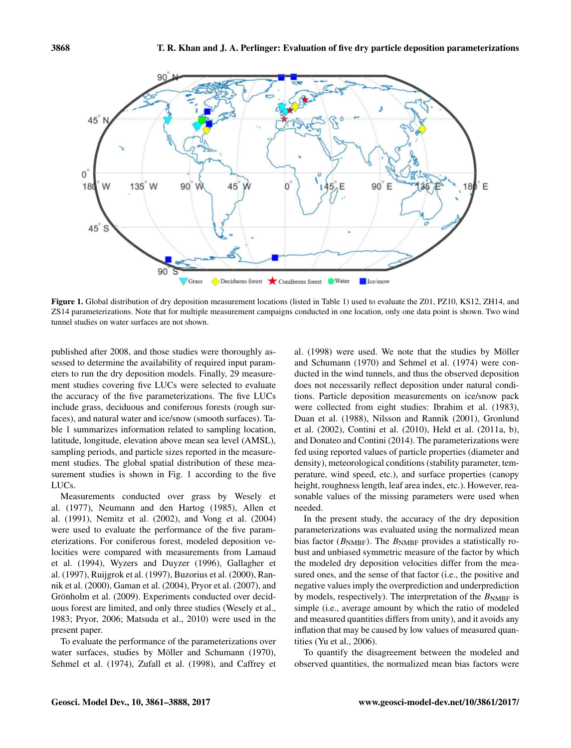

Figure 1. Global distribution of dry deposition measurement locations (listed in Table 1) used to evaluate the Z01, PZ10, KS12, ZH14, and ZS14 parameterizations. Note that for multiple measurement campaigns conducted in one location, only one data point is shown. Two wind tunnel studies on water surfaces are not shown.

published after 2008, and those studies were thoroughly assessed to determine the availability of required input parameters to run the dry deposition models. Finally, 29 measurement studies covering five LUCs were selected to evaluate the accuracy of the five parameterizations. The five LUCs include grass, deciduous and coniferous forests (rough surfaces), and natural water and ice/snow (smooth surfaces). Table 1 summarizes information related to sampling location, latitude, longitude, elevation above mean sea level (AMSL), sampling periods, and particle sizes reported in the measurement studies. The global spatial distribution of these measurement studies is shown in Fig. 1 according to the five LUCs.

Measurements conducted over grass by Wesely et al. (1977), Neumann and den Hartog (1985), Allen et al. (1991), Nemitz et al. (2002), and Vong et al. (2004) were used to evaluate the performance of the five parameterizations. For coniferous forest, modeled deposition velocities were compared with measurements from Lamaud et al. (1994), Wyzers and Duyzer (1996), Gallagher et al. (1997), Ruijgrok et al. (1997), Buzorius et al. (2000), Rannik et al. (2000), Gaman et al. (2004), Pryor et al. (2007), and Grönholm et al. (2009). Experiments conducted over deciduous forest are limited, and only three studies (Wesely et al., 1983; Pryor, 2006; Matsuda et al., 2010) were used in the present paper.

To evaluate the performance of the parameterizations over water surfaces, studies by Möller and Schumann (1970), Sehmel et al. (1974), Zufall et al. (1998), and Caffrey et

al. (1998) were used. We note that the studies by Möller and Schumann (1970) and Sehmel et al. (1974) were conducted in the wind tunnels, and thus the observed deposition does not necessarily reflect deposition under natural conditions. Particle deposition measurements on ice/snow pack were collected from eight studies: Ibrahim et al. (1983), Duan et al. (1988), Nilsson and Rannik (2001), Gronlund et al. (2002), Contini et al. (2010), Held et al. (2011a, b), and Donateo and Contini (2014). The parameterizations were fed using reported values of particle properties (diameter and density), meteorological conditions (stability parameter, temperature, wind speed, etc.), and surface properties (canopy height, roughness length, leaf area index, etc.). However, reasonable values of the missing parameters were used when needed.

In the present study, the accuracy of the dry deposition parameterizations was evaluated using the normalized mean bias factor ( $B<sub>NMBF</sub>$ ). The  $B<sub>NMBF</sub>$  provides a statistically robust and unbiased symmetric measure of the factor by which the modeled dry deposition velocities differ from the measured ones, and the sense of that factor (i.e., the positive and negative values imply the overprediction and underprediction by models, respectively). The interpretation of the  $B<sub>NMBF</sub>$  is simple (i.e., average amount by which the ratio of modeled and measured quantities differs from unity), and it avoids any inflation that may be caused by low values of measured quantities (Yu et al., 2006).

To quantify the disagreement between the modeled and observed quantities, the normalized mean bias factors were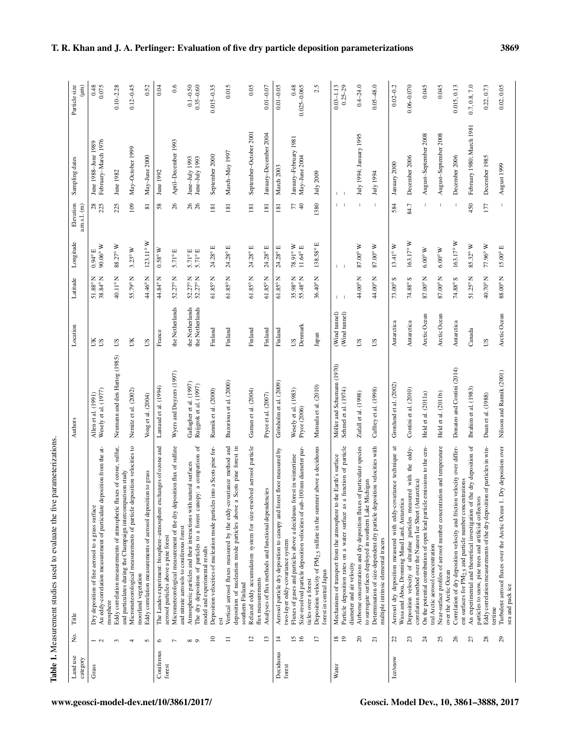| $\frac{1}{2}$<br>$\overline{1}$<br>į |
|--------------------------------------|
| ׇ֘֒<br>ł                             |
| i                                    |
| a via la se                          |
|                                      |
| こくそ くくこく                             |
| ı<br>$\ddot{\phantom{a}}$            |
| i                                    |
|                                      |
| ı<br>j                               |

| Land use<br>category | ş.                  | Title                                                                                                                                                                                  | Authors                                            | Location                           | Latitude                               | Longitude                                          | Elevation<br>a.m.s.l. (m) | Sampling dates                             | Particle size                 |
|----------------------|---------------------|----------------------------------------------------------------------------------------------------------------------------------------------------------------------------------------|----------------------------------------------------|------------------------------------|----------------------------------------|----------------------------------------------------|---------------------------|--------------------------------------------|-------------------------------|
| Grass                | $-2$                | An eddy-correlation measurement of particulate deposition from the at-<br>Dry deposition of fine aerosol to a grass surface                                                            | Wesely et al. (1977)<br>Allen et al. (1991)        | ĔS                                 | $51.88^{\circ}$ N<br>38.84° N          | $90.06^{\circ}$ W<br>$0.94^{\circ}$ E              | 28                        | February-March 1976<br>June 1988-June 1989 | 0.075                         |
|                      | 3                   | Eddy correlation measurements of atmospheric fluxes of ozone, sulfur,<br>mosphere                                                                                                      | Neumann and den Hartog (1985)                      | $\mathop{\mathrm{SU}}$             | 40.11°N                                | 88.27° W                                           | 225                       | June 1982                                  | $0.10 - 2.28$                 |
|                      | 4                   | Micrometeorological measurements of particle deposition velocities to<br>and particulates during the Champaign intercomparison study                                                   | Nemitz et al. (2002)                               | UК                                 | 55.79° N                               | $3.23^{\circ}$ W                                   | 109                       | May-October 1999                           | $0.12 - 0.45$                 |
|                      | S                   | Eddy correlation measurements of aerosol deposition to grass<br>moorland vegetation                                                                                                    | Vong et al. $(2004)$                               | SU                                 | 44.46° N                               | $123.11^{\circ}$ W                                 | $\overline{81}$           | May-June 2000                              | 0.52                          |
| Coniferous<br>forest | $\circ$             | The Landes experiment: biosphere-atmosphere exchanges of ozone and                                                                                                                     | Lamaud et al. (1994)                               | France                             | 44.84° N                               | $0.58^{\circ}\,\rm W$                              | 58                        | June 1992                                  | 0.04                          |
|                      | $\overline{ }$      | Micrometeorological measurement of the dry deposition flux of sulfate<br>aerosol particles above a pine forest                                                                         | Wyers and Duyzers (1997)                           | the Netherlands                    | $52.27^{\circ}$ N                      | 5.71°E                                             | 26                        | April-December 1993                        | 0.6                           |
|                      | $\circ$<br>$\infty$ | The dry deposition of particles to a forest canopy: a comparison of<br>Atmospheric particles and their interactions with natural surfaces<br>and nitrate aerosols to coniferous forest | Gallagher et al. (1997)<br>Ruijgrok et al. (1997)  | the Netherlands<br>the Netherlands | $52.27^{\circ} N$<br>$52.27^{\circ} N$ | $5.71^{\circ} \text{E}$<br>$5.71^{\circ} \text{E}$ | 26                        | June–July 1993<br>June–July 1993           | $0.1 - 0.50$<br>$0.35 - 0.60$ |
|                      | $\approx$           | Deposition velocities of nucleation mode particles into a Scots pine for-<br>model and experimental results                                                                            | Rannik et al. (2000)                               | Finland                            | $61.85^{\circ}$ N                      | 24.28° E                                           | 181                       | September 2000                             | $0.015 - 0.35$                |
|                      | $\equiv$            | Vertical aerosol fluxes measured by the eddy-covariance method and<br>deposition of nucleation mode particles above a Scots pine forest in<br>southern Finland                         | Buzorious et al. (2000)                            | Finland                            | $61.85^{\circ}$ N                      | 24.28° E                                           | 181                       | March-May 1997                             | 0.015                         |
|                      | $\overline{c}$      | Relaxed eddy accumulation system for size-resolved aerosol particle                                                                                                                    | Gaman et al. (2004)                                | Finland                            | $61.85^{\circ}$ N                      | $24.28^{\circ}$ E                                  | 181                       | September-October 2001                     | 0.05                          |
|                      | 13                  | Analyses of flux methods and functional dependencies<br>flux measurements                                                                                                              | Pryor et al. (2007)                                | Finland                            | $61.85^{\circ}$ N                      | 24.28° E                                           | 181                       | January-December 2004                      | $0.01 - 0.07$                 |
| Deciduous<br>forest  | $\overline{4}$      | Aerosol particle dry deposition to canopy and forest floor measured by<br>two-layer eddy-covariance system                                                                             | Grönholm et al. (2009)                             | Finland                            | $61.85^{\circ}$ N                      | 24.28°E                                            | 181                       | March 2003                                 | $0.01 - 0.05$                 |
|                      | 16<br>51            | Size-resolved particle deposition velocities of sub-100 nm diameter par-<br>Fluxes of gases and particles above a deciduous forest in wintertime<br>ticles over a forest               | Wesely et al. (1983)<br>Pryor (2006)               | Dennark<br>SJ                      | 35.98° N<br>55.48° N                   | 78.91°W<br>$11.64^{\circ}$ E                       | 77                        | January-February 1981<br>May-June 2004     | 0.48<br>$0.025 - 0.065$       |
|                      | $\overline{17}$     | Deposition velocity of PM <sub>2.5</sub> sulfate in the summer above a deciduous<br>forest in central Japan                                                                            | Matsuda et al. (2010)                              | Japan                              | $36.40^{\circ}$ N                      | 138.58°E                                           | 1380                      | July 2009                                  | 2.5                           |
| Water                | $\frac{8}{19}$      | function of particle<br>Mechanisms of transport from the atmosphere to the Earth's surface<br>Particle deposition rates on a water surface as a                                        | Möller and Schumann (1970)<br>Sehmel et al. (1974) | (Wind tunnel)<br>(Wind tunnel)     | $\mathbf{I}$                           | $\mathbf{I}$                                       | L                         | $\mathbf{I}$                               | $0.25 - 29$<br>$0.03 - 1.13$  |
|                      | $\approx$           | Airborne concentrations and dry deposition fluxes of particulate species<br>to surrogate surfaces deployed in southern Lake Michigan<br>diameter and air velocity                      | Zufall et al. (1998)                               | SU                                 | 44.00°N                                | 87.00°W                                            |                           | July 1994; January 1995                    | $0.4 - 24.0$                  |
|                      | $\overline{c}$      | Determination of size-dependent dry particle deposition velocities with<br>multiple intrinsic elemental tracers                                                                        | Caffrey et al. (1998)                              | SU                                 | 44.00°N                                | 87.00°W                                            | $\mathbb{I}$              | July 1994                                  | $0.05 - 48.0$                 |
| <b>Ice/snow</b>      | $\mathfrak{L}$      | Aerosol dry deposition measured with eddy-covariance technique at<br>Wasa and Aboa, Dronning Maud Land, Antarctica                                                                     | Gronlund et al. (2002)                             | Antarctica                         | 73.00°S                                | $13.41^{\circ}$ W                                  | 584                       | January 2000                               | $0.02 - 0.2$                  |
|                      | 23                  | Deposition velocity of ultrafine particles measured with the eddy-                                                                                                                     | Contini et al. (2010)                              | Antarctica                         | $74.88^{\circ}$ S                      | $163.17^{\circ}$ W                                 | 84.7                      | December 2006                              | $0.06 - 0.070$                |
|                      | $\overline{z}$      | On the potential contribution of open lead particle emissions to the cen-<br>correlation method over the Nansen Ice Sheet (Antarctica)                                                 | Held et al. (2011a)                                | Arctic Ocean                       | $87.00^{\circ}$ N                      | $6.00^{\circ}\,\textrm{W}$                         | J.                        | August-September 2008                      | 0.045                         |
|                      | 25                  | Near-surface profiles of aerosol number concentration and temperature<br>tral Arctic aerosol concentration                                                                             | Held et al. (2011b)                                | Arctic Ocean                       | 87.00°N                                | $6.00^{\circ}$ W                                   | т                         | August-September 2008                      | 0.045                         |
|                      | 26                  | velocity over differ-<br>Correlation of dry deposition velocity and friction<br>over the Arctic Ocean                                                                                  | Donateo and Contini (2014)                         | Antarctica                         | $74.88^\circ$ S                        | $163.17^{\circ}$ W                                 |                           | December 2006                              | 0.015, 0.13                   |
|                      | 27                  | An experimental and theoretical investigation of the dry deposition of<br>ent surfaces for PM <sub>2.5</sub> and particle number concentrations                                        | Ibrahim et al. (1983)                              | Canada                             | 51.25°N                                | 85.32° W                                           | 450                       | February 1980; March 1981                  | 0.7, 0.8, 7.0                 |
|                      | $^{28}$             | Eddy correlation measurements of the dry deposition of particles in win-<br>particles to snow, pine trees and artificial collectors                                                    | Duan et al. (1988)                                 | $\mathop{\rm \Xi}\nolimits$        | 40.70°N                                | $77.96^{\circ}\,\textrm{W}$                        | 177                       | December 1985                              | 0.22, 0.73                    |
|                      | $^{29}$             | Dry deposition over<br>Turbulent aerosol fluxes over the Arctic Ocean 1.<br>sea and pack ice<br>tertime                                                                                | Nilsson and Rannik (2001)                          | Arctic Ocean                       | $88.00^\circ\!\!\rm N$                 | $15.00^{\circ} \, \text{E}$                        |                           | August 1999                                | 0.02, 0.05                    |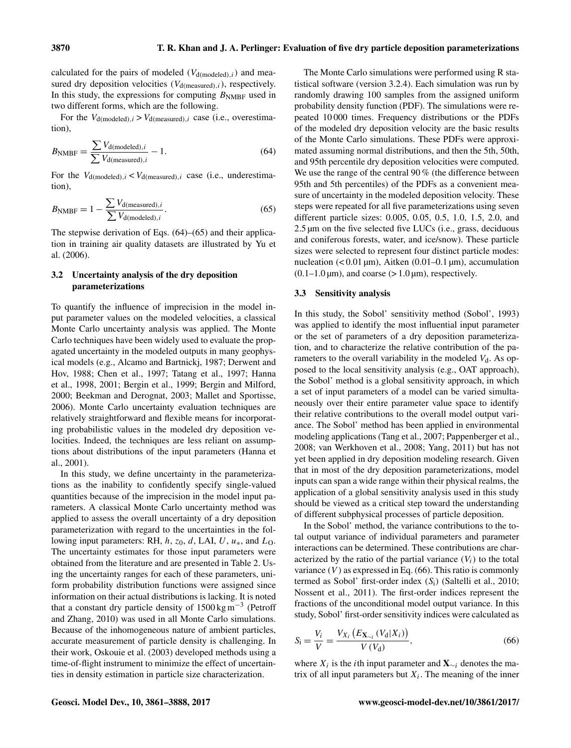calculated for the pairs of modeled  $(V_{d (modeled),i})$  and measured dry deposition velocities  $(V_{d(measured),i})$ , respectively. In this study, the expressions for computing  $B_{\text{NMBF}}$  used in two different forms, which are the following.

For the  $V_{d (modeled), i} > V_{d (measured), i}$  case (i.e., overestimation),

$$
B_{\text{NMBF}} = \frac{\sum V_{\text{d(modeled)},i}}{\sum V_{\text{d(measured)},i}} - 1.
$$
 (64)

For the  $V_{\text{d(moded)},i} < V_{\text{d(measured)},i}$  case (i.e., underestimation),

$$
B_{\text{NMBF}} = 1 - \frac{\sum V_{\text{d}(\text{measured}),i}}{\sum V_{\text{d}(\text{modeled}),i}}.
$$
 (65)

The stepwise derivation of Eqs. (64)–(65) and their application in training air quality datasets are illustrated by Yu et al. (2006).

# 3.2 Uncertainty analysis of the dry deposition parameterizations

To quantify the influence of imprecision in the model input parameter values on the modeled velocities, a classical Monte Carlo uncertainty analysis was applied. The Monte Carlo techniques have been widely used to evaluate the propagated uncertainty in the modeled outputs in many geophysical models (e.g., Alcamo and Bartnickj, 1987; Derwent and Hov, 1988; Chen et al., 1997; Tatang et al., 1997; Hanna et al., 1998, 2001; Bergin et al., 1999; Bergin and Milford, 2000; Beekman and Derognat, 2003; Mallet and Sportisse, 2006). Monte Carlo uncertainty evaluation techniques are relatively straightforward and flexible means for incorporating probabilistic values in the modeled dry deposition velocities. Indeed, the techniques are less reliant on assumptions about distributions of the input parameters (Hanna et al., 2001).

In this study, we define uncertainty in the parameterizations as the inability to confidently specify single-valued quantities because of the imprecision in the model input parameters. A classical Monte Carlo uncertainty method was applied to assess the overall uncertainty of a dry deposition parameterization with regard to the uncertainties in the following input parameters: RH,  $h$ ,  $z_0$ ,  $d$ , LAI,  $U$ ,  $u_*$ , and  $L_0$ . The uncertainty estimates for those input parameters were obtained from the literature and are presented in Table 2. Using the uncertainty ranges for each of these parameters, uniform probability distribution functions were assigned since information on their actual distributions is lacking. It is noted that a constant dry particle density of  $1500 \text{ kg m}^{-3}$  (Petroff and Zhang, 2010) was used in all Monte Carlo simulations. Because of the inhomogeneous nature of ambient particles, accurate measurement of particle density is challenging. In their work, Oskouie et al. (2003) developed methods using a time-of-flight instrument to minimize the effect of uncertainties in density estimation in particle size characterization.

The Monte Carlo simulations were performed using R statistical software (version 3.2.4). Each simulation was run by randomly drawing 100 samples from the assigned uniform probability density function (PDF). The simulations were repeated 10 000 times. Frequency distributions or the PDFs of the modeled dry deposition velocity are the basic results of the Monte Carlo simulations. These PDFs were approximated assuming normal distributions, and then the 5th, 50th, and 95th percentile dry deposition velocities were computed. We use the range of the central 90 % (the difference between 95th and 5th percentiles) of the PDFs as a convenient measure of uncertainty in the modeled deposition velocity. These steps were repeated for all five parameterizations using seven different particle sizes: 0.005, 0.05, 0.5, 1.0, 1.5, 2.0, and 2.5 µm on the five selected five LUCs (i.e., grass, deciduous and coniferous forests, water, and ice/snow). These particle sizes were selected to represent four distinct particle modes: nucleation  $(< 0.01 \,\mu m$ ), Aitken  $(0.01-0.1 \,\mu m)$ , accumulation  $(0.1-1.0 \,\mu\text{m})$ , and coarse  $(> 1.0 \,\mu\text{m})$ , respectively.

# 3.3 Sensitivity analysis

In this study, the Sobol' sensitivity method (Sobol', 1993) was applied to identify the most influential input parameter or the set of parameters of a dry deposition parameterization, and to characterize the relative contribution of the parameters to the overall variability in the modeled  $V<sub>d</sub>$ . As opposed to the local sensitivity analysis (e.g., OAT approach), the Sobol' method is a global sensitivity approach, in which a set of input parameters of a model can be varied simultaneously over their entire parameter value space to identify their relative contributions to the overall model output variance. The Sobol' method has been applied in environmental modeling applications (Tang et al., 2007; Pappenberger et al., 2008; van Werkhoven et al., 2008; Yang, 2011) but has not yet been applied in dry deposition modeling research. Given that in most of the dry deposition parameterizations, model inputs can span a wide range within their physical realms, the application of a global sensitivity analysis used in this study should be viewed as a critical step toward the understanding of different subphysical processes of particle deposition.

In the Sobol' method, the variance contributions to the total output variance of individual parameters and parameter interactions can be determined. These contributions are characterized by the ratio of the partial variance  $(V_i)$  to the total variance  $(V)$  as expressed in Eq. (66). This ratio is commonly termed as Sobol' first-order index (Si) (Saltelli et al., 2010; Nossent et al., 2011). The first-order indices represent the fractions of the unconditional model output variance. In this study, Sobol' first-order sensitivity indices were calculated as

$$
S_{i} = \frac{V_{i}}{V} = \frac{V_{X_{i}}(E_{\mathbf{X}_{\sim i}}(V_{d}|X_{i}))}{V(V_{d})},
$$
\n(66)

where  $X_i$  is the *i*th input parameter and  $X_{\sim i}$  denotes the matrix of all input parameters but  $X_i$ . The meaning of the inner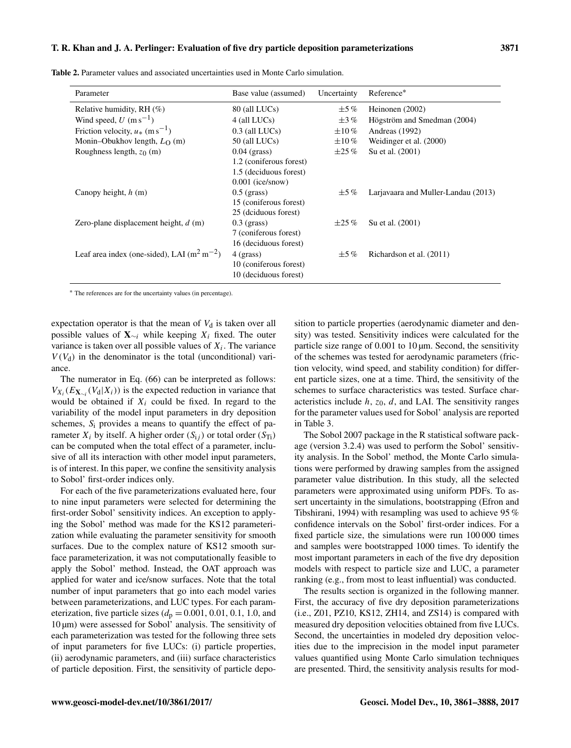| Parameter                                       | Base value (assumed)    | Uncertainty  | Reference*                          |
|-------------------------------------------------|-------------------------|--------------|-------------------------------------|
| Relative humidity, RH $(\%)$                    | 80 (all LUCs)           | $\pm$ 5 $\%$ | Heinonen (2002)                     |
| Wind speed, $U$ (m s <sup>-1</sup> )            | $4$ (all LUCs)          | $\pm 3\%$    | Högström and Smedman (2004)         |
| Friction velocity, $u_*$ (m s <sup>-1</sup> )   | $0.3$ (all LUCs)        | $\pm 10\%$   | Andreas (1992)                      |
| Monin-Obukhov length, $L_{\Omega}$ (m)          | $50$ (all LUCs)         | $\pm 10\%$   | Weidinger et al. (2000)             |
| Roughness length, $z_0$ (m)                     | $0.04$ (grass)          | $\pm 25\%$   | Su et al. (2001)                    |
|                                                 | 1.2 (coniferous forest) |              |                                     |
|                                                 | 1.5 (deciduous forest)  |              |                                     |
|                                                 | $0.001$ (ice/snow)      |              |                                     |
| Canopy height, $h(m)$                           | $0.5$ (grass)           | $\pm$ 5%     | Larjavaara and Muller-Landau (2013) |
|                                                 | 15 (coniferous forest)  |              |                                     |
|                                                 | 25 (dciduous forest)    |              |                                     |
| Zero-plane displacement height, $d(m)$          | $0.3$ (grass)           | $\pm 25\%$   | Su et al. (2001)                    |
|                                                 | 7 (coniferous forest)   |              |                                     |
|                                                 | 16 (deciduous forest)   |              |                                     |
| Leaf area index (one-sided), LAI $(m^2 m^{-2})$ | $4$ (grass)             | $\pm$ 5%     | Richardson et al. (2011)            |
|                                                 | 10 (coniferous forest)  |              |                                     |
|                                                 | 10 (deciduous forest)   |              |                                     |

Table 2. Parameter values and associated uncertainties used in Monte Carlo simulation.

<sup>∗</sup> The references are for the uncertainty values (in percentage).

expectation operator is that the mean of  $V_d$  is taken over all possible values of  $X_{\sim i}$  while keeping  $X_i$  fixed. The outer variance is taken over all possible values of  $X_i$ . The variance  $V(V_d)$  in the denominator is the total (unconditional) variance.

The numerator in Eq. (66) can be interpreted as follows:  $V_{X_i}(E_{\mathbf{X}_{\sim i}}(V_{\mathbf{d}}|X_i))$  is the expected reduction in variance that would be obtained if  $X_i$  could be fixed. In regard to the variability of the model input parameters in dry deposition schemes,  $S_i$  provides a means to quantify the effect of parameter  $X_i$  by itself. A higher order  $(S_{i,j})$  or total order  $(S_{Ti})$ can be computed when the total effect of a parameter, inclusive of all its interaction with other model input parameters, is of interest. In this paper, we confine the sensitivity analysis to Sobol' first-order indices only.

For each of the five parameterizations evaluated here, four to nine input parameters were selected for determining the first-order Sobol' sensitivity indices. An exception to applying the Sobol' method was made for the KS12 parameterization while evaluating the parameter sensitivity for smooth surfaces. Due to the complex nature of KS12 smooth surface parameterization, it was not computationally feasible to apply the Sobol' method. Instead, the OAT approach was applied for water and ice/snow surfaces. Note that the total number of input parameters that go into each model varies between parameterizations, and LUC types. For each parameterization, five particle sizes ( $d_p = 0.001, 0.01, 0.1, 1.0$ , and  $10 \,\mu m$ ) were assessed for Sobol' analysis. The sensitivity of each parameterization was tested for the following three sets of input parameters for five LUCs: (i) particle properties, (ii) aerodynamic parameters, and (iii) surface characteristics of particle deposition. First, the sensitivity of particle deposition to particle properties (aerodynamic diameter and density) was tested. Sensitivity indices were calculated for the particle size range of  $0.001$  to  $10 \mu m$ . Second, the sensitivity of the schemes was tested for aerodynamic parameters (friction velocity, wind speed, and stability condition) for different particle sizes, one at a time. Third, the sensitivity of the schemes to surface characteristics was tested. Surface characteristics include  $h$ ,  $z_0$ ,  $d$ , and LAI. The sensitivity ranges for the parameter values used for Sobol' analysis are reported in Table 3.

The Sobol 2007 package in the R statistical software package (version 3.2.4) was used to perform the Sobol' sensitivity analysis. In the Sobol' method, the Monte Carlo simulations were performed by drawing samples from the assigned parameter value distribution. In this study, all the selected parameters were approximated using uniform PDFs. To assert uncertainty in the simulations, bootstrapping (Efron and Tibshirani, 1994) with resampling was used to achieve 95 % confidence intervals on the Sobol' first-order indices. For a fixed particle size, the simulations were run 100 000 times and samples were bootstrapped 1000 times. To identify the most important parameters in each of the five dry deposition models with respect to particle size and LUC, a parameter ranking (e.g., from most to least influential) was conducted.

The results section is organized in the following manner. First, the accuracy of five dry deposition parameterizations (i.e., Z01, PZ10, KS12, ZH14, and ZS14) is compared with measured dry deposition velocities obtained from five LUCs. Second, the uncertainties in modeled dry deposition velocities due to the imprecision in the model input parameter values quantified using Monte Carlo simulation techniques are presented. Third, the sensitivity analysis results for mod-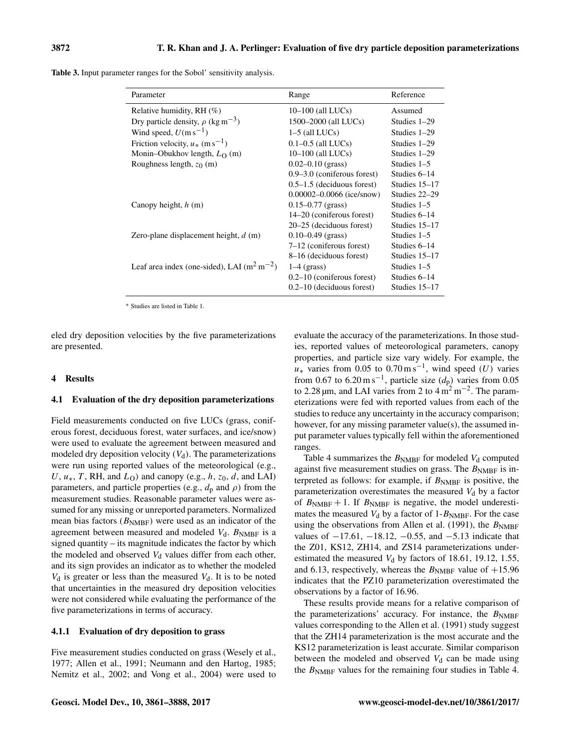Table 3. Input parameter ranges for the Sobol' sensitivity analysis.

| Parameter                                          | Range                           | Reference     |
|----------------------------------------------------|---------------------------------|---------------|
| Relative humidity, RH $(\%)$                       | $10-100$ (all LUCs)             | Assumed       |
| Dry particle density, $\rho$ (kg m <sup>-3</sup> ) | 1500–2000 (all LUCs)            | Studies 1–29  |
| Wind speed, $U(m s^{-1})$                          | $1-5$ (all LUCs)                | Studies 1–29  |
| Friction velocity, $u_*$ (m s <sup>-1</sup> )      | $0.1 - 0.5$ (all LUCs)          | Studies 1-29  |
| Monin-Obukhov length, $L_{\Omega}$ (m)             | $10-100$ (all LUCs)             | Studies 1-29  |
| Roughness length, $z_0$ (m)                        | $0.02 - 0.10$ (grass)           | Studies $1-5$ |
|                                                    | $0.9 - 3.0$ (coniferous forest) | Studies 6–14  |
|                                                    | $0.5-1.5$ (deciduous forest)    | Studies 15–17 |
|                                                    | $0.00002 - 0.0066$ (ice/snow)   | Studies 22–29 |
| Canopy height, $h(m)$                              | $0.15 - 0.77$ (grass)           | Studies 1–5   |
|                                                    | 14–20 (coniferous forest)       | Studies 6–14  |
|                                                    | 20–25 (deciduous forest)        | Studies 15–17 |
| Zero-plane displacement height, $d$ (m)            | $0.10 - 0.49$ (grass)           | Studies 1–5   |
|                                                    | 7–12 (coniferous forest)        | Studies 6-14  |
|                                                    | 8–16 (deciduous forest)         | Studies 15–17 |
| Leaf area index (one-sided), LAI $(m^2 m^{-2})$    | $1-4$ (grass)                   | Studies 1–5   |
|                                                    | $0.2-10$ (coniferous forest)    | Studies 6–14  |
|                                                    | $0.2-10$ (deciduous forest)     | Studies 15–17 |

<sup>∗</sup> Studies are listed in Table 1.

eled dry deposition velocities by the five parameterizations are presented.

## 4 Results

## 4.1 Evaluation of the dry deposition parameterizations

Field measurements conducted on five LUCs (grass, coniferous forest, deciduous forest, water surfaces, and ice/snow) were used to evaluate the agreement between measured and modeled dry deposition velocity  $(V_d)$ . The parameterizations were run using reported values of the meteorological (e.g., U,  $u_*$ , T, RH, and  $L_0$ ) and canopy (e.g., h,  $z_0$ , d, and LAI) parameters, and particle properties (e.g.,  $d_p$  and  $\rho$ ) from the measurement studies. Reasonable parameter values were assumed for any missing or unreported parameters. Normalized mean bias factors  $(B<sub>NMBF</sub>)$  were used as an indicator of the agreement between measured and modeled  $V_d$ .  $B_{\text{NMBF}}$  is a signed quantity – its magnitude indicates the factor by which the modeled and observed  $V<sub>d</sub>$  values differ from each other, and its sign provides an indicator as to whether the modeled  $V_d$  is greater or less than the measured  $V_d$ . It is to be noted that uncertainties in the measured dry deposition velocities were not considered while evaluating the performance of the five parameterizations in terms of accuracy.

## 4.1.1 Evaluation of dry deposition to grass

Five measurement studies conducted on grass (Wesely et al., 1977; Allen et al., 1991; Neumann and den Hartog, 1985; Nemitz et al., 2002; and Vong et al., 2004) were used to evaluate the accuracy of the parameterizations. In those studies, reported values of meteorological parameters, canopy properties, and particle size vary widely. For example, the  $u_*$  varies from 0.05 to 0.70 m s<sup>-1</sup>, wind speed (U) varies from 0.67 to 6.20 m s<sup>-1</sup>, particle size  $(d_p)$  varies from 0.05 to 2.28  $\mu$ m, and LAI varies from 2 to 4 m<sup>2</sup> m<sup>-2</sup>. The parameterizations were fed with reported values from each of the studies to reduce any uncertainty in the accuracy comparison; however, for any missing parameter value(s), the assumed input parameter values typically fell within the aforementioned ranges.

Table 4 summarizes the  $B<sub>NMBF</sub>$  for modeled  $V<sub>d</sub>$  computed against five measurement studies on grass. The  $B<sub>NMBF</sub>$  is interpreted as follows: for example, if  $B<sub>NMBF</sub>$  is positive, the parameterization overestimates the measured  $V<sub>d</sub>$  by a factor of  $B_{\text{NMBF}} + 1$ . If  $B_{\text{NMBF}}$  is negative, the model underestimates the measured  $V_d$  by a factor of 1- $B<sub>NMBF</sub>$ . For the case using the observations from Allen et al. (1991), the  $B_{\text{NMBF}}$ values of  $-17.61$ ,  $-18.12$ ,  $-0.55$ , and  $-5.13$  indicate that the Z01, KS12, ZH14, and ZS14 parameterizations underestimated the measured  $V_d$  by factors of 18.61, 19.12, 1.55, and 6.13, respectively, whereas the  $B<sub>NMBF</sub>$  value of  $+15.96$ indicates that the PZ10 parameterization overestimated the observations by a factor of 16.96.

These results provide means for a relative comparison of the parameterizations' accuracy. For instance, the  $B_{\text{NMBF}}$ values corresponding to the Allen et al. (1991) study suggest that the ZH14 parameterization is the most accurate and the KS12 parameterization is least accurate. Similar comparison between the modeled and observed  $V_d$  can be made using the  $B<sub>NMBF</sub>$  values for the remaining four studies in Table 4.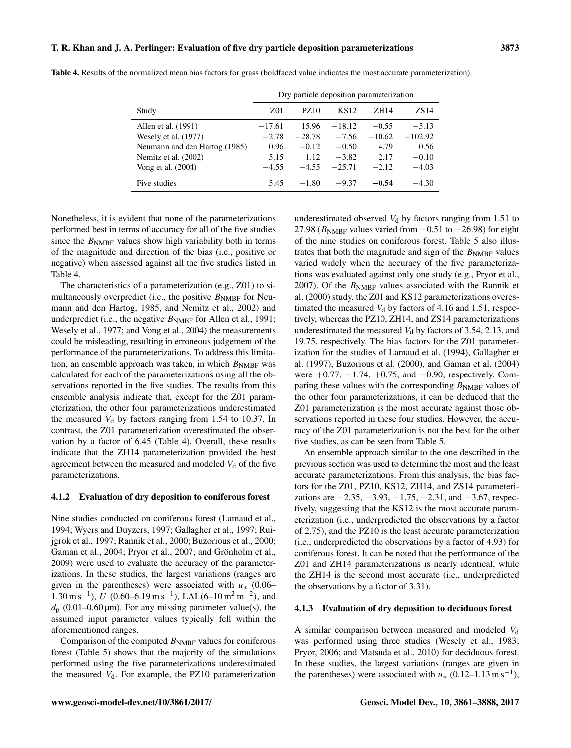|                               |          | Dry particle deposition parameterization |                  |          |                  |
|-------------------------------|----------|------------------------------------------|------------------|----------|------------------|
| Study                         | Z01      | PZ10                                     | KS <sub>12</sub> | ZH14     | ZS <sub>14</sub> |
| Allen et al. (1991)           | $-17.61$ | 15.96                                    | $-18.12$         | $-0.55$  | $-5.13$          |
| Wesely et al. (1977)          | $-2.78$  | $-28.78$                                 | $-7.56$          | $-10.62$ | $-102.92$        |
| Neumann and den Hartog (1985) | 0.96     | $-0.12$                                  | $-0.50$          | 4.79     | 0.56             |
| Nemitz et al. (2002)          | 5.15     | 1.12                                     | $-3.82$          | 2.17     | $-0.10$          |
| Vong et al. (2004)            | $-4.55$  | $-4.55$                                  | $-25.71$         | $-2.12$  | $-4.03$          |
| Five studies                  | 5.45     | $-1.80$                                  | $-9.37$          | $-0.54$  | $-4.30$          |

Table 4. Results of the normalized mean bias factors for grass (boldfaced value indicates the most accurate parameterization).

Nonetheless, it is evident that none of the parameterizations performed best in terms of accuracy for all of the five studies since the  $B<sub>NMBF</sub>$  values show high variability both in terms of the magnitude and direction of the bias (i.e., positive or negative) when assessed against all the five studies listed in Table 4.

The characteristics of a parameterization (e.g., Z01) to simultaneously overpredict (i.e., the positive  $B<sub>NMBF</sub>$  for Neumann and den Hartog, 1985, and Nemitz et al., 2002) and underpredict (i.e., the negative  $B_{\text{NMBF}}$  for Allen et al., 1991; Wesely et al., 1977; and Vong et al., 2004) the measurements could be misleading, resulting in erroneous judgement of the performance of the parameterizations. To address this limitation, an ensemble approach was taken, in which  $B_{\text{NMBF}}$  was calculated for each of the parameterizations using all the observations reported in the five studies. The results from this ensemble analysis indicate that, except for the Z01 parameterization, the other four parameterizations underestimated the measured  $V_d$  by factors ranging from 1.54 to 10.37. In contrast, the Z01 parameterization overestimated the observation by a factor of 6.45 (Table 4). Overall, these results indicate that the ZH14 parameterization provided the best agreement between the measured and modeled  $V<sub>d</sub>$  of the five parameterizations.

## 4.1.2 Evaluation of dry deposition to coniferous forest

Nine studies conducted on coniferous forest (Lamaud et al., 1994; Wyers and Duyzers, 1997; Gallagher et al., 1997; Ruijgrok et al., 1997; Rannik et al., 2000; Buzorious et al., 2000; Gaman et al., 2004; Pryor et al., 2007; and Grönholm et al., 2009) were used to evaluate the accuracy of the parameterizations. In these studies, the largest variations (ranges are given in the parentheses) were associated with  $u_*$  (0.06– 1.30 m s<sup>-1</sup>),  $\bar{U}$  (0.60–6.19 m s<sup>-1</sup>), LAI (6–10 m<sup>2</sup> m<sup>-2</sup>), and  $d_p$  (0.01–0.60 µm). For any missing parameter value(s), the assumed input parameter values typically fell within the aforementioned ranges.

Comparison of the computed  $B<sub>NMBF</sub>$  values for coniferous forest (Table 5) shows that the majority of the simulations performed using the five parameterizations underestimated the measured  $V<sub>d</sub>$ . For example, the PZ10 parameterization underestimated observed  $V_d$  by factors ranging from 1.51 to 27.98 ( $B<sub>NMBF</sub>$  values varied from  $-0.51$  to  $-26.98$ ) for eight of the nine studies on coniferous forest. Table 5 also illustrates that both the magnitude and sign of the  $B<sub>NMBF</sub>$  values varied widely when the accuracy of the five parameterizations was evaluated against only one study (e.g., Pryor et al., 2007). Of the  $B<sub>NMBF</sub>$  values associated with the Rannik et al. (2000) study, the Z01 and KS12 parameterizations overestimated the measured  $V_d$  by factors of 4.16 and 1.51, respectively, whereas the PZ10, ZH14, and ZS14 parameterizations underestimated the measured  $V_d$  by factors of 3.54, 2.13, and 19.75, respectively. The bias factors for the Z01 parameterization for the studies of Lamaud et al. (1994), Gallagher et al. (1997), Buzorious et al. (2000), and Gaman et al. (2004) were  $+0.77, -1.74, +0.75,$  and  $-0.90$ , respectively. Comparing these values with the corresponding  $B<sub>NMBF</sub>$  values of the other four parameterizations, it can be deduced that the Z01 parameterization is the most accurate against those observations reported in these four studies. However, the accuracy of the Z01 parameterization is not the best for the other five studies, as can be seen from Table 5.

An ensemble approach similar to the one described in the previous section was used to determine the most and the least accurate parameterizations. From this analysis, the bias factors for the Z01, PZ10, KS12, ZH14, and ZS14 parameterizations are  $-2.35, -3.93, -1.75, -2.31,$  and  $-3.67$ , respectively, suggesting that the KS12 is the most accurate parameterization (i.e., underpredicted the observations by a factor of 2.75), and the PZ10 is the least accurate parameterization (i.e., underpredicted the observations by a factor of 4.93) for coniferous forest. It can be noted that the performance of the Z01 and ZH14 parameterizations is nearly identical, while the ZH14 is the second most accurate (i.e., underpredicted the observations by a factor of 3.31).

#### 4.1.3 Evaluation of dry deposition to deciduous forest

A similar comparison between measured and modeled  $V<sub>d</sub>$ was performed using three studies (Wesely et al., 1983; Pryor, 2006; and Matsuda et al., 2010) for deciduous forest. In these studies, the largest variations (ranges are given in the parentheses) were associated with  $u_*$  (0.12–1.13 m s<sup>-1</sup>),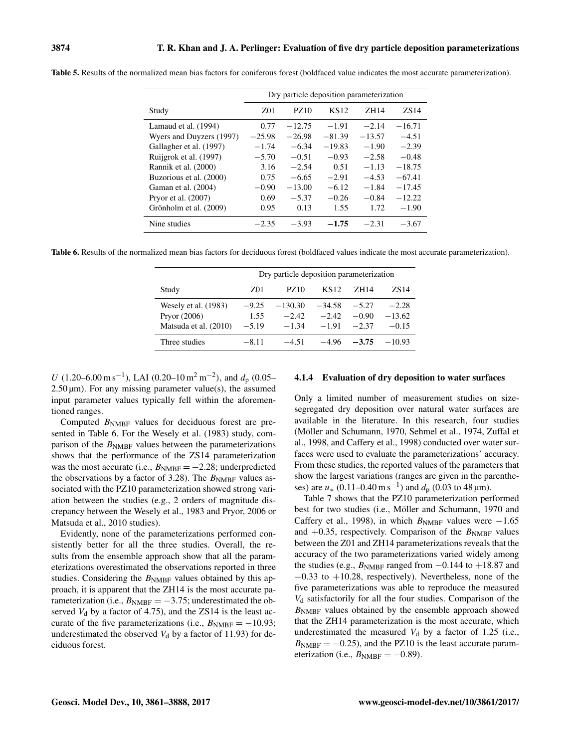|                          |          | Dry particle deposition parameterization |                  |          |                  |
|--------------------------|----------|------------------------------------------|------------------|----------|------------------|
| Study                    | Z01      | PZ10                                     | KS <sub>12</sub> | ZH14     | ZS <sub>14</sub> |
| Lamaud et al. (1994)     | 0.77     | $-12.75$                                 | $-1.91$          | $-2.14$  | $-16.71$         |
| Wyers and Duyzers (1997) | $-25.98$ | $-26.98$                                 | $-81.39$         | $-13.57$ | $-4.51$          |
| Gallagher et al. (1997)  | $-1.74$  | $-6.34$                                  | $-19.83$         | $-1.90$  | $-2.39$          |
| Ruijgrok et al. (1997)   | $-5.70$  | $-0.51$                                  | $-0.93$          | $-2.58$  | $-0.48$          |
| Rannik et al. (2000)     | 3.16     | $-2.54$                                  | 0.51             | $-1.13$  | $-18.75$         |
| Buzorious et al. (2000)  | 0.75     | $-6.65$                                  | $-2.91$          | $-4.53$  | $-67.41$         |
| Gaman et al. (2004)      | $-0.90$  | $-13.00$                                 | $-6.12$          | $-1.84$  | $-17.45$         |
| Pryor et al. (2007)      | 0.69     | $-5.37$                                  | $-0.26$          | $-0.84$  | $-12.22$         |
| Grönholm et al. (2009)   | 0.95     | 0.13                                     | 1.55             | 1.72     | $-1.90$          |
| Nine studies             | $-2.35$  | $-3.93$                                  | $-1.75$          | $-2.31$  | $-3.67$          |

Table 5. Results of the normalized mean bias factors for coniferous forest (boldfaced value indicates the most accurate parameterization).

Table 6. Results of the normalized mean bias factors for deciduous forest (boldfaced values indicate the most accurate parameterization).

|                       |         | Dry particle deposition parameterization |                  |         |          |
|-----------------------|---------|------------------------------------------|------------------|---------|----------|
| Study                 | Z01     | PZ10                                     | KS <sub>12</sub> | ZH 14   | ZS 14    |
| Wesely et al. (1983)  | $-9.25$ | $-130.30$                                | $-34.58$         | $-5.27$ | $-2.28$  |
| Pryor $(2006)$        | 1.55    | $-2.42$                                  | $-2.42$          | $-0.90$ | $-13.62$ |
| Matsuda et al. (2010) | $-5.19$ | $-1.34$                                  | $-191$           | $-2.37$ | $-0.15$  |
| Three studies         | $-8.11$ | $-4.51$                                  | $-4.96$          | $-3.75$ | $-10.93$ |

U (1.20–6.00 m s<sup>-1</sup>), LAI (0.20–10 m<sup>2</sup> m<sup>-2</sup>), and  $d_p$  (0.05–  $2.50 \,\mu$ m). For any missing parameter value(s), the assumed input parameter values typically fell within the aforementioned ranges.

Computed  $B<sub>NMBF</sub>$  values for deciduous forest are presented in Table 6. For the Wesely et al. (1983) study, comparison of the  $B<sub>NMBF</sub>$  values between the parameterizations shows that the performance of the ZS14 parameterization was the most accurate (i.e.,  $B<sub>NMBF</sub> = -2.28$ ; underpredicted the observations by a factor of 3.28). The  $B_{\text{NMBF}}$  values associated with the PZ10 parameterization showed strong variation between the studies (e.g., 2 orders of magnitude discrepancy between the Wesely et al., 1983 and Pryor, 2006 or Matsuda et al., 2010 studies).

Evidently, none of the parameterizations performed consistently better for all the three studies. Overall, the results from the ensemble approach show that all the parameterizations overestimated the observations reported in three studies. Considering the  $B_{\text{NMBF}}$  values obtained by this approach, it is apparent that the ZH14 is the most accurate parameterization (i.e.,  $B_{\text{NMBF}} = -3.75$ ; underestimated the observed  $V_d$  by a factor of 4.75), and the ZS14 is the least accurate of the five parameterizations (i.e.,  $B_{\text{NMBF}} = -10.93$ ; underestimated the observed  $V_d$  by a factor of 11.93) for deciduous forest.

#### 4.1.4 Evaluation of dry deposition to water surfaces

Only a limited number of measurement studies on sizesegregated dry deposition over natural water surfaces are available in the literature. In this research, four studies (Möller and Schumann, 1970, Sehmel et al., 1974, Zuffal et al., 1998, and Caffery et al., 1998) conducted over water surfaces were used to evaluate the parameterizations' accuracy. From these studies, the reported values of the parameters that show the largest variations (ranges are given in the parentheses) are  $u_*$  (0.11–0.40 m s<sup>-1</sup>) and  $d_p$  (0.03 to 48 µm).

Table 7 shows that the PZ10 parameterization performed best for two studies (i.e., Möller and Schumann, 1970 and Caffery et al., 1998), in which  $B_{\text{NMBF}}$  values were  $-1.65$ and  $+0.35$ , respectively. Comparison of the  $B<sub>NMBF</sub>$  values between the Z01 and ZH14 parameterizations reveals that the accuracy of the two parameterizations varied widely among the studies (e.g.,  $B_{\text{NMBF}}$  ranged from  $-0.144$  to  $+18.87$  and −0.33 to +10.28, respectively). Nevertheless, none of the five parameterizations was able to reproduce the measured  $V<sub>d</sub>$  satisfactorily for all the four studies. Comparison of the  $B<sub>NMBF</sub>$  values obtained by the ensemble approach showed that the ZH14 parameterization is the most accurate, which underestimated the measured  $V_d$  by a factor of 1.25 (i.e.,  $B<sub>NMBF</sub> = -0.25$ , and the PZ10 is the least accurate parameterization (i.e.,  $B_{\text{NMBF}} = -0.89$ ).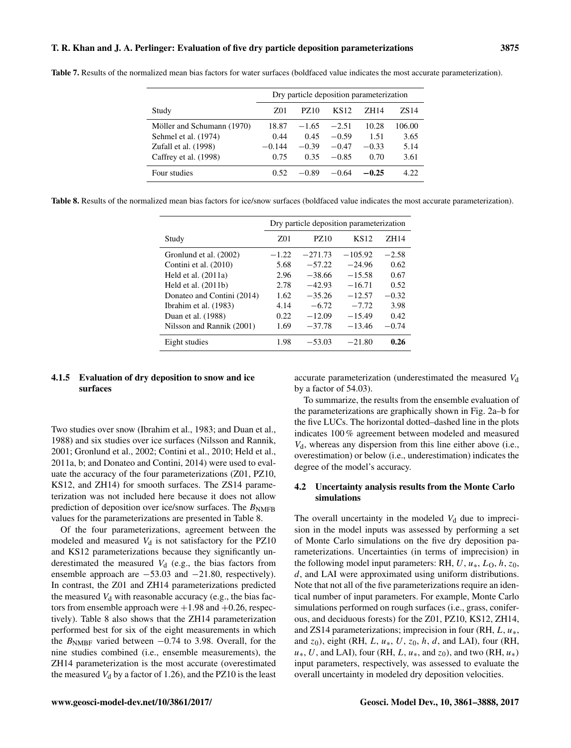|                            |          | Dry particle deposition parameterization |                  |         |        |
|----------------------------|----------|------------------------------------------|------------------|---------|--------|
| Study                      | Z01      | PZ10                                     | KS <sub>12</sub> | ZH14    | ZS 14  |
| Möller and Schumann (1970) | 18.87    | $-1.65$                                  | $-2.51$          | 10.28   | 106.00 |
| Sehmel et al. (1974)       | 0.44     | 0.45                                     | $-0.59$          | 1.51    | 3.65   |
| Zufall et al. (1998)       | $-0.144$ | $-0.39$                                  | $-0.47$          | $-0.33$ | 5.14   |
| Caffrey et al. (1998)      | 0.75     | 0.35                                     | $-0.85$          | 0.70    | 3.61   |
| Four studies               | 0.52     | $-0.89$                                  | $-0.64$          | $-0.25$ | 4.22   |

Table 7. Results of the normalized mean bias factors for water surfaces (boldfaced value indicates the most accurate parameterization).

Table 8. Results of the normalized mean bias factors for ice/snow surfaces (boldfaced value indicates the most accurate parameterization).

|                            |         |             | Dry particle deposition parameterization |         |
|----------------------------|---------|-------------|------------------------------------------|---------|
| Study                      | Z01     | <b>PZ10</b> | KS <sub>12</sub>                         | ZH14    |
| Gronlund et al. (2002)     | $-1.22$ | $-271.73$   | $-105.92$                                | $-2.58$ |
| Contini et al. (2010)      | 5.68    | $-57.22$    | $-24.96$                                 | 0.62    |
| Held et al. $(2011a)$      | 2.96    | $-38.66$    | $-15.58$                                 | 0.67    |
| Held et al. $(2011b)$      | 2.78    | $-42.93$    | $-16.71$                                 | 0.52    |
| Donateo and Contini (2014) | 1.62    | $-35.26$    | $-12.57$                                 | $-0.32$ |
| Ibrahim et al. (1983)      | 4.14    | $-6.72$     | $-7.72$                                  | 3.98    |
| Duan et al. (1988)         | 0.22.   | $-12.09$    | $-15.49$                                 | 0.42    |
| Nilsson and Rannik (2001)  | 1.69    | $-37.78$    | $-13.46$                                 | $-0.74$ |
| Eight studies              | 1.98    | $-53.03$    | $-21.80$                                 | 0.26    |

# 4.1.5 Evaluation of dry deposition to snow and ice surfaces

Two studies over snow (Ibrahim et al., 1983; and Duan et al., 1988) and six studies over ice surfaces (Nilsson and Rannik, 2001; Gronlund et al., 2002; Contini et al., 2010; Held et al., 2011a, b; and Donateo and Contini, 2014) were used to evaluate the accuracy of the four parameterizations (Z01, PZ10, KS12, and ZH14) for smooth surfaces. The ZS14 parameterization was not included here because it does not allow prediction of deposition over ice/snow surfaces. The  $B_{\text{NMFB}}$ values for the parameterizations are presented in Table 8.

Of the four parameterizations, agreement between the modeled and measured  $V_d$  is not satisfactory for the PZ10 and KS12 parameterizations because they significantly underestimated the measured  $V<sub>d</sub>$  (e.g., the bias factors from ensemble approach are −53.03 and −21.80, respectively). In contrast, the Z01 and ZH14 parameterizations predicted the measured  $V_d$  with reasonable accuracy (e.g., the bias factors from ensemble approach were  $+1.98$  and  $+0.26$ , respectively). Table 8 also shows that the ZH14 parameterization performed best for six of the eight measurements in which the  $B<sub>NMBF</sub>$  varied between  $-0.74$  to 3.98. Overall, for the nine studies combined (i.e., ensemble measurements), the ZH14 parameterization is the most accurate (overestimated the measured  $V_d$  by a factor of 1.26), and the PZ10 is the least accurate parameterization (underestimated the measured  $V<sub>d</sub>$ by a factor of 54.03).

To summarize, the results from the ensemble evaluation of the parameterizations are graphically shown in Fig. 2a–b for the five LUCs. The horizontal dotted–dashed line in the plots indicates 100 % agreement between modeled and measured  $V<sub>d</sub>$ , whereas any dispersion from this line either above (i.e., overestimation) or below (i.e., underestimation) indicates the degree of the model's accuracy.

# 4.2 Uncertainty analysis results from the Monte Carlo simulations

The overall uncertainty in the modeled  $V<sub>d</sub>$  due to imprecision in the model inputs was assessed by performing a set of Monte Carlo simulations on the five dry deposition parameterizations. Uncertainties (in terms of imprecision) in the following model input parameters: RH,  $U, u_*, L_0, h, z_0$ , d, and LAI were approximated using uniform distributions. Note that not all of the five parameterizations require an identical number of input parameters. For example, Monte Carlo simulations performed on rough surfaces (i.e., grass, coniferous, and deciduous forests) for the Z01, PZ10, KS12, ZH14, and ZS14 parameterizations; imprecision in four (RH,  $L, u_*$ , and  $z_0$ ), eight (RH, L,  $u_*, U, z_0, h, d$ , and LAI), four (RH,  $u_*, U$ , and LAI), four (RH, L,  $u_*,$  and  $z_0$ ), and two (RH,  $u_*$ ) input parameters, respectively, was assessed to evaluate the overall uncertainty in modeled dry deposition velocities.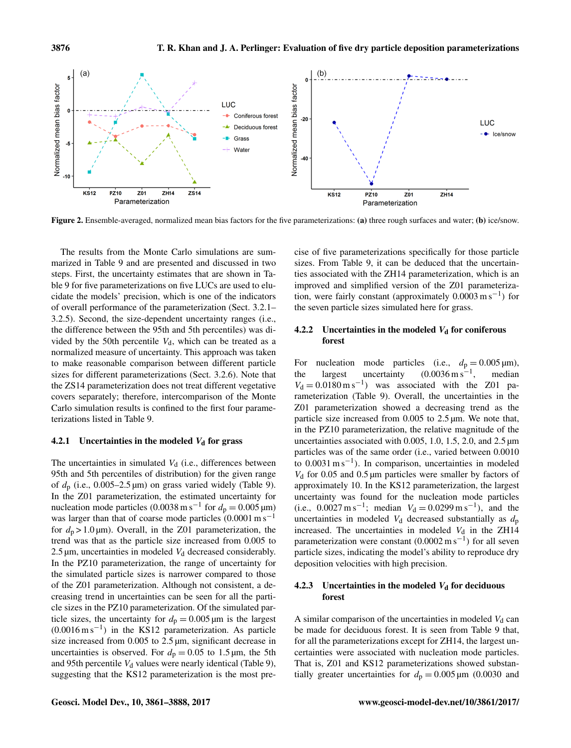

Figure 2. Ensemble-averaged, normalized mean bias factors for the five parameterizations: (a) three rough surfaces and water; (b) ice/snow.

The results from the Monte Carlo simulations are summarized in Table 9 and are presented and discussed in two steps. First, the uncertainty estimates that are shown in Table 9 for five parameterizations on five LUCs are used to elucidate the models' precision, which is one of the indicators of overall performance of the parameterization (Sect. 3.2.1– 3.2.5). Second, the size-dependent uncertainty ranges (i.e., the difference between the 95th and 5th percentiles) was divided by the 50th percentile  $V<sub>d</sub>$ , which can be treated as a normalized measure of uncertainty. This approach was taken to make reasonable comparison between different particle sizes for different parameterizations (Sect. 3.2.6). Note that the ZS14 parameterization does not treat different vegetative covers separately; therefore, intercomparison of the Monte Carlo simulation results is confined to the first four parameterizations listed in Table 9.

## 4.2.1 Uncertainties in the modeled  $V_d$  for grass

The uncertainties in simulated  $V<sub>d</sub>$  (i.e., differences between 95th and 5th percentiles of distribution) for the given range of  $d_p$  (i.e., 0.005–2.5  $\mu$ m) on grass varied widely (Table 9). In the Z01 parameterization, the estimated uncertainty for nucleation mode particles (0.0038 m s<sup>-1</sup> for  $d_p = 0.005 \,\text{\mu m}$ ) was larger than that of coarse mode particles  $(0.0001 \text{ m s}^{-1})$ for  $d_p > 1.0 \,\text{\mu m}$ ). Overall, in the Z01 parameterization, the trend was that as the particle size increased from 0.005 to 2.5  $\mu$ m, uncertainties in modeled  $V_d$  decreased considerably. In the PZ10 parameterization, the range of uncertainty for the simulated particle sizes is narrower compared to those of the Z01 parameterization. Although not consistent, a decreasing trend in uncertainties can be seen for all the particle sizes in the PZ10 parameterization. Of the simulated particle sizes, the uncertainty for  $d_p = 0.005 \,\mu\text{m}$  is the largest (0.0016 m s−<sup>1</sup> ) in the KS12 parameterization. As particle size increased from  $0.005$  to  $2.5 \mu m$ , significant decrease in uncertainties is observed. For  $d_p = 0.05$  to 1.5  $\mu$ m, the 5th and 95th percentile  $V_d$  values were nearly identical (Table 9), suggesting that the KS12 parameterization is the most precise of five parameterizations specifically for those particle sizes. From Table 9, it can be deduced that the uncertainties associated with the ZH14 parameterization, which is an improved and simplified version of the Z01 parameterization, were fairly constant (approximately 0.0003 m s−<sup>1</sup> ) for the seven particle sizes simulated here for grass.

# 4.2.2 Uncertainties in the modeled  $V_d$  for coniferous forest

For nucleation mode particles (i.e.,  $d_p = 0.005 \text{ }\mu\text{m}$ ), the largest uncertainty  $(0.0036 \text{ m s}^{-1})$ , , median  $V_d = 0.0180 \text{ m s}^{-1}$  was associated with the Z01 parameterization (Table 9). Overall, the uncertainties in the Z01 parameterization showed a decreasing trend as the particle size increased from 0.005 to 2.5 µm. We note that, in the PZ10 parameterization, the relative magnitude of the uncertainties associated with 0.005, 1.0, 1.5, 2.0, and 2.5 µm particles was of the same order (i.e., varied between 0.0010 to 0.0031 m s−<sup>1</sup> ). In comparison, uncertainties in modeled  $V<sub>d</sub>$  for 0.05 and 0.5 µm particles were smaller by factors of approximately 10. In the KS12 parameterization, the largest uncertainty was found for the nucleation mode particles (i.e.,  $0.0027 \text{ m s}^{-1}$ ; median  $V_d = 0.0299 \text{ m s}^{-1}$ ), and the uncertainties in modeled  $V_d$  decreased substantially as  $d_p$ increased. The uncertainties in modeled  $V<sub>d</sub>$  in the ZH14 parameterization were constant  $(0.0002 \text{ m s}^{-1})$  for all seven particle sizes, indicating the model's ability to reproduce dry deposition velocities with high precision.

# 4.2.3 Uncertainties in the modeled  $V_d$  for deciduous forest

A similar comparison of the uncertainties in modeled  $V<sub>d</sub>$  can be made for deciduous forest. It is seen from Table 9 that, for all the parameterizations except for ZH14, the largest uncertainties were associated with nucleation mode particles. That is, Z01 and KS12 parameterizations showed substantially greater uncertainties for  $d_p = 0.005 \,\text{\mu m}$  (0.0030 and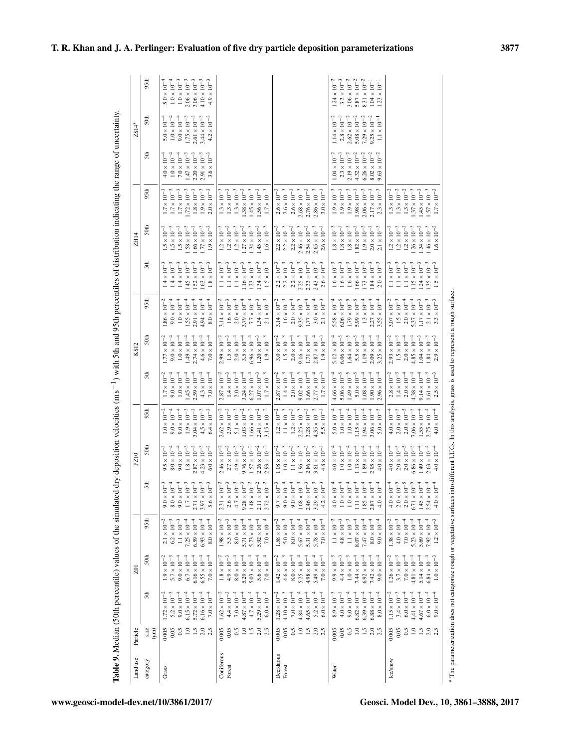| Land use             | Particle                                                          |                                                                                                                                                                          | $\overline{201}$                                                                                                                                                             |                                                                                                                                                                         |                                                                                                                                                                                                                    | PZ10                                                                                                                                                                      |                                                                                                                                                                         |                                                                                                                                                                                                     | KS12                                                                                                                                                                                                  |                                                                                                                                                                                                    |                                                                                                                                                                                                | ZH14                                                                                                                                                                                                                       |                                                                                                                                                                                                |                                                                                                                                                                    | ZS14*                                                                                                                                                                              |                                                                                                                                                                                   |
|----------------------|-------------------------------------------------------------------|--------------------------------------------------------------------------------------------------------------------------------------------------------------------------|------------------------------------------------------------------------------------------------------------------------------------------------------------------------------|-------------------------------------------------------------------------------------------------------------------------------------------------------------------------|--------------------------------------------------------------------------------------------------------------------------------------------------------------------------------------------------------------------|---------------------------------------------------------------------------------------------------------------------------------------------------------------------------|-------------------------------------------------------------------------------------------------------------------------------------------------------------------------|-----------------------------------------------------------------------------------------------------------------------------------------------------------------------------------------------------|-------------------------------------------------------------------------------------------------------------------------------------------------------------------------------------------------------|----------------------------------------------------------------------------------------------------------------------------------------------------------------------------------------------------|------------------------------------------------------------------------------------------------------------------------------------------------------------------------------------------------|----------------------------------------------------------------------------------------------------------------------------------------------------------------------------------------------------------------------------|------------------------------------------------------------------------------------------------------------------------------------------------------------------------------------------------|--------------------------------------------------------------------------------------------------------------------------------------------------------------------|------------------------------------------------------------------------------------------------------------------------------------------------------------------------------------|-----------------------------------------------------------------------------------------------------------------------------------------------------------------------------------|
| category             | size<br>(mu)                                                      | 5th                                                                                                                                                                      | 50th                                                                                                                                                                         | 95th                                                                                                                                                                    | 5th                                                                                                                                                                                                                | 50th                                                                                                                                                                      | 95 <sup>th</sup>                                                                                                                                                        | 5th                                                                                                                                                                                                 | 50th                                                                                                                                                                                                  | 95th                                                                                                                                                                                               | 5th                                                                                                                                                                                            | 50th                                                                                                                                                                                                                       | 95 <sup>th</sup>                                                                                                                                                                               | <b>5th</b>                                                                                                                                                         | 50th                                                                                                                                                                               | 95 <sup>th</sup>                                                                                                                                                                  |
| Grass                | 1.5<br>$2.0$<br>$2.5$<br>0.5<br>$\overline{1.0}$<br>0.05<br>0.005 | $1.72 \times 10^{-2}$<br>$5.2 \times 10^{-3}$<br>$6.15 \times 10^{-4}$<br>$5.72 \times 10^{-4}$<br>$7.0 \times 10^{-4}$<br>$9.0 \times 10^{-4}$<br>$6.16 \times 10^{-4}$ | $5.7\times10^{-3}$<br>$1.9 \times 10^{-2}$<br>$9.0 \times 10^{-4}$<br>$6.7 \times 10^{-4}$<br>$6.16 \times 10^{-4}$<br>$6.55 \times 10^{-4}$<br>$7.0 \times 10^{-4}$         | $2.1 \times 10^{-2}$<br>$6.2 \times 10^{-3}$<br>$1.1 \times 10^{-3}$<br>$7.25 \times 10^{-4}$<br>$6.59 \times 10^{-4}$<br>$6.93 \times 10^{-4}$<br>$8.0 \times 10^{-4}$ | $5.6\times10^{-3}$<br>$9.0\times10^{-3}$<br>$8.0\times10^{-4}$<br>$9.0\times10^{-4}$<br>$1.7\times10^{-3}$<br>$2.71\times10^{-3}$<br>$3.97\times10^{-3}$                                                           | $9.0 \times 10^{-4}$<br>$1.8 \times 10^{-3}$<br>$2.87 \times 10^{-3}$<br>$4.23 \times 10^{-3}$<br>$9.5 \times 10^{-3}$<br>$8.0 \times 10^{-4}$<br>$6.0 \times 10^{-3}$    | $9.0 \times 10^{-4}$<br>$9.0 \times 10^{-4}$<br>$1.9 \times 10^{-3}$<br>$3.04 \times 10^{-3}$<br>$4.5 \times 10^{-3}$<br>$6.4 \times 10^{-3}$<br>$1.0 \times 10^{-7}$   | $9.0 \times 10^{-4}$<br>$1.0 \times 10^{-4}$<br>$1.45 \times 10^{-4}$<br>$2.59 \times 10^{-4}$<br>$1.7 \times 10^{-2}$<br>$4.3 \times 10^{-4}$<br>$7.0 \times 10^{-4}$                              | $9.0 \times 10^{-4}$<br>$1.0 \times 10^{-4}$<br>$1.49 \times 10^{-4}$<br>$2.74 \times 10^{-4}$<br>$4.6 \times 10^{-4}$<br>$1.77 \times 10^{-2}$<br>$7.0 \times 10^{-4}$                               | $9.0 \times 10^{-4}$<br>$1.0 \times 10^{-4}$<br>$1.55 \times 10^{-4}$<br>$2.91 \times 10^{-4}$<br>$4.94 \times 10^{-4}$<br>$1.86 \times 10^{-2}$<br>$8.0 \times 10^{-4}$                           | $1.4\times10^{-3}$<br>$1.4 \times 10^{-3}$ $1.45 \times 10^{-3}$<br>$1.52\times10^{-3}$<br>$\begin{array}{l} 1.63 \times 10^{-3} \\ 1.8 \times 10^{-3} \end{array}$<br>$1.4 \times 10^{-3}$    | $1.5\times10^{-3}$<br>$\begin{array}{l} 1.5\times 10^{-3}\\ 1.58\times 10^{-3} \end{array}$<br>$1.66 \times 10^{-3}$<br>$1.77 \times 10^{-3}$ $1.9 \times 10^{-3}$<br>$1.5 \times 10^{-3}$                                 | $1.7 \times 10^{-3}$<br>$1.7\times10^{-3}$<br>$.72\times10^{-3}$<br>$1.8\times10^{-3}$<br>$1.7\times10^{-3}$<br>$\begin{array}{l} 1.9 \times 10^{-3} \\ 2.0 \times 10^{-3} \end{array}$        | $2.20\times10^{-3}$<br>$2.91\times10^{-3}$<br>$3.6\times10^{-3}$<br>$7.0 \times 10^{-4}$<br>$1.47 \times 10^{-3}$<br>$1.0 \times 10^{-4}$<br>$4.0 \times 10^{-4}$  | $1.75 \times 10^{-3}$<br>$2.61 \times 10^{-3}$<br>$3.44 \times 10^{-3}$<br>$4.2 \times 10^{-3}$<br>$9.0 \times 10^{-4}$<br>$1.0 \times 10^{-4}$<br>$\frac{1}{2}$<br>$5.0 \times$   | $1.0\times10^{-3}$<br>$2.06\times10^{-3}$<br>$3.06\times10^{-3}$<br>$4.10 \times 10^{-3}$<br>$4.9\times10^{-3}$<br>$1.0 \times 10^{-4}$<br>ไ<br>$5.0 \times$                      |
| Coniferous<br>Forest | 0.5<br>$1.0\,$<br>$2.0$<br>2.5<br>0.05<br>1.5<br>0.005            | $4.4 \times 10^{-3}$<br>$4.87 \times 10^{-4}$<br>$6.0 \times 10^{-4}$<br>$7.0 \times 10^{-4}$<br>$4.7 \times 10^{-4}$<br>$1.62 \times 10^{-2}$<br>$5.29 \times 10^{-4}$  | $4.9 \times 10^{-3}$<br>$5.29 \times 10^{-4}$<br>$1.8 \times 10^{-2}$<br>$8.0 \times 10^{-4}$<br>$5.03 \times 10^{-4}$<br>$7.0 \times 10^{-4}$<br>$5.6 \times 10^{-4}$       | $5.3\times10^{-3}$<br>$5.71 \times 10^{-4}$<br>$5.73 \times 10^{-4}$<br>$5.92 \times 10^{-4}$<br>$1.98 \times 10^{-2}$<br>$8.0 \times 10^{-4}$<br>$7.0 \times 10^{-4}$  | $2.31 \times 10^{-2}$ $2.6 \times 10^{-3}$<br>$9.28 \times 10^{-3}$<br>$1.48\times10^{-2}$<br>$2.72\times10^{-2}$<br>$4.7\times10^{-3}$<br>$2.11\times10^{-2}$                                                     | $9.76 \times 10^{-3}$<br>$2.7 \times 10^{-3}$<br>$4.9 \times 10^{-3}$<br>$1.57 \times 10^{-2}$<br>$2.26 \times 10^{-2}$<br>$2.93 \times 10^{-2}$<br>$2.46 \times 10^{-7}$ | $1.03\times10^{-2}$<br>$2.41\times10^{-2}$<br>$2.9\times10^{-3}$<br>$5.1 \times 10^{-3}$<br>$1.66 \times 10^{-2}$<br>$3.15 \times 10^{-2}$<br>$2.62 \times 10^{-2}$     | $\begin{array}{c} 1.07 \times 10^{-3} \\ 1.7 \times 10^{-3} \end{array}$<br>$1.4\times10^{-3}$<br>$2.0 \times 10^{-4}$<br>$3.24 \times 10^{-4}$<br>$6.27 \times 10^{-4}$<br>$2.87 \times 10^{-2}$   | $1.5 \times 10^{-3}$<br>$3.5 \times 10^{-4}$<br>$1.20 \times 10^{-3}$ $1.9 \times 10^{-3}$<br>$2.0 \times 10^{-4}$<br>$6.96 \times 10^{-4}$<br>$2.99 \times 10^{-7}$                                  | $\begin{array}{c} 1.34 \times 10^{-3} \\ 2.1 \times 10^{-3} \end{array}$<br>$1.6 \times 10^{-3}$<br>$3.79 \times 10^{-4}$<br>$7.7 \times 10^{-4}$<br>$2.0 \times 10^{-4}$<br>$3.14 \times 10^{-2}$ | $1.1\times10^{-3}$<br>$1.16 \times 10^{-3}$<br>$1.23\times10^{-3}$<br>$1.1\times10^{-3}$<br>$1.34 \times 10^{-3}$ $1.5 \times 10^{-3}$<br>$1.1 \times 10^{-3}$                                 | $1.2 \times 10^{-3}$<br>$1.2 \times 10^{-3}$<br>$1.2\times10^{-3}$<br>$1.27 \times 10^{-3}$<br>$1.34\times10^{-3}$<br>$1.45 \times 10^{-3}$ $1.6 \times 10^{-3}$<br>$\times$ 10 $^{-3}$                                    | $1.3\times10^{-3}$<br>$1.3\times10^{-3}$<br>$.38\times10^{-3}$<br>$1.45\times10^{-3}$<br>$1.56 \times 10^{-3}$<br>$1.7\times10^{-3}$<br>$1.3 \times 10^{-3}$                                   |                                                                                                                                                                    |                                                                                                                                                                                    |                                                                                                                                                                                   |
| Deciduous<br>Forest  | 1.0<br>1.5<br>$2.0$<br>2.5<br>0.05<br>0.5<br>0.005                | $1.28 \times 10^{-2}$<br>$4.10 \times 10^{-3}$<br>$7.0 \times 10^{-4}$<br>$4.84 \times 10^{-4}$<br>$4.65 \times 10^{-4}$<br>$5.2 \times 10^{-4}$<br>$6.0 \times 10^{-4}$ | $4.6\times10^{-3}$<br>$1.42 \times 10^{-2}$<br>$8.0 \times 10^{-4}$<br>$5.25 \times 10^{-4}$<br>$5.49 \times 10^{-4}$<br>$4.98 \times 10^{-4}$<br>$7.0 \times 10^{-4}$       | $1.58 \times 10^{-2}$<br>$5.0\times10^{-3}$<br>$8.0 \times 10^{-4}$<br>$5.67 \times 10^{-4}$<br>$5.78 \times 10^{-4}$<br>$5.31 \times 10^{-4}$<br>$7.0 \times 10^{-4}$  | $\begin{array}{c} 9.0 \times 10^{-4} \\ 1.68 \times 10^{-3} \end{array}$<br>$3.29 \times 10^{-3}$<br>$4.2 \times 10^{-3}$<br>$9.7\times10^{-3}$<br>$9.0\times10^{-4}$<br>$2.46 \times 10^{-3}$<br>$3.29 \times 10$ | $1.0\times10^{-3}$<br>$1.1\times10^{-3}$<br>$1.96 \times 10^{-3}$<br>$1.08 \times 10^{-2}$<br>$2.86 \times 10^{-3}$<br>$3.81 \times 10^{-3}$<br>$4.8 \times 10^{-3}$      | $1.2\times10^{-3}$<br>$1.1\times10^{-3}$<br>$2.25 \times 10^{-3}$<br>$3.28 \times 10^{-3}$<br>$4.35 \times 10^{-3}$<br>$1.2 \times 10^{-2}$<br>$5.5 \times 10^{-3}$     | $1.4\times10^{-3}$<br>$9.02 \times 10^{-5}$<br>$2.0\times10^{-4}$<br>$2.77 \times 10^{-4}$<br>$2.87 \times 10^{-2}$<br>$1.66 \times 10^{-4}$<br>$10^{-3}$<br>$1.7 \times$                           | $1.5\times10^{-3}$<br>$2.0 \times 10^{-4}$<br>$9.16 \times 10^{-5}$<br>$3.0 \times 10^{-2}$<br>$1.71 \times 10^{-4}$<br>$2.87 \times 10^{-4}$<br>$1.9 \times 10^{-3}$                                 | $1.6\times10^{-3}$<br>$9.35 \times 10^{-5}$<br>$3.14 \times 10^{-2}$<br>$2.0 \times 10^{-4}$<br>$1.77 \times 10^{-4}$<br>$3.0 \times 10^{-4}$<br>$2.1 \times 10^{-3}$                              | $2.2\times10^{-3}$<br>$\begin{array}{l} 2.2 \times 10^{-3} \\ 2.25 \times 10^{-3} \end{array}$<br>$2.33 \times 10^{-3}$<br>$2.43 \times 10^{-3}$ $2.6 \times 10^{-3}$<br>$2.2 \times 10^{-3}$  | $2.46\times10^{-3}$<br>$2.2\times10^{-3}$<br>$2.2\times10^{-3}$<br>$2.54\times10^{-3}$<br>$\begin{array}{l} 2.65 \times 10^{-3} \\ 2.6 \times 10^{-3} \end{array}$<br>$2 \times 10^{-3}$<br>2.2                            | $2.6\times10^{-3}$<br>$2.6\times10^{-3}$<br>$\begin{array}{l} 2.68 \times 10^{-3} \\ 2.76 \times 10^{-3} \end{array}$<br>$2.6 \times 10^{-3}$<br>$2.86 \times 10^{-3}$<br>$3.0 \times 10^{-3}$ |                                                                                                                                                                    |                                                                                                                                                                                    |                                                                                                                                                                                   |
| Water                | $1.0\,$<br>$2.0$<br>$2.5$<br>0.05<br>0.5<br>1.5<br>0.005          | $4.0\times10^{-3}$<br>$6.82 \times 10^{-4}$<br>$9.0 \times 10^{-4}$<br>$6.39 \times 10^{-4}$<br>$8.9 \times 10^{-3}$<br>$6.88 \times 10^{-4}$<br>$8.0 \times 10^{-4}$    | $4.4\times10^{-3}$<br>$1.0\times10^{-3}$<br>$7.44 \times 10^{-4}$<br>$9.9 \times 10^{-3}$<br>$6.92 \times 10^{-4}$<br>$7.42 \times 10^{-4}$<br>9.0 $\times 10^{-4}$          | $1.1 \times 10^{-2}$<br>$4.8\times10^{-3}$<br>$1.1 \times 10^{-3}$<br>$8.07 \times 10^{-4}$<br>$7.47 \times 10^{-4}$<br>$9.0 \times 10^{-4}$<br>$8.0 \times 10^{-4}$    | $\begin{array}{c} 4.0 \times 10^{-4} \\ 1.0 \times 10^{-4} \\ 1.0 \times 10^{-4} \end{array}$<br>$1.11 \times 10^{-4}$<br>$1.85\times10^{-4}$<br>$2.87\times10^{-4}$<br>$4.0 \times 10^{-4}$                       | $1.0 \times 10^{-4}$<br>$1.0 \times 10^{-4}$<br>$1.13 \times 10^{-4}$<br>$1.89 \times 10^{-4}$<br>$2.95 \times 10^{-4}$<br>$4.0 \times 10^{-4}$<br>$4.0 \times 10^{-4}$   | $5.0 \times 10^{-5}$<br>$1.0 \times 10^{-4}$<br>$1.15 \times 10^{-4}$<br>$1.94 \times 10^{-4}$<br>$3.06 \times 10^{-4}$<br>$1.0 \times 10^{-4}$<br>$5.0 \times 10^{-4}$ | $5.0\times10^{-5}$<br>$5.06 \times 10^{-5}$<br>$1.49 \times 10^{-5}$<br>$1.08 \times 10^{-4}$<br>$\begin{array}{l} 1.90 \times 10^{-4} \\ 2.96 \times 10^{-4} \end{array}$<br>$4.66 \times 10^{-4}$ | $5.5 \times 10^{-5}$<br>$6.06 \times 10^{-5}$<br>$1.64 \times 10^{-5}$<br>$\begin{array}{l} 2.09 \times 10^{-4} \\ 3.25 \times 10^{-4} \end{array}$<br>$1.19 \times 10^{-4}$<br>$5.12 \times 10^{-4}$ | $6.06 \times 10^{-5}$<br>$1.79\times10^{-5}$<br>$5.99 \times 10^{-5}$<br>$1.3 \times 10^{-4}$<br>$2.27 \times 10^{-4}$<br>$3.55 \times 10^{-4}$<br>$5.58 \times 10^{-4}$                           | $1.6\times10^{-3}$<br>$1.6\times10^{-3}$<br>$1.66 \times 10^{-3}$<br>$1.73 \times 10^{-3}$<br>$\begin{array}{l} 1.84 \times 10^{-3} \\ 2.0 \times 10^{-3} \end{array}$<br>$1.6 \times 10^{-3}$ | $\begin{array}{ll} 1.8 \times 10^{-3} \\ 1.8 \times 10^{-3} \end{array}$<br>$1.82 \times 10^{-3}$<br>$1.9\times10^{-3}$<br>$\begin{array}{l} 2.0 \times 10^{-3} \\ 2.1 \times 10^{-3} \end{array}$<br>$1.8 \times 10^{-3}$ | $1.9\times10^{-3}$<br>$2.06 \times 10^{-3}$<br>$1.9 \times 10^{-3}$<br>$1.9\times10^{-3}$<br>$1.98\times10^{-3}$<br>$\begin{array}{l} 2.17 \times 10^{-3} \\ 2.3 \times 10^{-3} \end{array}$   | $4.32\times10^{-2}$<br>$1.04 \times 10^{-2}$<br>$2.3 \times 10^{-3}$<br>$2.19\times10^{-2}$<br>$6.26 \times 10^{-2}$<br>$8.02\times10^{-2}$<br>$9.63\times10^{-2}$ | $2.8\times10^{-3}$<br>$2.62 \times 10^{-2}$<br>$5.08 \times 10^{-2}$<br>$7.29 \times 10^{-2}$<br>$9.25 \times 10^{-2}$<br>$1.14 \times 10^{-2}$<br>$\bar{b}$<br>$\times$<br>$\Box$ | $1.24 \times 10^{-2}$<br>$3.3 \times 10^{-3}$<br>$3.06\times10^{-2}$<br>$5.87\times10^{-2}$<br>$8.31 \times 10^{-2}$<br>$10^{\rm -1}$<br>$1.04 \times 10^{-1}$<br>$1.23 \times 1$ |
| <b>Ice/snow</b>      | 0.5<br>$\overline{1.0}$<br>1.5<br>$2.0$<br>2.5<br>0.05<br>0.005   | $3.4 \times 10^{-3}$<br>$4.41 \times 10^{-4}$<br>$1.15 \times 10^{-2}$<br>$6.0 \times 10^{-4}$<br>$4.67 \times 10^{-4}$<br>$6.0 \times 10^{-4}$<br>$9.0 \times 10^{-4}$  | $3.7 \times 10^{-3}$<br>$7.0 \times 10^{-4}$<br>$4.81 \times 10^{-4}$<br>$5.14 \times 10^{-4}$<br>$6.84 \times 10^{-4}$<br>$1.26 \times 10^{-2}$<br>$10^{-3}$<br>$1.0\times$ | $1.38 \times 10^{-2}$<br>$4.0\times10^{-3}$<br>$5.23 \times 10^{-4}$<br>$7.0 \times 10^{-4}$<br>$7.92 \times 10^{-4}$<br>$1.2 \times 10^{-3}$<br>$5.69 \times 10^{-4}$  | $2.0\times10^{-5}$<br>$4.0 \times 10^{-4}$<br>$\begin{array}{c} 2.0 \times 10^{-5} \\ 6.71 \times 10^{-5} \end{array}$<br>$1.45 \times 10^{-4}$<br>$2.54 \times 10^{-4}$<br>$4.0 \times 10^{-4}$                   | $2.0 \times 10^{-5}$<br>$2.0\times10^{-5}$<br>$6.86 \times 10^{-5}$<br>$4.0 \times 10^{-4}$<br>$1.49 \times 10^{-4}$<br>$2.63 \times 10^{-4}$<br>$4.0 \times 10^{-4}$     | $2.0\times10^{-5}$<br>$2.0\times10^{-5}$<br>$7.06 \times 10^{-5}$<br>$1.55 \times 10^{-4}$<br>$2.75 \times 10^{-4}$<br>$4.0 \times 10^{-4}$<br>$4.0 \times 10^{-4}$     | $1.4\times10^{-3}$<br>$2.0 \times 10^{-4}$<br>$4.38 \times 10^{-4}$<br>$1.61\times10^{-3}$<br>$2.8 \times 10^{-2}$<br>$9.14 \times 10^{-4}$<br>$10^{-3}$<br>$2.5\times$                             | $1.5\times10^{-3}$<br>$2.0 \times 10^{-4}$<br>$4.85 \times 10^{-4}$<br>$\begin{array}{l} 1.84 \times 10^{-3} \\ 2.9 \times 10^{-3} \end{array}$<br>$2.93 \times 10^{-2}$<br>$1.04 \times 10^{-3}$     | $1.5\times10^{-3}$<br>$5.37 \times 10^{-4}$<br>$1.17 \times 10^{-3}$<br>$2.1 \times 10^{-3}$<br>$3.3 \times 10^{-3}$<br>$3.07 \times 10^{-2}$<br>$2.0 \times 10^{-4}$                              | $1.1\times10^{-3}$<br>$1.1\times10^{-3}$<br>$1.15 \times 10^{-3}$<br>$1.24 \times 10^{-3}$<br>$1.35 \times 10^{-3}$<br>$1.5 \times 10^{-3}$<br>$1.1 \times 10^{-3}$                            | $1.2\times10^{-3}$<br>$1.2\times10^{-3}$<br>$1.26 \times 10^{-3}$<br>$1.34 \times 10^{-3}$<br>$1.46\times10^{-3}$<br>$1.6\times10^{-3}$<br>$1.2 \times 10^{-3}$                                                            | $1.3\times10^{-2}$<br>$1.3\times10^{-2}$<br>$1.37\times10^{-3}$<br>$1.45\times10^{-3}$<br>$1.3 \times 10^{-2}$<br>$1.57\times10^{-3}$<br>$10^{-3}$<br>$\times$<br>1.7                          |                                                                                                                                                                    |                                                                                                                                                                                    |                                                                                                                                                                                   |
|                      |                                                                   | * The parameterization does not categorize rough or vegetative surfaces into different LUCs. In this analysis, grass is used to represent a rough surface.               |                                                                                                                                                                              |                                                                                                                                                                         |                                                                                                                                                                                                                    |                                                                                                                                                                           |                                                                                                                                                                         |                                                                                                                                                                                                     |                                                                                                                                                                                                       |                                                                                                                                                                                                    |                                                                                                                                                                                                |                                                                                                                                                                                                                            |                                                                                                                                                                                                |                                                                                                                                                                    |                                                                                                                                                                                    |                                                                                                                                                                                   |

Table 9. Median (50th percentile) values of the simulated dry deposition velocities (m s − )with 5th and 95th percentiles of distribution indicating the range of uncertainty.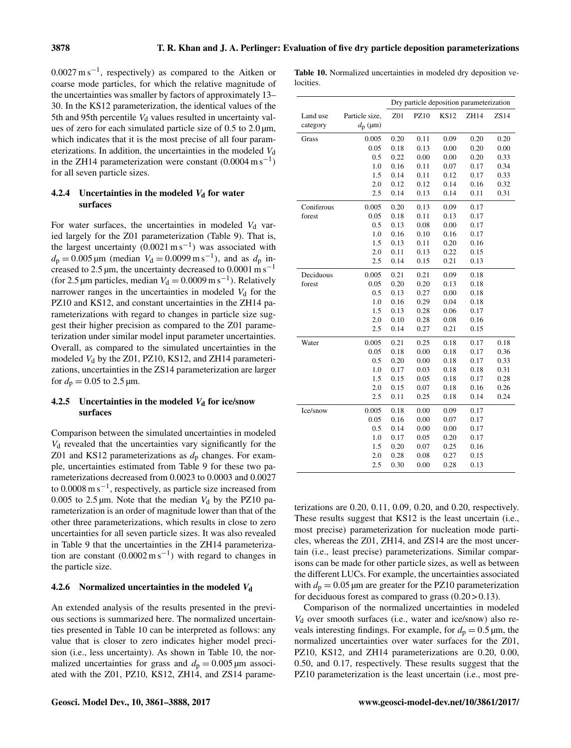$0.0027 \text{ m s}^{-1}$ , respectively) as compared to the Aitken or coarse mode particles, for which the relative magnitude of the uncertainties was smaller by factors of approximately 13– 30. In the KS12 parameterization, the identical values of the 5th and 95th percentile  $V<sub>d</sub>$  values resulted in uncertainty values of zero for each simulated particle size of  $0.5$  to  $2.0 \,\mu$ m, which indicates that it is the most precise of all four parameterizations. In addition, the uncertainties in the modeled  $V<sub>d</sub>$ in the ZH14 parameterization were constant  $(0.0004 \text{ m s}^{-1})$ for all seven particle sizes.

# 4.2.4 Uncertainties in the modeled  $V_d$  for water surfaces

For water surfaces, the uncertainties in modeled  $V<sub>d</sub>$  varied largely for the Z01 parameterization (Table 9). That is, the largest uncertainty  $(0.0021 \text{ m s}^{-1})$  was associated with  $d_p = 0.005 \,\text{\mu m}$  (median  $V_d = 0.0099 \,\text{m s}^{-1}$ ), and as  $d_p$  increased to  $2.5 \mu m$ , the uncertainty decreased to  $0.0001 \text{ m s}^{-1}$ (for 2.5 µm particles, median  $V_d = 0.0009 \text{ m s}^{-1}$ ). Relatively narrower ranges in the uncertainties in modeled  $V<sub>d</sub>$  for the PZ10 and KS12, and constant uncertainties in the ZH14 parameterizations with regard to changes in particle size suggest their higher precision as compared to the Z01 parameterization under similar model input parameter uncertainties. Overall, as compared to the simulated uncertainties in the modeled  $V_d$  by the Z01, PZ10, KS12, and ZH14 parameterizations, uncertainties in the ZS14 parameterization are larger for  $d_p = 0.05$  to 2.5  $\mu$ m.

# 4.2.5 Uncertainties in the modeled  $V_d$  for ice/snow surfaces

Comparison between the simulated uncertainties in modeled  $V<sub>d</sub>$  revealed that the uncertainties vary significantly for the Z01 and KS12 parameterizations as  $d_p$  changes. For example, uncertainties estimated from Table 9 for these two parameterizations decreased from 0.0023 to 0.0003 and 0.0027 to  $0.0008 \text{ m s}^{-1}$ , respectively, as particle size increased from 0.005 to 2.5  $\mu$ m. Note that the median  $V_d$  by the PZ10 parameterization is an order of magnitude lower than that of the other three parameterizations, which results in close to zero uncertainties for all seven particle sizes. It was also revealed in Table 9 that the uncertainties in the ZH14 parameterization are constant  $(0.0002 \text{ m s}^{-1})$  with regard to changes in the particle size.

# 4.2.6 Normalized uncertainties in the modeled  $V_d$

An extended analysis of the results presented in the previous sections is summarized here. The normalized uncertainties presented in Table 10 can be interpreted as follows: any value that is closer to zero indicates higher model precision (i.e., less uncertainty). As shown in Table 10, the normalized uncertainties for grass and  $d_p = 0.005 \,\mu \text{m}$  associated with the Z01, PZ10, KS12, ZH14, and ZS14 parame-

|           | Table 10. Normalized uncertainties in modeled dry deposition ve- |  |  |  |
|-----------|------------------------------------------------------------------|--|--|--|
| locities. |                                                                  |  |  |  |

|            |                  |      |      |             | Dry particle deposition parameterization |      |
|------------|------------------|------|------|-------------|------------------------------------------|------|
| Land use   | Particle size,   | Z01  | PZ10 | <b>KS12</b> | ZH14                                     | ZS14 |
| category   | $d_{\rm p}$ (µm) |      |      |             |                                          |      |
| Grass      | 0.005            | 0.20 | 0.11 | 0.09        | 0.20                                     | 0.20 |
|            | 0.05             | 0.18 | 0.13 | 0.00        | 0.20                                     | 0.00 |
|            | 0.5              | 0.22 | 0.00 | 0.00        | 0.20                                     | 0.33 |
|            | 1.0              | 0.16 | 0.11 | 0.07        | 0.17                                     | 0.34 |
|            | 1.5              | 0.14 | 0.11 | 0.12        | 0.17                                     | 0.33 |
|            | 2.0              | 0.12 | 0.12 | 0.14        | 0.16                                     | 0.32 |
|            | 2.5              | 0.14 | 0.13 | 0.14        | 0.11                                     | 0.31 |
| Coniferous | 0.005            | 0.20 | 0.13 | 0.09        | 0.17                                     |      |
| forest     | 0.05             | 0.18 | 0.11 | 0.13        | 0.17                                     |      |
|            | 0.5              | 0.13 | 0.08 | 0.00        | 0.17                                     |      |
|            | 1.0              | 0.16 | 0.10 | 0.16        | 0.17                                     |      |
|            | 1.5              | 0.13 | 0.11 | 0.20        | 0.16                                     |      |
|            | 2.0              | 0.11 | 0.13 | 0.22        | 0.15                                     |      |
|            | 2.5              | 0.14 | 0.15 | 0.21        | 0.13                                     |      |
| Deciduous  | 0.005            | 0.21 | 0.21 | 0.09        | 0.18                                     |      |
| forest     | 0.05             | 0.20 | 0.20 | 0.13        | 0.18                                     |      |
|            | 0.5              | 0.13 | 0.27 | 0.00        | 0.18                                     |      |
|            | 1.0              | 0.16 | 0.29 | 0.04        | 0.18                                     |      |
|            | 1.5              | 0.13 | 0.28 | 0.06        | 0.17                                     |      |
|            | 2.0              | 0.10 | 0.28 | 0.08        | 0.16                                     |      |
|            | 2.5              | 0.14 | 0.27 | 0.21        | 0.15                                     |      |
| Water      | 0.005            | 0.21 | 0.25 | 0.18        | 0.17                                     | 0.18 |
|            | 0.05             | 0.18 | 0.00 | 0.18        | 0.17                                     | 0.36 |
|            | 0.5              | 0.20 | 0.00 | 0.18        | 0.17                                     | 0.33 |
|            | 1.0              | 0.17 | 0.03 | 0.18        | 0.18                                     | 0.31 |
|            | 1.5              | 0.15 | 0.05 | 0.18        | 0.17                                     | 0.28 |
|            | 2.0              | 0.15 | 0.07 | 0.18        | 0.16                                     | 0.26 |
|            | 2.5              | 0.11 | 0.25 | 0.18        | 0.14                                     | 0.24 |
| Ice/snow   | 0.005            | 0.18 | 0.00 | 0.09        | 0.17                                     |      |
|            | 0.05             | 0.16 | 0.00 | 0.07        | 0.17                                     |      |
|            | 0.5              | 0.14 | 0.00 | 0.00        | 0.17                                     |      |
|            | 1.0              | 0.17 | 0.05 | 0.20        | 0.17                                     |      |
|            | 1.5              | 0.20 | 0.07 | 0.25        | 0.16                                     |      |
|            | 2.0              | 0.28 | 0.08 | 0.27        | 0.15                                     |      |
|            | 2.5              | 0.30 | 0.00 | 0.28        | 0.13                                     |      |

terizations are 0.20, 0.11, 0.09, 0.20, and 0.20, respectively. These results suggest that KS12 is the least uncertain (i.e., most precise) parameterization for nucleation mode particles, whereas the Z01, ZH14, and ZS14 are the most uncertain (i.e., least precise) parameterizations. Similar comparisons can be made for other particle sizes, as well as between the different LUCs. For example, the uncertainties associated with  $d_p = 0.05$  µm are greater for the PZ10 parameterization for deciduous forest as compared to grass  $(0.20 > 0.13)$ .

Comparison of the normalized uncertainties in modeled  $V<sub>d</sub>$  over smooth surfaces (i.e., water and ice/snow) also reveals interesting findings. For example, for  $d_p = 0.5 \,\text{\textmu}$ , the normalized uncertainties over water surfaces for the Z01, PZ10, KS12, and ZH14 parameterizations are 0.20, 0.00, 0.50, and 0.17, respectively. These results suggest that the PZ10 parameterization is the least uncertain (i.e., most pre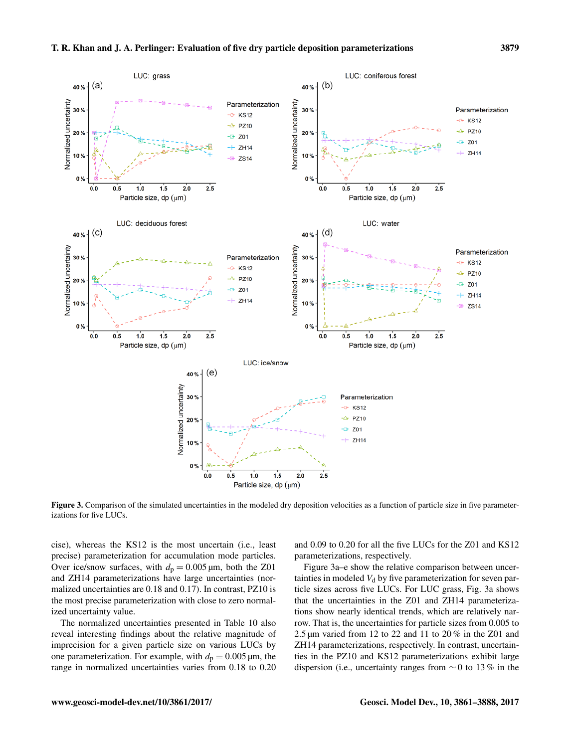Parameterization

**KS12** 

**PZ10** -4

 $Z<sub>01</sub>$ 

LUC: grass

 $(a)$ 

 $40%$ 

30%

20%





 $(b)$ 

40%

30 %

20%

Figure 3. Comparison of the simulated uncertainties in the modeled dry deposition velocities as a function of particle size in five parameterizations for five LUCs.

cise), whereas the KS12 is the most uncertain (i.e., least precise) parameterization for accumulation mode particles. Over ice/snow surfaces, with  $d_p = 0.005 \,\mu\text{m}$ , both the Z01 and ZH14 parameterizations have large uncertainties (normalized uncertainties are 0.18 and 0.17). In contrast, PZ10 is the most precise parameterization with close to zero normalized uncertainty value.

The normalized uncertainties presented in Table 10 also reveal interesting findings about the relative magnitude of imprecision for a given particle size on various LUCs by one parameterization. For example, with  $d_p = 0.005 \,\mu\text{m}$ , the range in normalized uncertainties varies from 0.18 to 0.20

and 0.09 to 0.20 for all the five LUCs for the Z01 and KS12 parameterizations, respectively.

Figure 3a–e show the relative comparison between uncertainties in modeled  $V<sub>d</sub>$  by five parameterization for seven particle sizes across five LUCs. For LUC grass, Fig. 3a shows that the uncertainties in the Z01 and ZH14 parameterizations show nearly identical trends, which are relatively narrow. That is, the uncertainties for particle sizes from 0.005 to 2.5 µm varied from 12 to 22 and 11 to 20 % in the Z01 and ZH14 parameterizations, respectively. In contrast, uncertainties in the PZ10 and KS12 parameterizations exhibit large dispersion (i.e., uncertainty ranges from  $\sim$  0 to 13 % in the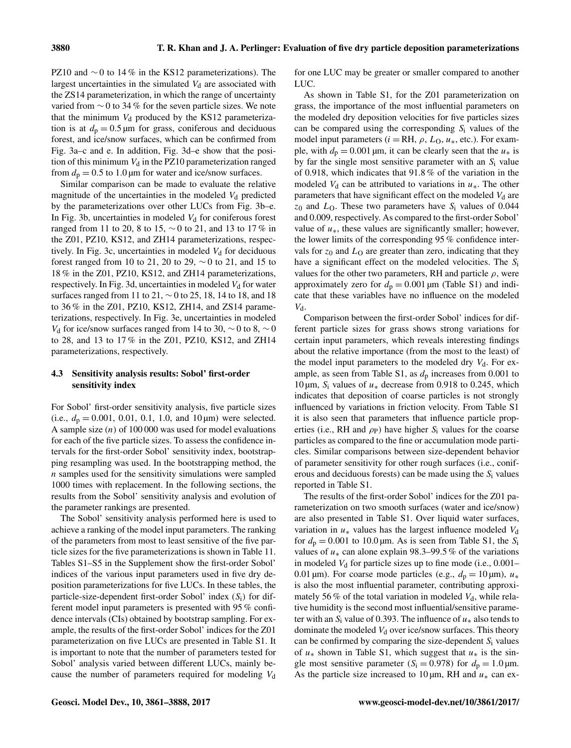PZ10 and  $\sim$  0 to 14 % in the KS12 parameterizations). The largest uncertainties in the simulated  $V<sub>d</sub>$  are associated with the ZS14 parameterization, in which the range of uncertainty varied from  $\sim$  0 to 34 % for the seven particle sizes. We note that the minimum  $V<sub>d</sub>$  produced by the KS12 parameterization is at  $d_p = 0.5 \,\text{\mu m}$  for grass, coniferous and deciduous forest, and ice/snow surfaces, which can be confirmed from Fig. 3a–c and e. In addition, Fig. 3d–e show that the position of this minimum  $V<sub>d</sub>$  in the PZ10 parameterization ranged from  $d_p = 0.5$  to 1.0 µm for water and ice/snow surfaces.

Similar comparison can be made to evaluate the relative magnitude of the uncertainties in the modeled  $V<sub>d</sub>$  predicted by the parameterizations over other LUCs from Fig. 3b–e. In Fig. 3b, uncertainties in modeled  $V<sub>d</sub>$  for coniferous forest ranged from 11 to 20, 8 to 15, ∼ 0 to 21, and 13 to 17 % in the Z01, PZ10, KS12, and ZH14 parameterizations, respectively. In Fig. 3c, uncertainties in modeled  $V_d$  for deciduous forest ranged from 10 to 21, 20 to 29,  $\sim$  0 to 21, and 15 to 18 % in the Z01, PZ10, KS12, and ZH14 parameterizations, respectively. In Fig. 3d, uncertainties in modeled  $V<sub>d</sub>$  for water surfaces ranged from 11 to 21, ∼0 to 25, 18, 14 to 18, and 18 to 36 % in the Z01, PZ10, KS12, ZH14, and ZS14 parameterizations, respectively. In Fig. 3e, uncertainties in modeled  $V<sub>d</sub>$  for ice/snow surfaces ranged from 14 to 30,  $\sim$  0 to 8,  $\sim$  0 to 28, and 13 to 17 % in the Z01, PZ10, KS12, and ZH14 parameterizations, respectively.

# 4.3 Sensitivity analysis results: Sobol' first-order sensitivity index

For Sobol' first-order sensitivity analysis, five particle sizes (i.e.,  $d_p = 0.001$ , 0.01, 0.1, 1.0, and 10  $\mu$ m) were selected. A sample size  $(n)$  of 100 000 was used for model evaluations for each of the five particle sizes. To assess the confidence intervals for the first-order Sobol' sensitivity index, bootstrapping resampling was used. In the bootstrapping method, the n samples used for the sensitivity simulations were sampled 1000 times with replacement. In the following sections, the results from the Sobol' sensitivity analysis and evolution of the parameter rankings are presented.

The Sobol' sensitivity analysis performed here is used to achieve a ranking of the model input parameters. The ranking of the parameters from most to least sensitive of the five particle sizes for the five parameterizations is shown in Table 11. Tables S1–S5 in the Supplement show the first-order Sobol' indices of the various input parameters used in five dry deposition parameterizations for five LUCs. In these tables, the particle-size-dependent first-order Sobol' index  $(S_i)$  for different model input parameters is presented with 95 % confidence intervals (CIs) obtained by bootstrap sampling. For example, the results of the first-order Sobol' indices for the Z01 parameterization on five LUCs are presented in Table S1. It is important to note that the number of parameters tested for Sobol' analysis varied between different LUCs, mainly because the number of parameters required for modeling  $V_d$ 

for one LUC may be greater or smaller compared to another LUC.

As shown in Table S1, for the Z01 parameterization on grass, the importance of the most influential parameters on the modeled dry deposition velocities for five particles sizes can be compared using the corresponding  $S_i$  values of the model input parameters ( $i = RH$ ,  $\rho$ ,  $L_0$ ,  $u_*$ , etc.). For example, with  $d_p = 0.001 \,\text{\mu m}$ , it can be clearly seen that the  $u_*$  is by far the single most sensitive parameter with an  $S_i$  value of 0.918, which indicates that 91.8 % of the variation in the modeled  $V_d$  can be attributed to variations in  $u_*$ . The other parameters that have significant effect on the modeled  $V<sub>d</sub>$  are  $z_0$  and  $L<sub>O</sub>$ . These two parameters have  $S<sub>i</sub>$  values of 0.044 and 0.009, respectively. As compared to the first-order Sobol' value of  $u<sub>*</sub>$ , these values are significantly smaller; however, the lower limits of the corresponding 95 % confidence intervals for  $z_0$  and  $L<sub>O</sub>$  are greater than zero, indicating that they have a significant effect on the modeled velocities. The S<sub>i</sub> values for the other two parameters, RH and particle  $\rho$ , were approximately zero for  $d_p = 0.001 \,\mu\text{m}$  (Table S1) and indicate that these variables have no influence on the modeled  $V_{d}$ .

Comparison between the first-order Sobol' indices for different particle sizes for grass shows strong variations for certain input parameters, which reveals interesting findings about the relative importance (from the most to the least) of the model input parameters to the modeled dry  $V_d$ . For example, as seen from Table S1, as  $d_p$  increases from 0.001 to 10 μm,  $S_i$  values of  $u_*$  decrease from 0.918 to 0.245, which indicates that deposition of coarse particles is not strongly influenced by variations in friction velocity. From Table S1 it is also seen that parameters that influence particle properties (i.e., RH and  $\rho_P$ ) have higher S<sub>i</sub> values for the coarse particles as compared to the fine or accumulation mode particles. Similar comparisons between size-dependent behavior of parameter sensitivity for other rough surfaces (i.e., coniferous and deciduous forests) can be made using the  $S_i$  values reported in Table S1.

The results of the first-order Sobol' indices for the Z01 parameterization on two smooth surfaces (water and ice/snow) are also presented in Table S1. Over liquid water surfaces, variation in  $u_*$  values has the largest influence modeled  $V_d$ for  $d_p = 0.001$  to 10.0 µm. As is seen from Table S1, the S<sub>i</sub> values of  $u_*$  can alone explain 98.3–99.5 % of the variations in modeled  $V_d$  for particle sizes up to fine mode (i.e., 0.001– 0.01 µm). For coarse mode particles (e.g.,  $d_p = 10 \text{ µm}$ ),  $u_*$ is also the most influential parameter, contributing approximately 56 % of the total variation in modeled  $V_d$ , while relative humidity is the second most influential/sensitive parameter with an  $S_i$  value of 0.393. The influence of  $u_*$  also tends to dominate the modeled  $V_d$  over ice/snow surfaces. This theory can be confirmed by comparing the size-dependent  $S_i$  values of  $u_*$  shown in Table S1, which suggest that  $u_*$  is the single most sensitive parameter ( $S_i = 0.978$ ) for  $d_p = 1.0 \,\text{\mu m}$ . As the particle size increased to 10  $\mu$ m, RH and  $u_*$  can ex-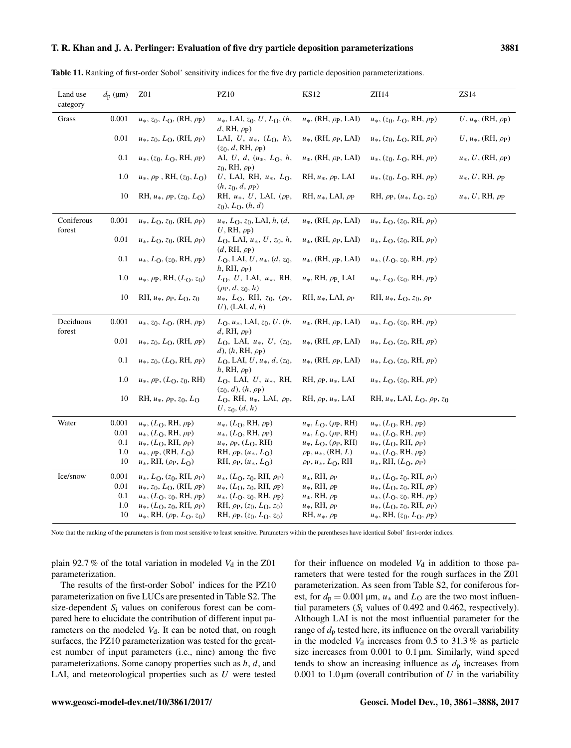| Land use<br>category | $d_{\rm p}$ (µm) | Z01                                          | <b>PZ10</b>                                                               | <b>KS12</b>                          | ZH14                                     | ZS14                                       |
|----------------------|------------------|----------------------------------------------|---------------------------------------------------------------------------|--------------------------------------|------------------------------------------|--------------------------------------------|
| Grass                | 0.001            | $u_*, z_0, L_0$ , (RH, $\rho$ <sub>P</sub> ) | $u_*, LAI, z_0, U, L_O, (h,$<br>d, RH, $\rho_P$ )                         | $u_*$ , (RH, $\rho$ p, LAI)          | $u_*, (z_0, L_0, RH, \rho_P)$            | $U, u_*$ , (RH, $\rho_P$ )                 |
|                      | 0.01             | $u_*, z_0, L_0$ , (RH, $\rho$ <sub>P</sub> ) | LAI, $U, u_*, (L_0, h),$<br>$(z_0, d, RH, \rho_P)$                        | $u_*$ , (RH, $\rho$ p, LAI)          | $u_*, (z_0, L_0, RH, \rho_P)$            | $U, u_*, (\mathrm{RH}, \rho_{\mathrm{P}})$ |
|                      | 0.1              | $u_*, (z_0, L_0, RH, \rho_P)$                | AI, U, d, $(u_*, L_0, h,$<br>$z_0$ , RH, $\rho$ <sub>P</sub> )            | $u_*$ , (RH, $\rho$ p, LAI)          | $u_*, (z_0, L_0, RH, \rho_P)$            | $u_*, U$ , (RH, $\rho$ <sub>P</sub> )      |
|                      | 1.0              | $u_*, \rho_P$ , RH, $(z_0, L_0)$             | U, LAI, RH, $u_*, L_0$ ,<br>$(h, z_0, d, \rho_P)$                         | RH, $u_*$ , $\rho$ p, LAI            | $u_*, (z_0, L_0, RH, \rho_P)$            | $u_*, U, RH, \rho_P$                       |
|                      | 10               | RH, $u_*$ , $\rho$ p, $(z_0, L_0)$           | RH, $u_*$ , U, LAI, ( $\rho$ p,<br>$z_0$ , $L_0$ , $(h, d)$               | RH, $u_*$ , LAI, $\rho_P$            | RH, $\rho$ p, $(u_*, L_0, z_0)$          | $u_*, U, RH, \rho_P$                       |
| Coniferous<br>forest | 0.001            | $u_*, L_0, z_0$ , (RH, $\rho$ <sub>P</sub> ) | $u_*, L_0, z_0, LAI, h, (d,$<br>U, RH, $\rho_P$ )                         | $u_*$ , (RH, $\rho$ p, LAI)          | $u_*, L_0, (z_0, RH, \rho_P)$            |                                            |
|                      | 0.01             | $u_*, L_0, z_0$ , (RH, $\rho$ <sub>P</sub> ) | $L_0$ , LAI, $u_*, U, z_0, h,$<br>$(d, RH, \rho_P)$                       | $u_*$ , (RH, $\rho$ p, LAI)          | $u_*, L_0, (z_0, RH, \rho_P)$            |                                            |
|                      | 0.1              | $u_*, L_0, (z_0, RH, \rho_P)$                | $L_0$ , LAI, $U, u_*, (d, z_0,$<br>$h$ , RH, $\rho$ <sub>P</sub> )        | $u_*$ , (RH, $\rho$ p, LAI)          | $u_*, (L_0, z_0, RH, \rho_P)$            |                                            |
|                      | 1.0              | $u_*, \rho_P, RH, (L_0, z_0)$                | $L_0$ , U, LAI, $u_*$ , RH,<br>$(\rho_P, d, z_0, h)$                      | $u_*$ , RH, $\rho_{\rm P}$ , LAI     | $u_*, L_0, (z_0, RH, \rho_P)$            |                                            |
|                      | 10               | RH, $u_*$ , $\rho$ p, $L_0$ , $z_0$          | $u_*, L_0$ , RH, $z_0$ , ( $\rho$ <sub>P</sub> ,<br>$U$ ), (LAI, $d, h$ ) | RH, $u_*$ , LAI, $\rho_P$            | RH, $u_*, L_0, z_0, \rho_P$              |                                            |
| Deciduous<br>forest  | 0.001            | $u_*, z_0, L_0$ , (RH, $\rho$ <sub>P</sub> ) | $L_0, u_*, LAI, z_0, U, (h,$<br>d, RH, $\rho$ <sub>P</sub> )              | $u_*$ , (RH, $\rho$ p, LAI)          | $u_*, L_0, (z_0, RH, \rho_P)$            |                                            |
|                      | 0.01             | $u_*, z_0, L_0$ , (RH, $\rho$ <sub>P</sub> ) | $L_0$ , LAI, $u_*, U, (z_0,$<br>d), $(h, RH, \rho_P)$                     | $u_*$ , (RH, $\rho$ p, LAI)          | $u_*, L_0, (z_0, RH, \rho_P)$            |                                            |
|                      | 0.1              | $u_*, z_0, (L_0, RH, \rho_P)$                | $L_0$ , LAI, U, $u_*, d$ , $(z_0,$<br>$h, RH, \rho_P$                     | $u_*$ , (RH, $\rho$ p, LAI)          | $u_*, L_0, (z_0, RH, \rho_P)$            |                                            |
|                      | 1.0              | $u_*, \rho_P, (L_O, z_0, RH)$                | $L_0$ , LAI, U, $u_*$ , RH,<br>$(z_0, d), (h, \rho_P)$                    | RH, $\rho$ p, $u_*$ , LAI            | $u_*, L_0, (z_0, RH, \rho_P)$            |                                            |
|                      | 10               | RH, $u_*$ , $\rho$ p, $z_0$ , $L_0$          | $LO$ , RH, $u*$ , LAI, $\rho$ <sub>P</sub> ,<br>$U, z_0, (d, h)$          | RH, $\rho$ p, $u$ <sup>*</sup> , LAI | RH, $u_*$ , LAI, $L_0$ , $\rho$ p, $z_0$ |                                            |

Note that the ranking of the parameters is from most sensitive to least sensitive. Parameters within the parentheses have identical Sobol' first-order indices.

Ice/snow 0.001  $u_*$ ,  $L_O$ ,  $(z_0, RH, \rho_P)$   $u_*$ ,  $(L_O, z_0, RH, \rho_P)$   $u_*$ ,  $RH, \rho_P$   $u_*$ ,  $(L_O, z_0, RH, \rho_P)$ <br>0.01  $u_*$ ,  $z_0$ ,  $L_O$ ,  $(RH, \rho_P)$   $u_*$ ,  $(L_O, z_0, RH, \rho_P)$   $u_*$ ,  $RH, \rho_P$   $u_*$ ,  $(L_O, z_0, RH, \rho_P)$ 

Water 0.001  $u_*, (L_0, RH, \rho_P)$   $u_*, (L_0, RH, \rho_P)$   $u_*, L_0, (\rho_P, RH)$   $u_*, (L_0, RH, \rho_P)$ <br>0.01  $u_*, (L_0, RH, \rho_P)$   $u_*, (L_0, RH, \rho_P)$   $u_*, L_0, (\rho_P, RH)$   $u_*, (L_0, RH, \rho_P)$ 

0.01  $u_*, (L_0, RH, \rho_P)$   $u_*, (L_0, RH, \rho_P)$   $u_*, L_0, (\rho_P, RH)$   $u_*, (L_0, RH, \rho_P)$ <br>0.1  $u_*, (L_0, RH, \rho_P)$   $u_*, \rho_P, (L_0, RH)$   $u_*, L_0, (\rho_P, RH)$   $u_*, (L_0, RH, \rho_P)$ 0.1  $u_*, (L_0, RH, \rho_P)$   $u_*, \rho_P, (L_0, RH)$   $u_*, L_0, (\rho_P, RH)$   $u_*, (L_0, RH, \rho_P)$ <br>1.0  $u_*, \rho_P, (RH, L_0)$  RH,  $\rho_P, (u_*, L_0)$   $\rho_P, u_*, (RH, L)$   $u_*, (L_0, RH, \rho_P)$ 1.0  $u_*$ ,  $\rho_P$ , (RH,  $L_O$ ) RH,  $\rho_P$ ,  $(u_*$ ,  $L_O$ )  $\rho_P$ ,  $u_*$ , (RH,  $L$ )  $u_*$ ,  $(L_O, RH, \rho_P)$ <br>10  $u_*$ , RH,  $(\rho_P, L_O)$  RH,  $\rho_P$ ,  $(u_*$ ,  $L_O)$   $\rho_P$ ,  $u_*$ ,  $L_O$ , RH  $u_*$ , RH,  $(L_O, \rho_P)$ 

0.01  $u_*$ ,  $z_0$ ,  $L_O$ ,  $(RH, \rho_P)$   $u_*$ ,  $(L_O, z_0, RH, \rho_P)$   $u_*$ ,  $RH, \rho_P$   $u_*$ ,  $(L_O, z_0, RH, \rho_P)$ <br>0.1  $u_*$ ,  $(L_O, z_0, RH, \rho_P)$   $u_*$ ,  $(L_O, z_0, RH, \rho_P)$   $u_*$ ,  $RH, \rho_P$   $u_*$ ,  $(L_O, z_0, RH, \rho_P)$ 0.1  $u_*, (L_0, z_0, RH, \rho_P)$   $u_*, (L_0, z_0, RH, \rho_P)$   $u_*, (L_0, z_0, RH, \rho_P)$  u<sub>\*</sub>,  $(R_0, z_0, RH, \rho_P)$ <br>1.0  $u_*, (L_0, z_0, RH, \rho_P)$  RH,  $\rho_P, (z_0, L_0, z_0)$  u<sub>\*</sub>, RH,  $\rho_P$  u<sub>\*</sub>,  $(L_0, z_0, RH, \rho_P)$ 

10  $u_*, \text{RH}, (\rho_P, L_O, z_0)$  RH,  $\rho_P, (z_0, L_O, z_0)$  RH,  $u_*, \rho_P$   $u_*, \text{RH}, (z_0, L_O, \rho_P)$ 

plain 92.7 % of the total variation in modeled  $V_d$  in the Z01 parameterization.

 $u_*, \text{RH}, (\rho_P, L_O)$ 

 $u_*, (L_0, z_0, RH, \rho_P)$ 

The results of the first-order Sobol' indices for the PZ10 parameterization on five LUCs are presented in Table S2. The size-dependent  $S_i$  values on coniferous forest can be compared here to elucidate the contribution of different input parameters on the modeled  $V_d$ . It can be noted that, on rough surfaces, the PZ10 parameterization was tested for the greatest number of input parameters (i.e., nine) among the five parameterizations. Some canopy properties such as  $h, d$ , and LAI, and meteorological properties such as U were tested for their influence on modeled  $V_d$  in addition to those parameters that were tested for the rough surfaces in the Z01 parameterization. As seen from Table S2, for coniferous forest, for  $d_p = 0.001 \,\text{\mu m}$ ,  $u_*$  and  $L_0$  are the two most influential parameters  $(S_i$  values of 0.492 and 0.462, respectively). Although LAI is not the most influential parameter for the range of  $d_p$  tested here, its influence on the overall variability in the modeled  $V_d$  increases from 0.5 to 31.3% as particle size increases from 0.001 to 0.1  $\mu$ m. Similarly, wind speed tends to show an increasing influence as  $d_p$  increases from 0.001 to 1.0  $\mu$ m (overall contribution of U in the variability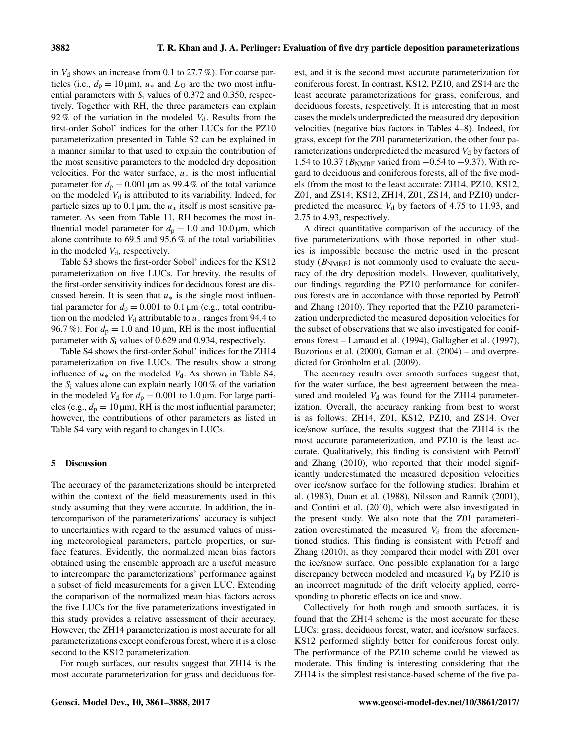in  $V_d$  shows an increase from 0.1 to 27.7%). For coarse particles (i.e.,  $d_p = 10 \,\mu\text{m}$ ),  $u_*$  and  $L_0$  are the two most influential parameters with  $S_i$  values of 0.372 and 0.350, respectively. Together with RH, the three parameters can explain 92 % of the variation in the modeled  $V_d$ . Results from the first-order Sobol' indices for the other LUCs for the PZ10 parameterization presented in Table S2 can be explained in a manner similar to that used to explain the contribution of the most sensitive parameters to the modeled dry deposition velocities. For the water surface,  $u_*$  is the most influential parameter for  $d_p = 0.001 \,\text{\mu m}$  as 99.4 % of the total variance on the modeled  $V_d$  is attributed to its variability. Indeed, for particle sizes up to 0.1  $\mu$ m, the  $u_*$  itself is most sensitive parameter. As seen from Table 11, RH becomes the most influential model parameter for  $d_p = 1.0$  and  $10.0 \,\mu$ m, which alone contribute to 69.5 and 95.6 % of the total variabilities in the modeled  $V<sub>d</sub>$ , respectively.

Table S3 shows the first-order Sobol' indices for the KS12 parameterization on five LUCs. For brevity, the results of the first-order sensitivity indices for deciduous forest are discussed herein. It is seen that  $u_*$  is the single most influential parameter for  $d_p = 0.001$  to 0.1 µm (e.g., total contribution on the modeled  $V_d$  attributable to  $u_*$  ranges from 94.4 to 96.7%). For  $d_p = 1.0$  and 10 µm, RH is the most influential parameter with  $S_i$  values of 0.629 and 0.934, respectively.

Table S4 shows the first-order Sobol' indices for the ZH14 parameterization on five LUCs. The results show a strong influence of  $u_*$  on the modeled  $V_d$ . As shown in Table S4, the  $S_i$  values alone can explain nearly 100 % of the variation in the modeled  $V_d$  for  $d_p = 0.001$  to 1.0 µm. For large particles (e.g.,  $d_p = 10 \,\text{\mu m}$ ), RH is the most influential parameter; however, the contributions of other parameters as listed in Table S4 vary with regard to changes in LUCs.

## 5 Discussion

The accuracy of the parameterizations should be interpreted within the context of the field measurements used in this study assuming that they were accurate. In addition, the intercomparison of the parameterizations' accuracy is subject to uncertainties with regard to the assumed values of missing meteorological parameters, particle properties, or surface features. Evidently, the normalized mean bias factors obtained using the ensemble approach are a useful measure to intercompare the parameterizations' performance against a subset of field measurements for a given LUC. Extending the comparison of the normalized mean bias factors across the five LUCs for the five parameterizations investigated in this study provides a relative assessment of their accuracy. However, the ZH14 parameterization is most accurate for all parameterizations except coniferous forest, where it is a close second to the KS12 parameterization.

For rough surfaces, our results suggest that ZH14 is the most accurate parameterization for grass and deciduous forest, and it is the second most accurate parameterization for coniferous forest. In contrast, KS12, PZ10, and ZS14 are the least accurate parameterizations for grass, coniferous, and deciduous forests, respectively. It is interesting that in most cases the models underpredicted the measured dry deposition velocities (negative bias factors in Tables 4–8). Indeed, for grass, except for the Z01 parameterization, the other four parameterizations underpredicted the measured  $V_d$  by factors of 1.54 to 10.37 ( $B_{\text{NMBF}}$  varied from  $-0.54$  to  $-9.37$ ). With regard to deciduous and coniferous forests, all of the five models (from the most to the least accurate: ZH14, PZ10, KS12, Z01, and ZS14; KS12, ZH14, Z01, ZS14, and PZ10) underpredicted the measured  $V_d$  by factors of 4.75 to 11.93, and 2.75 to 4.93, respectively.

A direct quantitative comparison of the accuracy of the five parameterizations with those reported in other studies is impossible because the metric used in the present study  $(B<sub>NMBF</sub>)$  is not commonly used to evaluate the accuracy of the dry deposition models. However, qualitatively, our findings regarding the PZ10 performance for coniferous forests are in accordance with those reported by Petroff and Zhang (2010). They reported that the PZ10 parameterization underpredicted the measured deposition velocities for the subset of observations that we also investigated for coniferous forest – Lamaud et al. (1994), Gallagher et al. (1997), Buzorious et al. (2000), Gaman et al. (2004) – and overpredicted for Grönholm et al. (2009).

The accuracy results over smooth surfaces suggest that, for the water surface, the best agreement between the measured and modeled  $V<sub>d</sub>$  was found for the ZH14 parameterization. Overall, the accuracy ranking from best to worst is as follows: ZH14, Z01, KS12, PZ10, and ZS14. Over ice/snow surface, the results suggest that the ZH14 is the most accurate parameterization, and PZ10 is the least accurate. Qualitatively, this finding is consistent with Petroff and Zhang (2010), who reported that their model significantly underestimated the measured deposition velocities over ice/snow surface for the following studies: Ibrahim et al. (1983), Duan et al. (1988), Nilsson and Rannik (2001), and Contini et al. (2010), which were also investigated in the present study. We also note that the Z01 parameterization overestimated the measured  $V<sub>d</sub>$  from the aforementioned studies. This finding is consistent with Petroff and Zhang (2010), as they compared their model with Z01 over the ice/snow surface. One possible explanation for a large discrepancy between modeled and measured  $V_d$  by PZ10 is an incorrect magnitude of the drift velocity applied, corresponding to phoretic effects on ice and snow.

Collectively for both rough and smooth surfaces, it is found that the ZH14 scheme is the most accurate for these LUCs: grass, deciduous forest, water, and ice/snow surfaces. KS12 performed slightly better for coniferous forest only. The performance of the PZ10 scheme could be viewed as moderate. This finding is interesting considering that the ZH14 is the simplest resistance-based scheme of the five pa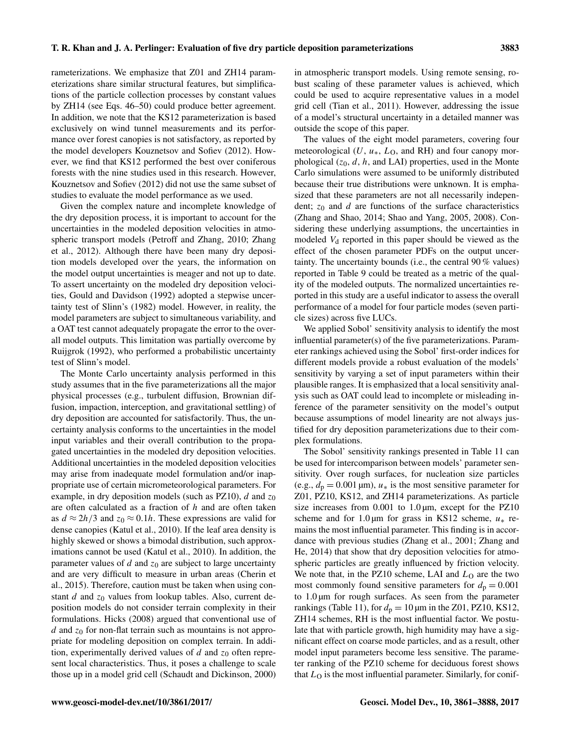rameterizations. We emphasize that Z01 and ZH14 parameterizations share similar structural features, but simplifications of the particle collection processes by constant values by ZH14 (see Eqs. 46–50) could produce better agreement. In addition, we note that the KS12 parameterization is based exclusively on wind tunnel measurements and its performance over forest canopies is not satisfactory, as reported by the model developers Kouznetsov and Sofiev (2012). However, we find that KS12 performed the best over coniferous forests with the nine studies used in this research. However, Kouznetsov and Sofiev (2012) did not use the same subset of studies to evaluate the model performance as we used.

Given the complex nature and incomplete knowledge of the dry deposition process, it is important to account for the uncertainties in the modeled deposition velocities in atmospheric transport models (Petroff and Zhang, 2010; Zhang et al., 2012). Although there have been many dry deposition models developed over the years, the information on the model output uncertainties is meager and not up to date. To assert uncertainty on the modeled dry deposition velocities, Gould and Davidson (1992) adopted a stepwise uncertainty test of Slinn's (1982) model. However, in reality, the model parameters are subject to simultaneous variability, and a OAT test cannot adequately propagate the error to the overall model outputs. This limitation was partially overcome by Ruijgrok (1992), who performed a probabilistic uncertainty test of Slinn's model.

The Monte Carlo uncertainty analysis performed in this study assumes that in the five parameterizations all the major physical processes (e.g., turbulent diffusion, Brownian diffusion, impaction, interception, and gravitational settling) of dry deposition are accounted for satisfactorily. Thus, the uncertainty analysis conforms to the uncertainties in the model input variables and their overall contribution to the propagated uncertainties in the modeled dry deposition velocities. Additional uncertainties in the modeled deposition velocities may arise from inadequate model formulation and/or inappropriate use of certain micrometeorological parameters. For example, in dry deposition models (such as PZ10), d and  $z_0$ are often calculated as a fraction of h and are often taken as  $d \approx 2h/3$  and  $z_0 \approx 0.1h$ . These expressions are valid for dense canopies (Katul et al., 2010). If the leaf area density is highly skewed or shows a bimodal distribution, such approximations cannot be used (Katul et al., 2010). In addition, the parameter values of  $d$  and  $z_0$  are subject to large uncertainty and are very difficult to measure in urban areas (Cherin et al., 2015). Therefore, caution must be taken when using constant  $d$  and  $z_0$  values from lookup tables. Also, current deposition models do not consider terrain complexity in their formulations. Hicks (2008) argued that conventional use of d and  $z_0$  for non-flat terrain such as mountains is not appropriate for modeling deposition on complex terrain. In addition, experimentally derived values of  $d$  and  $z_0$  often represent local characteristics. Thus, it poses a challenge to scale those up in a model grid cell (Schaudt and Dickinson, 2000) in atmospheric transport models. Using remote sensing, robust scaling of these parameter values is achieved, which could be used to acquire representative values in a model grid cell (Tian et al., 2011). However, addressing the issue of a model's structural uncertainty in a detailed manner was outside the scope of this paper.

The values of the eight model parameters, covering four meteorological ( $U, u_*, L_0$ , and RH) and four canopy morphological  $(z_0, d, h, \text{ and LAI})$  properties, used in the Monte Carlo simulations were assumed to be uniformly distributed because their true distributions were unknown. It is emphasized that these parameters are not all necessarily independent;  $z_0$  and d are functions of the surface characteristics (Zhang and Shao, 2014; Shao and Yang, 2005, 2008). Considering these underlying assumptions, the uncertainties in modeled  $V_d$  reported in this paper should be viewed as the effect of the chosen parameter PDFs on the output uncertainty. The uncertainty bounds (i.e., the central 90 % values) reported in Table 9 could be treated as a metric of the quality of the modeled outputs. The normalized uncertainties reported in this study are a useful indicator to assess the overall performance of a model for four particle modes (seven particle sizes) across five LUCs.

We applied Sobol' sensitivity analysis to identify the most influential parameter(s) of the five parameterizations. Parameter rankings achieved using the Sobol' first-order indices for different models provide a robust evaluation of the models' sensitivity by varying a set of input parameters within their plausible ranges. It is emphasized that a local sensitivity analysis such as OAT could lead to incomplete or misleading inference of the parameter sensitivity on the model's output because assumptions of model linearity are not always justified for dry deposition parameterizations due to their complex formulations.

The Sobol' sensitivity rankings presented in Table 11 can be used for intercomparison between models' parameter sensitivity. Over rough surfaces, for nucleation size particles (e.g.,  $d_p = 0.001 \,\text{\mu m}$ ),  $u_*$  is the most sensitive parameter for Z01, PZ10, KS12, and ZH14 parameterizations. As particle size increases from  $0.001$  to  $1.0 \mu m$ , except for the PZ10 scheme and for 1.0 µm for grass in KS12 scheme,  $u_*$  remains the most influential parameter. This finding is in accordance with previous studies (Zhang et al., 2001; Zhang and He, 2014) that show that dry deposition velocities for atmospheric particles are greatly influenced by friction velocity. We note that, in the PZ10 scheme, LAI and  $L<sub>O</sub>$  are the two most commonly found sensitive parameters for  $d_p = 0.001$ to  $1.0 \mu m$  for rough surfaces. As seen from the parameter rankings (Table 11), for  $d_p = 10 \,\mu\text{m}$  in the Z01, PZ10, KS12, ZH14 schemes, RH is the most influential factor. We postulate that with particle growth, high humidity may have a significant effect on coarse mode particles, and as a result, other model input parameters become less sensitive. The parameter ranking of the PZ10 scheme for deciduous forest shows that  $L<sub>O</sub>$  is the most influential parameter. Similarly, for conif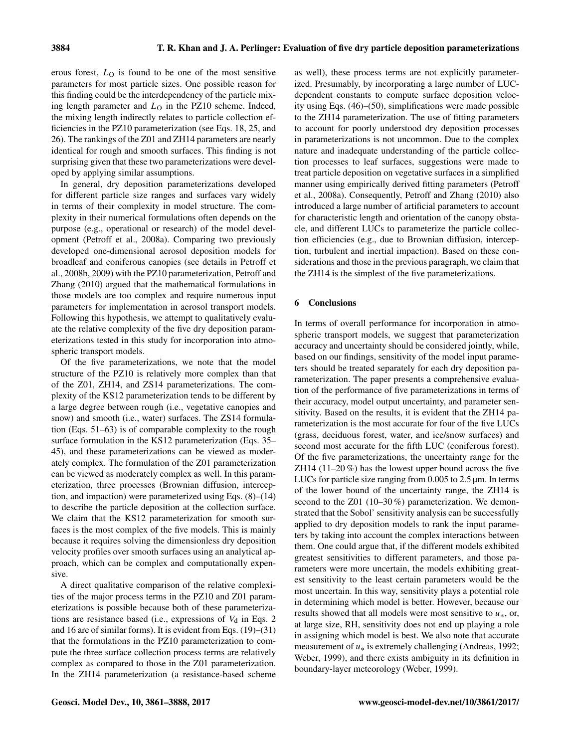erous forest,  $L<sub>O</sub>$  is found to be one of the most sensitive parameters for most particle sizes. One possible reason for this finding could be the interdependency of the particle mixing length parameter and  $L<sub>O</sub>$  in the PZ10 scheme. Indeed, the mixing length indirectly relates to particle collection efficiencies in the PZ10 parameterization (see Eqs. 18, 25, and 26). The rankings of the Z01 and ZH14 parameters are nearly identical for rough and smooth surfaces. This finding is not surprising given that these two parameterizations were developed by applying similar assumptions.

In general, dry deposition parameterizations developed for different particle size ranges and surfaces vary widely in terms of their complexity in model structure. The complexity in their numerical formulations often depends on the purpose (e.g., operational or research) of the model development (Petroff et al., 2008a). Comparing two previously developed one-dimensional aerosol deposition models for broadleaf and coniferous canopies (see details in Petroff et al., 2008b, 2009) with the PZ10 parameterization, Petroff and Zhang (2010) argued that the mathematical formulations in those models are too complex and require numerous input parameters for implementation in aerosol transport models. Following this hypothesis, we attempt to qualitatively evaluate the relative complexity of the five dry deposition parameterizations tested in this study for incorporation into atmospheric transport models.

Of the five parameterizations, we note that the model structure of the PZ10 is relatively more complex than that of the Z01, ZH14, and ZS14 parameterizations. The complexity of the KS12 parameterization tends to be different by a large degree between rough (i.e., vegetative canopies and snow) and smooth (i.e., water) surfaces. The ZS14 formulation (Eqs. 51–63) is of comparable complexity to the rough surface formulation in the KS12 parameterization (Eqs. 35– 45), and these parameterizations can be viewed as moderately complex. The formulation of the Z01 parameterization can be viewed as moderately complex as well. In this parameterization, three processes (Brownian diffusion, interception, and impaction) were parameterized using Eqs. (8)–(14) to describe the particle deposition at the collection surface. We claim that the KS12 parameterization for smooth surfaces is the most complex of the five models. This is mainly because it requires solving the dimensionless dry deposition velocity profiles over smooth surfaces using an analytical approach, which can be complex and computationally expensive.

A direct qualitative comparison of the relative complexities of the major process terms in the PZ10 and Z01 parameterizations is possible because both of these parameterizations are resistance based (i.e., expressions of  $V<sub>d</sub>$  in Eqs. 2 and 16 are of similar forms). It is evident from Eqs. (19)–(31) that the formulations in the PZ10 parameterization to compute the three surface collection process terms are relatively complex as compared to those in the Z01 parameterization. In the ZH14 parameterization (a resistance-based scheme

as well), these process terms are not explicitly parameterized. Presumably, by incorporating a large number of LUCdependent constants to compute surface deposition velocity using Eqs. (46)–(50), simplifications were made possible to the ZH14 parameterization. The use of fitting parameters to account for poorly understood dry deposition processes in parameterizations is not uncommon. Due to the complex nature and inadequate understanding of the particle collection processes to leaf surfaces, suggestions were made to treat particle deposition on vegetative surfaces in a simplified manner using empirically derived fitting parameters (Petroff et al., 2008a). Consequently, Petroff and Zhang (2010) also introduced a large number of artificial parameters to account for characteristic length and orientation of the canopy obstacle, and different LUCs to parameterize the particle collection efficiencies (e.g., due to Brownian diffusion, interception, turbulent and inertial impaction). Based on these considerations and those in the previous paragraph, we claim that the ZH14 is the simplest of the five parameterizations.

# 6 Conclusions

In terms of overall performance for incorporation in atmospheric transport models, we suggest that parameterization accuracy and uncertainty should be considered jointly, while, based on our findings, sensitivity of the model input parameters should be treated separately for each dry deposition parameterization. The paper presents a comprehensive evaluation of the performance of five parameterizations in terms of their accuracy, model output uncertainty, and parameter sensitivity. Based on the results, it is evident that the ZH14 parameterization is the most accurate for four of the five LUCs (grass, deciduous forest, water, and ice/snow surfaces) and second most accurate for the fifth LUC (coniferous forest). Of the five parameterizations, the uncertainty range for the ZH14 (11–20 %) has the lowest upper bound across the five LUCs for particle size ranging from 0.005 to 2.5 µm. In terms of the lower bound of the uncertainty range, the ZH14 is second to the Z01 (10–30%) parameterization. We demonstrated that the Sobol' sensitivity analysis can be successfully applied to dry deposition models to rank the input parameters by taking into account the complex interactions between them. One could argue that, if the different models exhibited greatest sensitivities to different parameters, and those parameters were more uncertain, the models exhibiting greatest sensitivity to the least certain parameters would be the most uncertain. In this way, sensitivity plays a potential role in determining which model is better. However, because our results showed that all models were most sensitive to  $u<sub>*</sub>$ , or, at large size, RH, sensitivity does not end up playing a role in assigning which model is best. We also note that accurate measurement of  $u_*$  is extremely challenging (Andreas, 1992; Weber, 1999), and there exists ambiguity in its definition in boundary-layer meteorology (Weber, 1999).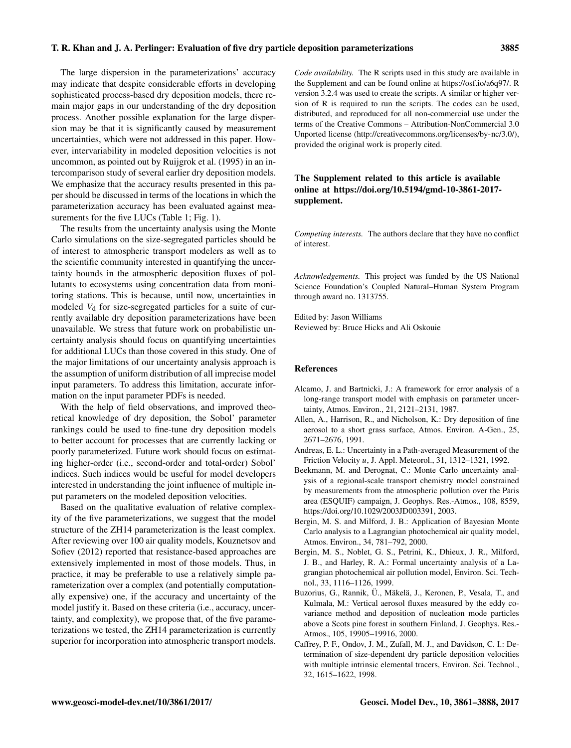The large dispersion in the parameterizations' accuracy may indicate that despite considerable efforts in developing sophisticated process-based dry deposition models, there remain major gaps in our understanding of the dry deposition process. Another possible explanation for the large dispersion may be that it is significantly caused by measurement uncertainties, which were not addressed in this paper. However, intervariability in modeled deposition velocities is not uncommon, as pointed out by Ruijgrok et al. (1995) in an intercomparison study of several earlier dry deposition models. We emphasize that the accuracy results presented in this paper should be discussed in terms of the locations in which the parameterization accuracy has been evaluated against measurements for the five LUCs (Table 1; Fig. 1).

The results from the uncertainty analysis using the Monte Carlo simulations on the size-segregated particles should be of interest to atmospheric transport modelers as well as to the scientific community interested in quantifying the uncertainty bounds in the atmospheric deposition fluxes of pollutants to ecosystems using concentration data from monitoring stations. This is because, until now, uncertainties in modeled  $V_d$  for size-segregated particles for a suite of currently available dry deposition parameterizations have been unavailable. We stress that future work on probabilistic uncertainty analysis should focus on quantifying uncertainties for additional LUCs than those covered in this study. One of the major limitations of our uncertainty analysis approach is the assumption of uniform distribution of all imprecise model input parameters. To address this limitation, accurate information on the input parameter PDFs is needed.

With the help of field observations, and improved theoretical knowledge of dry deposition, the Sobol' parameter rankings could be used to fine-tune dry deposition models to better account for processes that are currently lacking or poorly parameterized. Future work should focus on estimating higher-order (i.e., second-order and total-order) Sobol' indices. Such indices would be useful for model developers interested in understanding the joint influence of multiple input parameters on the modeled deposition velocities.

Based on the qualitative evaluation of relative complexity of the five parameterizations, we suggest that the model structure of the ZH14 parameterization is the least complex. After reviewing over 100 air quality models, Kouznetsov and Sofiev (2012) reported that resistance-based approaches are extensively implemented in most of those models. Thus, in practice, it may be preferable to use a relatively simple parameterization over a complex (and potentially computationally expensive) one, if the accuracy and uncertainty of the model justify it. Based on these criteria (i.e., accuracy, uncertainty, and complexity), we propose that, of the five parameterizations we tested, the ZH14 parameterization is currently superior for incorporation into atmospheric transport models.

*Code availability.* The R scripts used in this study are available in the Supplement and can be found online at [https://osf.io/a6q97/.](https://osf.io/a6q97/) R version 3.2.4 was used to create the scripts. A similar or higher version of R is required to run the scripts. The codes can be used, distributed, and reproduced for all non-commercial use under the terms of the Creative Commons – Attribution-NonCommercial 3.0 Unported license [\(http://creativecommons.org/licenses/by-nc/3.0/\)](http://creativecommons.org/licenses/by-nc/3.0/), provided the original work is properly cited.

# The Supplement related to this article is available online at [https://doi.org/10.5194/gmd-10-3861-2017](https://doi.org/10.5194/gmd-10-3861-2017-supplement) [supplement.](https://doi.org/10.5194/gmd-10-3861-2017-supplement)

*Competing interests.* The authors declare that they have no conflict of interest.

*Acknowledgements.* This project was funded by the US National Science Foundation's Coupled Natural–Human System Program through award no. 1313755.

Edited by: Jason Williams Reviewed by: Bruce Hicks and Ali Oskouie

#### References

- Alcamo, J. and Bartnicki, J.: A framework for error analysis of a long-range transport model with emphasis on parameter uncertainty, Atmos. Environ., 21, 2121–2131, 1987.
- Allen, A., Harrison, R., and Nicholson, K.: Dry deposition of fine aerosol to a short grass surface, Atmos. Environ. A-Gen., 25, 2671–2676, 1991.
- Andreas, E. L.: Uncertainty in a Path-averaged Measurement of the Friction Velocity u, J. Appl. Meteorol., 31, 1312–1321, 1992.
- Beekmann, M. and Derognat, C.: Monte Carlo uncertainty analysis of a regional-scale transport chemistry model constrained by measurements from the atmospheric pollution over the Paris area (ESQUIF) campaign, J. Geophys. Res.-Atmos., 108, 8559, https://doi.org[/10.1029/2003JD003391,](https://doi.org/10.1029/2003JD003391) 2003.
- Bergin, M. S. and Milford, J. B.: Application of Bayesian Monte Carlo analysis to a Lagrangian photochemical air quality model, Atmos. Environ., 34, 781–792, 2000.
- Bergin, M. S., Noblet, G. S., Petrini, K., Dhieux, J. R., Milford, J. B., and Harley, R. A.: Formal uncertainty analysis of a Lagrangian photochemical air pollution model, Environ. Sci. Technol., 33, 1116–1126, 1999.
- Buzorius, G., Rannik, Ü., Mäkelä, J., Keronen, P., Vesala, T., and Kulmala, M.: Vertical aerosol fluxes measured by the eddy covariance method and deposition of nucleation mode particles above a Scots pine forest in southern Finland, J. Geophys. Res.- Atmos., 105, 19905–19916, 2000.
- Caffrey, P. F., Ondov, J. M., Zufall, M. J., and Davidson, C. I.: Determination of size-dependent dry particle deposition velocities with multiple intrinsic elemental tracers, Environ. Sci. Technol., 32, 1615–1622, 1998.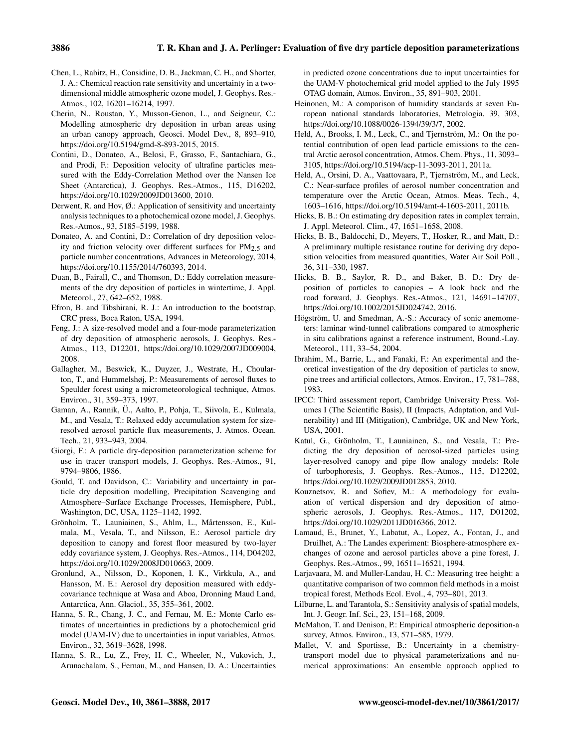- Chen, L., Rabitz, H., Considine, D. B., Jackman, C. H., and Shorter, J. A.: Chemical reaction rate sensitivity and uncertainty in a twodimensional middle atmospheric ozone model, J. Geophys. Res.- Atmos., 102, 16201–16214, 1997.
- Cherin, N., Roustan, Y., Musson-Genon, L., and Seigneur, C.: Modelling atmospheric dry deposition in urban areas using an urban canopy approach, Geosci. Model Dev., 8, 893–910, https://doi.org[/10.5194/gmd-8-893-2015,](https://doi.org/10.5194/gmd-8-893-2015) 2015.
- Contini, D., Donateo, A., Belosi, F., Grasso, F., Santachiara, G., and Prodi, F.: Deposition velocity of ultrafine particles measured with the Eddy-Correlation Method over the Nansen Ice Sheet (Antarctica), J. Geophys. Res.-Atmos., 115, D16202, https://doi.org[/10.1029/2009JD013600,](https://doi.org/10.1029/2009JD013600) 2010.
- Derwent, R. and Hov,  $\emptyset$ .: Application of sensitivity and uncertainty analysis techniques to a photochemical ozone model, J. Geophys. Res.-Atmos., 93, 5185–5199, 1988.
- Donateo, A. and Contini, D.: Correlation of dry deposition velocity and friction velocity over different surfaces for  $PM_{2.5}$  and particle number concentrations, Advances in Meteorology, 2014, https://doi.org[/10.1155/2014/760393,](https://doi.org/10.1155/2014/760393) 2014.
- Duan, B., Fairall, C., and Thomson, D.: Eddy correlation measurements of the dry deposition of particles in wintertime, J. Appl. Meteorol., 27, 642–652, 1988.
- Efron, B. and Tibshirani, R. J.: An introduction to the bootstrap, CRC press, Boca Raton, USA, 1994.
- Feng, J.: A size-resolved model and a four-mode parameterization of dry deposition of atmospheric aerosols, J. Geophys. Res.- Atmos., 113, D12201, https://doi.org[/10.1029/2007JD009004,](https://doi.org/10.1029/2007JD009004) 2008.
- Gallagher, M., Beswick, K., Duyzer, J., Westrate, H., Choularton, T., and Hummelshøj, P.: Measurements of aerosol fluxes to Speulder forest using a micrometeorological technique, Atmos. Environ., 31, 359–373, 1997.
- Gaman, A., Rannik, Ü., Aalto, P., Pohja, T., Siivola, E., Kulmala, M., and Vesala, T.: Relaxed eddy accumulation system for sizeresolved aerosol particle flux measurements, J. Atmos. Ocean. Tech., 21, 933–943, 2004.
- Giorgi, F.: A particle dry-deposition parameterization scheme for use in tracer transport models, J. Geophys. Res.-Atmos., 91, 9794–9806, 1986.
- Gould, T. and Davidson, C.: Variability and uncertainty in particle dry deposition modelling, Precipitation Scavenging and Atmosphere–Surface Exchange Processes, Hemisphere, Publ., Washington, DC, USA, 1125–1142, 1992.
- Grönholm, T., Launiainen, S., Ahlm, L., Mårtensson, E., Kulmala, M., Vesala, T., and Nilsson, E.: Aerosol particle dry deposition to canopy and forest floor measured by two-layer eddy covariance system, J. Geophys. Res.-Atmos., 114, D04202, https://doi.org[/10.1029/2008JD010663,](https://doi.org/10.1029/2008JD010663) 2009.
- Gronlund, A., Nilsson, D., Koponen, I. K., Virkkula, A., and Hansson, M. E.: Aerosol dry deposition measured with eddycovariance technique at Wasa and Aboa, Dronning Maud Land, Antarctica, Ann. Glaciol., 35, 355–361, 2002.
- Hanna, S. R., Chang, J. C., and Fernau, M. E.: Monte Carlo estimates of uncertainties in predictions by a photochemical grid model (UAM-IV) due to uncertainties in input variables, Atmos. Environ., 32, 3619–3628, 1998.
- Hanna, S. R., Lu, Z., Frey, H. C., Wheeler, N., Vukovich, J., Arunachalam, S., Fernau, M., and Hansen, D. A.: Uncertainties

in predicted ozone concentrations due to input uncertainties for the UAM-V photochemical grid model applied to the July 1995 OTAG domain, Atmos. Environ., 35, 891–903, 2001.

- Heinonen, M.: A comparison of humidity standards at seven European national standards laboratories, Metrologia, 39, 303, https://doi.org[/10.1088/0026-1394/39/3/7,](https://doi.org/10.1088/0026-1394/39/3/7) 2002.
- Held, A., Brooks, I. M., Leck, C., and Tjernström, M.: On the potential contribution of open lead particle emissions to the central Arctic aerosol concentration, Atmos. Chem. Phys., 11, 3093– 3105, https://doi.org[/10.5194/acp-11-3093-2011,](https://doi.org/10.5194/acp-11-3093-2011) 2011a.
- Held, A., Orsini, D. A., Vaattovaara, P., Tjernström, M., and Leck, C.: Near-surface profiles of aerosol number concentration and temperature over the Arctic Ocean, Atmos. Meas. Tech., 4, 1603–1616, https://doi.org[/10.5194/amt-4-1603-2011,](https://doi.org/10.5194/amt-4-1603-2011) 2011b.
- Hicks, B. B.: On estimating dry deposition rates in complex terrain, J. Appl. Meteorol. Clim., 47, 1651–1658, 2008.
- Hicks, B. B., Baldocchi, D., Meyers, T., Hosker, R., and Matt, D.: A preliminary multiple resistance routine for deriving dry deposition velocities from measured quantities, Water Air Soil Poll., 36, 311–330, 1987.
- Hicks, B. B., Saylor, R. D., and Baker, B. D.: Dry deposition of particles to canopies – A look back and the road forward, J. Geophys. Res.-Atmos., 121, 14691–14707, https://doi.org[/10.1002/2015JD024742,](https://doi.org/10.1002/2015JD024742) 2016.
- Högström, U. and Smedman, A.-S.: Accuracy of sonic anemometers: laminar wind-tunnel calibrations compared to atmospheric in situ calibrations against a reference instrument, Bound.-Lay. Meteorol., 111, 33–54, 2004.
- Ibrahim, M., Barrie, L., and Fanaki, F.: An experimental and theoretical investigation of the dry deposition of particles to snow, pine trees and artificial collectors, Atmos. Environ., 17, 781–788, 1983.
- IPCC: Third assessment report, Cambridge University Press. Volumes I (The Scientific Basis), II (Impacts, Adaptation, and Vulnerability) and III (Mitigation), Cambridge, UK and New York, USA, 2001.
- Katul, G., Grönholm, T., Launiainen, S., and Vesala, T.: Predicting the dry deposition of aerosol-sized particles using layer-resolved canopy and pipe flow analogy models: Role of turbophoresis, J. Geophys. Res.-Atmos., 115, D12202, https://doi.org[/10.1029/2009JD012853,](https://doi.org/10.1029/2009JD012853) 2010.
- Kouznetsov, R. and Sofiev, M.: A methodology for evaluation of vertical dispersion and dry deposition of atmospheric aerosols, J. Geophys. Res.-Atmos., 117, D01202, https://doi.org[/10.1029/2011JD016366,](https://doi.org/10.1029/2011JD016366) 2012.
- Lamaud, E., Brunet, Y., Labatut, A., Lopez, A., Fontan, J., and Druilhet, A.: The Landes experiment: Biosphere-atmosphere exchanges of ozone and aerosol particles above a pine forest, J. Geophys. Res.-Atmos., 99, 16511–16521, 1994.
- Larjavaara, M. and Muller-Landau, H. C.: Measuring tree height: a quantitative comparison of two common field methods in a moist tropical forest, Methods Ecol. Evol., 4, 793–801, 2013.
- Lilburne, L. and Tarantola, S.: Sensitivity analysis of spatial models, Int. J. Geogr. Inf. Sci., 23, 151–168, 2009.
- McMahon, T. and Denison, P.: Empirical atmospheric deposition-a survey, Atmos. Environ., 13, 571–585, 1979.
- Mallet, V. and Sportisse, B.: Uncertainty in a chemistrytransport model due to physical parameterizations and numerical approximations: An ensemble approach applied to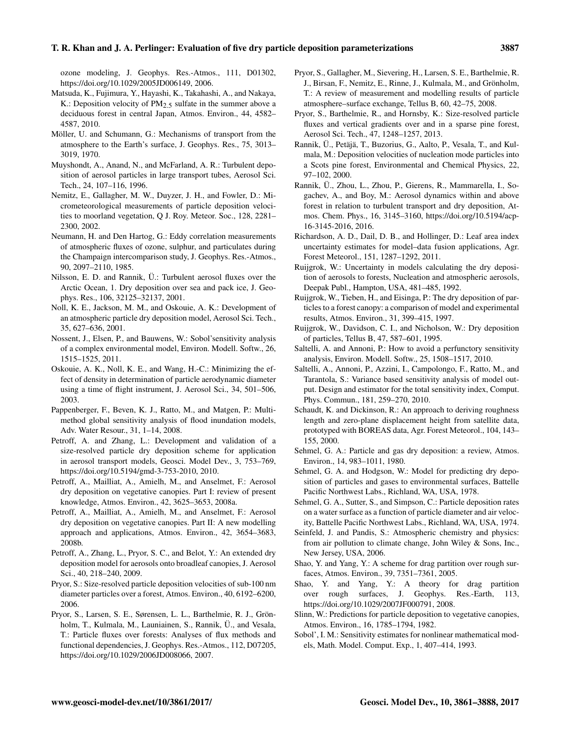ozone modeling, J. Geophys. Res.-Atmos., 111, D01302, https://doi.org[/10.1029/2005JD006149,](https://doi.org/10.1029/2005JD006149) 2006.

- Matsuda, K., Fujimura, Y., Hayashi, K., Takahashi, A., and Nakaya, K.: Deposition velocity of  $PM_{2.5}$  sulfate in the summer above a deciduous forest in central Japan, Atmos. Environ., 44, 4582– 4587, 2010.
- Möller, U. and Schumann, G.: Mechanisms of transport from the atmosphere to the Earth's surface, J. Geophys. Res., 75, 3013– 3019, 1970.
- Muyshondt, A., Anand, N., and McFarland, A. R.: Turbulent deposition of aerosol particles in large transport tubes, Aerosol Sci. Tech., 24, 107–116, 1996.
- Nemitz, E., Gallagher, M. W., Duyzer, J. H., and Fowler, D.: Micrometeorological measurements of particle deposition velocities to moorland vegetation, Q J. Roy. Meteor. Soc., 128, 2281– 2300, 2002.
- Neumann, H. and Den Hartog, G.: Eddy correlation measurements of atmospheric fluxes of ozone, sulphur, and particulates during the Champaign intercomparison study, J. Geophys. Res.-Atmos., 90, 2097–2110, 1985.
- Nilsson, E. D. and Rannik, Ü.: Turbulent aerosol fluxes over the Arctic Ocean, 1. Dry deposition over sea and pack ice, J. Geophys. Res., 106, 32125–32137, 2001.
- Noll, K. E., Jackson, M. M., and Oskouie, A. K.: Development of an atmospheric particle dry deposition model, Aerosol Sci. Tech., 35, 627–636, 2001.
- Nossent, J., Elsen, P., and Bauwens, W.: Sobol'sensitivity analysis of a complex environmental model, Environ. Modell. Softw., 26, 1515–1525, 2011.
- Oskouie, A. K., Noll, K. E., and Wang, H.-C.: Minimizing the effect of density in determination of particle aerodynamic diameter using a time of flight instrument, J. Aerosol Sci., 34, 501–506, 2003.
- Pappenberger, F., Beven, K. J., Ratto, M., and Matgen, P.: Multimethod global sensitivity analysis of flood inundation models, Adv. Water Resour., 31, 1–14, 2008.
- Petroff, A. and Zhang, L.: Development and validation of a size-resolved particle dry deposition scheme for application in aerosol transport models, Geosci. Model Dev., 3, 753–769, https://doi.org[/10.5194/gmd-3-753-2010,](https://doi.org/10.5194/gmd-3-753-2010) 2010.
- Petroff, A., Mailliat, A., Amielh, M., and Anselmet, F.: Aerosol dry deposition on vegetative canopies. Part I: review of present knowledge, Atmos. Environ., 42, 3625–3653, 2008a.
- Petroff, A., Mailliat, A., Amielh, M., and Anselmet, F.: Aerosol dry deposition on vegetative canopies. Part II: A new modelling approach and applications, Atmos. Environ., 42, 3654–3683, 2008b.
- Petroff, A., Zhang, L., Pryor, S. C., and Belot, Y.: An extended dry deposition model for aerosols onto broadleaf canopies, J. Aerosol Sci., 40, 218–240, 2009.
- Pryor, S.: Size-resolved particle deposition velocities of sub-100 nm diameter particles over a forest, Atmos. Environ., 40, 6192–6200, 2006.
- Pryor, S., Larsen, S. E., Sørensen, L. L., Barthelmie, R. J., Grönholm, T., Kulmala, M., Launiainen, S., Rannik, Ü., and Vesala, T.: Particle fluxes over forests: Analyses of flux methods and functional dependencies, J. Geophys. Res.-Atmos., 112, D07205, https://doi.org[/10.1029/2006JD008066,](https://doi.org/10.1029/2006JD008066) 2007.
- Pryor, S., Gallagher, M., Sievering, H., Larsen, S. E., Barthelmie, R. J., Birsan, F., Nemitz, E., Rinne, J., Kulmala, M., and Grönholm, T.: A review of measurement and modelling results of particle atmosphere–surface exchange, Tellus B, 60, 42–75, 2008.
- Pryor, S., Barthelmie, R., and Hornsby, K.: Size-resolved particle fluxes and vertical gradients over and in a sparse pine forest, Aerosol Sci. Tech., 47, 1248–1257, 2013.
- Rannik, Ü., Petäjä, T., Buzorius, G., Aalto, P., Vesala, T., and Kulmala, M.: Deposition velocities of nucleation mode particles into a Scots pine forest, Environmental and Chemical Physics, 22, 97–102, 2000.
- Rannik, Ü., Zhou, L., Zhou, P., Gierens, R., Mammarella, I., Sogachev, A., and Boy, M.: Aerosol dynamics within and above forest in relation to turbulent transport and dry deposition, Atmos. Chem. Phys., 16, 3145–3160, https://doi.org[/10.5194/acp-](https://doi.org/10.5194/acp-16-3145-2016)[16-3145-2016,](https://doi.org/10.5194/acp-16-3145-2016) 2016.
- Richardson, A. D., Dail, D. B., and Hollinger, D.: Leaf area index uncertainty estimates for model–data fusion applications, Agr. Forest Meteorol., 151, 1287–1292, 2011.
- Ruijgrok, W.: Uncertainty in models calculating the dry deposition of aerosols to forests, Nucleation and atmospheric aerosols, Deepak Publ., Hampton, USA, 481–485, 1992.
- Ruijgrok, W., Tieben, H., and Eisinga, P.: The dry deposition of particles to a forest canopy: a comparison of model and experimental results, Atmos. Environ., 31, 399–415, 1997.
- Ruijgrok, W., Davidson, C. I., and Nicholson, W.: Dry deposition of particles, Tellus B, 47, 587–601, 1995.
- Saltelli, A. and Annoni, P.: How to avoid a perfunctory sensitivity analysis, Environ. Modell. Softw., 25, 1508–1517, 2010.
- Saltelli, A., Annoni, P., Azzini, I., Campolongo, F., Ratto, M., and Tarantola, S.: Variance based sensitivity analysis of model output. Design and estimator for the total sensitivity index, Comput. Phys. Commun., 181, 259–270, 2010.
- Schaudt, K. and Dickinson, R.: An approach to deriving roughness length and zero-plane displacement height from satellite data, prototyped with BOREAS data, Agr. Forest Meteorol., 104, 143– 155, 2000.
- Sehmel, G. A.: Particle and gas dry deposition: a review, Atmos. Environ., 14, 983–1011, 1980.
- Sehmel, G. A. and Hodgson, W.: Model for predicting dry deposition of particles and gases to environmental surfaces, Battelle Pacific Northwest Labs., Richland, WA, USA, 1978.
- Sehmel, G. A., Sutter, S., and Simpson, C.: Particle deposition rates on a water surface as a function of particle diameter and air velocity, Battelle Pacific Northwest Labs., Richland, WA, USA, 1974.
- Seinfeld, J. and Pandis, S.: Atmospheric chemistry and physics: from air pollution to climate change, John Wiley & Sons, Inc., New Jersey, USA, 2006.
- Shao, Y. and Yang, Y.: A scheme for drag partition over rough surfaces, Atmos. Environ., 39, 7351–7361, 2005.
- Shao, Y. and Yang, Y.: A theory for drag partition over rough surfaces, J. Geophys. Res.-Earth, 113, https://doi.org[/10.1029/2007JF000791,](https://doi.org/10.1029/2007JF000791) 2008.
- Slinn, W.: Predictions for particle deposition to vegetative canopies, Atmos. Environ., 16, 1785–1794, 1982.
- Sobol', I. M.: Sensitivity estimates for nonlinear mathematical models, Math. Model. Comput. Exp., 1, 407–414, 1993.